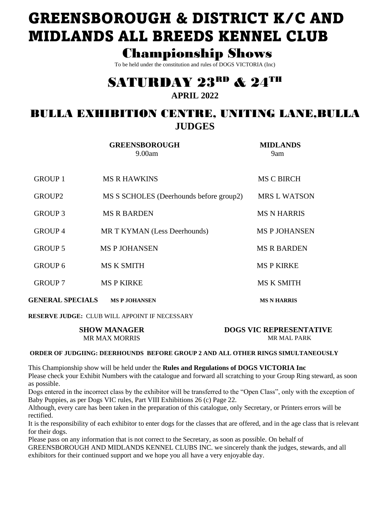# **GREENSBOROUGH & DISTRICT K/C AND MIDLANDS ALL BREEDS KENNEL CLUB**

# **Championship Shows**

To be held under the constitution and rules of DOGS VICTORIA (Inc)

# **SATURDAY 23RD & 24TH APRIL 2022**

# **BULLA EXHIBITION CENTRE. UNITING LANE.BULLA JUDGES**

**GREENSBOROUGH MIDLANDS**  $9.00am$  $9am$ **MS C BIRCH GROUP 1 MS R HAWKINS** GROUP2 MS S SCHOLES (Deerhounds before group2) **MRS L WATSON GROUP 3 MS R BARDEN MS N HARRIS GROUP 4** MR T KYMAN (Less Deerhounds) **MS P JOHANSEN GROUP 5 MS P JOHANSEN MS R BARDEN MS K SMITH MSPKIRKE GROUP 6 GROUP 7 MS P KIRKE MS K SMITH GENERAL SPECIALS MS P JOHANSEN MS N HARRIS** 

**RESERVE JUDGE: CLUB WILL APPOINT IF NECESSARY** 

| <b>SHOW MANAGER</b>  | <b>DOGS VIC REPRESENTATIVE</b> |
|----------------------|--------------------------------|
| <b>MR MAX MORRIS</b> | <b>MR MAL PARK</b>             |

# ORDER OF JUDGIING: DEERHOUNDS BEFORE GROUP 2 AND ALL OTHER RINGS SIMULTANEOUSLY

This Championship show will be held under the Rules and Regulations of DOGS VICTORIA Inc Please check your Exhibit Numbers with the catalogue and forward all scratching to your Group Ring steward, as soon as possible.

Dogs entered in the incorrect class by the exhibitor will be transferred to the "Open Class", only with the exception of Baby Puppies, as per Dogs VIC rules, Part VIII Exhibitions 26 (c) Page 22.

Although, every care has been taken in the preparation of this catalogue, only Secretary, or Printers errors will be rectified.

It is the responsibility of each exhibitor to enter dogs for the classes that are offered, and in the age class that is relevant for their dogs.

Please pass on any information that is not correct to the Secretary, as soon as possible. On behalf of GREENSBOROUGH AND MIDLANDS KENNEL CLUBS INC. we sincerely thank the judges, stewards, and all exhibitors for their continued support and we hope you all have a very enjoyable day.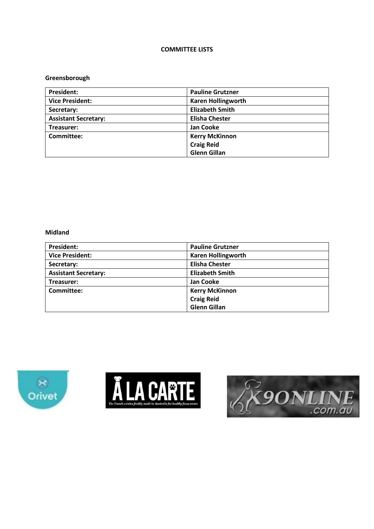# **COMMITTEE LISTS**

# Greensborough

| <b>President:</b>           | <b>Pauline Grutzner</b>   |
|-----------------------------|---------------------------|
| <b>Vice President:</b>      | <b>Karen Hollingworth</b> |
| Secretary:                  | <b>Elizabeth Smith</b>    |
| <b>Assistant Secretary:</b> | <b>Elisha Chester</b>     |
| Treasurer:                  | <b>Jan Cooke</b>          |
| Committee:                  | <b>Kerry McKinnon</b>     |
|                             | <b>Craig Reid</b>         |
|                             | <b>Glenn Gillan</b>       |

# **Midland**

| <b>President:</b>           | <b>Pauline Grutzner</b>   |
|-----------------------------|---------------------------|
| <b>Vice President:</b>      | <b>Karen Hollingworth</b> |
| Secretary:                  | <b>Elisha Chester</b>     |
| <b>Assistant Secretary:</b> | <b>Elizabeth Smith</b>    |
| Treasurer:                  | Jan Cooke                 |
| Committee:                  | <b>Kerry McKinnon</b>     |
|                             | <b>Craig Reid</b>         |
|                             | <b>Glenn Gillan</b>       |





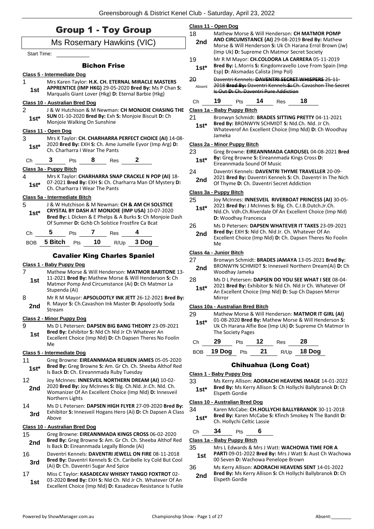| <b>Group 1 - Toy Group</b> |                                       |     |         | 18                                         | Class 11 - Open Dog<br>Mathew Morse & Will Henderson: CH MATMOR POMP                                                                                        |                                     |        |                       |                                   |                                           |                                                                                                            |                                                            |
|----------------------------|---------------------------------------|-----|---------|--------------------------------------------|-------------------------------------------------------------------------------------------------------------------------------------------------------------|-------------------------------------|--------|-----------------------|-----------------------------------|-------------------------------------------|------------------------------------------------------------------------------------------------------------|------------------------------------------------------------|
| Ms Rosemary Hawkins (VIC)  |                                       |     |         | 2nd                                        | AND CIRCUMSTANCE (AI) 29-08-2019 Bred By: Mathew<br>Morse & Will Henderson S: Uk Ch Harana Errol Brown (Jw)<br>(Imp Uk) D: Supreme Ch Matmor Secret Society |                                     |        |                       |                                   |                                           |                                                                                                            |                                                            |
| Start Time:                |                                       |     |         |                                            |                                                                                                                                                             | 19                                  |        |                       |                                   |                                           | Mr R M Mayor: CH.COLOORA LA CARRERA 05-11-2019                                                             |                                                            |
|                            | Class 5 - Intermediate Dog            |     |         | <b>Bichon Frise</b>                        |                                                                                                                                                             | $1st*$                              |        |                       |                                   | Esp) D: Aksmadas Calista (Imp Pol)        |                                                                                                            | Bred By: L.Morris S: Kingdomravello Love From Spain (Imp   |
| 1<br>1st                   |                                       |     |         |                                            | Mrs Karen Taylor: H.K. CH. ETERNAL MIRACLE MASTERS<br>APPRENTICE (IMP HKG) 29-05-2020 Bred By: Ms P Chan S:                                                 | 20<br>Absent                        |        |                       |                                   | Is Out D: Ch. Daventri Pure Addiction     | Daventri Kennels: DAVENTRI SECRET WHISPERS 25-11-                                                          | 2018 Bred By: Daventri Kennels S: Ch. Cavashon The Secret  |
|                            |                                       |     |         |                                            | Marqualis Giant Lover (Hkg) D: Eternal Barbie (Hkg)                                                                                                         | Ch                                  | 19     | Pts                   | 14                                | Res                                       | 18                                                                                                         |                                                            |
| $\overline{2}$             | <b>Class 10 - Australian Bred Dog</b> |     |         |                                            | J & W Hutchison & M Newman: CH MONJOIE CHASING THE                                                                                                          | Class 1a - Baby Puppy Bitch         |        |                       |                                   |                                           |                                                                                                            |                                                            |
| $1st*$                     | Monjoie Walking On Sunshine           |     |         |                                            | SUN 01-10-2020 Bred By: Exh S: Monjoie Biscuit D: Ch                                                                                                        | 21<br>$1st*$                        |        |                       |                                   |                                           | Bronwyn Schmidt: BRADES SITTING PRETTY 04-11-2021<br>Bred By: BRONWYN SCHMIDT S: Nld.Ch. Nld. Jr Ch.       |                                                            |
|                            | Class 11 - Open Dog                   |     |         |                                            |                                                                                                                                                             |                                     |        |                       |                                   |                                           |                                                                                                            | Whateverof An Excellent Choice (Imp Nld) D: Ch Woodhay     |
| 3                          |                                       |     |         |                                            | Mrs K Taylor: CH. CHARHARRA PERFECT CHOICE (AI) 14-08-                                                                                                      | <b>Class 2a - Minor Puppy Bitch</b> | Jameka |                       |                                   |                                           |                                                                                                            |                                                            |
| $1st*$                     | Ch. Charharra I Wear The Pants        |     |         |                                            | 2020 Bred By: EXH S: Ch. Ame Jumelle Eyvor (Imp Arg) D:                                                                                                     | 23                                  |        |                       |                                   |                                           |                                                                                                            | Greg Browne: EIREANNMADA CAROUSEL 04-08-2021 Bred          |
| Ch                         | 3                                     | Pts | 8       | Res                                        | $\mathbf{2}$                                                                                                                                                | $1st*$                              |        |                       | Eireannmada Sound Of Music        |                                           | By: Greg Browne S: Eireannmada Kings Cross D:                                                              |                                                            |
|                            | <u> Class 3a - Puppy Bitch</u>        |     |         |                                            |                                                                                                                                                             | 24                                  |        |                       |                                   |                                           | Daventri Kennels: DAVENTRI THYME TRAVELLER 20-09-                                                          |                                                            |
| 4<br>$1st^*$               | Ch. Charharra I Wear The Pants        |     |         |                                            | Mrs K Taylor: CHARHARRA SNAP CRACKLE N POP (AI) 18-<br>07-2021 Bred By: EXH S: Ch. Charharra Man Of Mystery D:                                              | 2nd                                 |        |                       |                                   | Of Thyme D: Ch. Daventri Secret Addiction |                                                                                                            | 2021 Bred By: Daventri Kennels S: Ch. Daventri In The Nich |
|                            | Class 5a - Intermediate Bitch         |     |         |                                            |                                                                                                                                                             | Class 3a - Puppy Bitch              |        |                       |                                   |                                           |                                                                                                            |                                                            |
| 5                          |                                       |     |         |                                            | J & W Hutchison & M Newman: CH & AM CH SOLSTICE                                                                                                             | 25                                  |        |                       |                                   |                                           | 2021 Bred By: J McInnes S: Blg. Ch. C.I.B.Dutch.Jr.Ch.                                                     | Joy McInnes: INNESVEIL RIVERBOAT PRINCESS (AI) 30-05-      |
| $1st*$                     |                                       |     |         |                                            | CRYSTAL BY DASH AT MONJOIE (IMP USA) 10-07-2020<br>Bred By: L Dicken & E Phelps & A Burks S: Ch Monjoie Dash                                                | $1st*$                              |        |                       | D: Woodhay Francesca              |                                           |                                                                                                            | Nld.Ch. Vdh.Ch.Riverdale Of An Excellent Choice (Imp Nld)  |
|                            |                                       |     |         |                                            | Of Summer D: Gchb Ch Solstice Frostfire Ca Bcat                                                                                                             | 26                                  |        |                       |                                   |                                           |                                                                                                            | Ms D Petersen: DAPSEN WHATEVER IT TAKES 23-09-2021         |
| Ch<br><b>BOB</b>           | 5<br><b>5 Bitch</b> Pts               | Pts | 7<br>10 | Res<br>R/Up                                | 3 Dog                                                                                                                                                       | 2 <sub>nd</sub>                     | Me     |                       |                                   |                                           | Bred By: EXH S: Nld Ch. Nld Jr. Ch. Whatever Of An                                                         | Excellent Choice (Imp Nld) D: Ch. Dapsen Theres No Foolin  |
|                            |                                       |     |         |                                            |                                                                                                                                                             | Class 4a - Junior Bitch             |        |                       |                                   |                                           |                                                                                                            |                                                            |
|                            |                                       |     |         |                                            | <b>Cavalier King Charles Spaniel</b>                                                                                                                        | 27                                  |        |                       |                                   |                                           |                                                                                                            | Bronwyn Schmidt: BRADES JAMAYA 13-05-2021 Bred By:         |
| 7                          | Class 1 - Baby Puppy Dog              |     |         |                                            | Mathew Morse & Will Henderson: MATMOR BARITONE 13-                                                                                                          | 2nd                                 |        | Woodhay Jameka        |                                   |                                           |                                                                                                            | BRONWYN SCHMIDT S: Innesveil Northern Dream(Ai) D: Ch      |
| 1st                        |                                       |     |         |                                            | 11-2021 Bred By: Mathew Morse & Will Henderson S: Ch                                                                                                        | 28                                  |        |                       |                                   |                                           |                                                                                                            | Ms D L Petersen: DAPSEN DO YOU SEE WHAT I SEE 08-04-       |
|                            | Stupenda (Ai)                         |     |         |                                            | Matmor Pomp And Circumstance (Ai) D: Ch Matmor La                                                                                                           | $1st*$                              |        |                       |                                   |                                           | An Excellent Choice (Imp Nld) D: Sup Ch Dapsen Mirror                                                      | 2021 Bred By: Exhibitor S: Nld Ch. Nld Jr Ch. Whatever Of  |
| 8                          |                                       |     |         |                                            | Mr R M Mayor: APSOLOOTLY INK JETT 26-12-2021 Bred By:<br>R. Mayor S: Ch.Cavashon Ink Master D: Apsolootly Soda                                              |                                     | Mirror |                       |                                   |                                           |                                                                                                            |                                                            |
| 2nd                        | Stream                                |     |         |                                            |                                                                                                                                                             |                                     |        |                       | Class 10a - Australian Bred Bitch |                                           |                                                                                                            |                                                            |
|                            | <b>Class 2 - Minor Puppy Dog</b>      |     |         |                                            |                                                                                                                                                             | 29<br>$1st*$                        |        |                       |                                   |                                           | Mathew Morse & Will Henderson: MATMOR IT GIRL (AI)<br>01-08-2020 Bred By: Mathew Morse & Will Henderson S: |                                                            |
| 9<br>1st                   |                                       |     |         |                                            | Ms D L Petersen: DAPSEN BIG BANG THEORY 23-09-2021<br>Bred By: Exhibitor S: Nld Ch Nld Jr Ch Whatever An                                                    |                                     |        | The Society Pages     |                                   |                                           |                                                                                                            | Uk Ch Harana Alfie Boe (Imp Uk) D: Supreme Ch Matmor In    |
|                            | Me                                    |     |         |                                            | Excellent Choice (Imp Nld) D: Ch Dapsen Theres No Foolin                                                                                                    | Ch                                  | 29     | Pts                   | 12                                | <b>Res</b>                                | 28                                                                                                         |                                                            |
|                            | Class 5 - Intermediate Dog            |     |         |                                            |                                                                                                                                                             | <b>BOB</b>                          | 19 Dog |                       | 21<br>Pts                         | R/Up                                      | 18 Dog                                                                                                     |                                                            |
| 11                         |                                       |     |         |                                            | Greg Browne: EIREANNMADA REUBEN JAMES 05-05-2020                                                                                                            |                                     |        |                       |                                   |                                           |                                                                                                            |                                                            |
| $1st^*$                    |                                       |     |         | Is Back D: Ch. Eireannmada Ruby Tuesday    | Bred By: Greg Browne S: Am. Gr Ch. Ch. Sheeba Althof Red                                                                                                    | Class 1 - Baby Puppy Dog            |        |                       |                                   | <b>Chihuahua (Long Coat)</b>              |                                                                                                            |                                                            |
| 12                         |                                       |     |         |                                            | Joy McInnes: INNESVEIL NORTHERN DREAM (AI) 10-02-                                                                                                           | 33                                  |        |                       |                                   |                                           |                                                                                                            | Ms Kerry Allison: ADORACHI HEAVENS IMAGE 14-01-2022        |
| 2nd                        | Northern Lights                       |     |         |                                            | 2020 Bred By: Joy McInnes S: Blg. Ch.Nld. Jr.Ch. Nld. Ch.<br>Womanizer Of An Excellent Choice (Imp Nld) D: Innesveil                                        | $1st*$                              |        | <b>Elspeth Gordie</b> |                                   |                                           |                                                                                                            | Bred By: Ms Kerry Allison S: Ch Hollychi Ballybranok D: Ch |
| 14                         |                                       |     |         |                                            | Ms D L Petersen: DAPSEN HIGH FLYER 27-09-2020 Bred By:                                                                                                      | 34                                  |        |                       | Class 10 - Australian Bred Dog    |                                           | Karen McCabe: CH.HOLLYCHI BALLYBRANOK 30-11-2018                                                           |                                                            |
| 3rd                        | Above                                 |     |         |                                            | Exhibitor S: Innesveil Hogans Hero (Ai) D: Ch Dapsen A Class                                                                                                | $1st*$                              |        |                       | Ch. Hollychi Celtic Lassie        |                                           |                                                                                                            | Bred By: Karen McCabe S: Kfinch Smokey N The Bandit D:     |
|                            | Class 10 - Australian Bred Dog        |     |         |                                            |                                                                                                                                                             | Ch                                  | 34     | Pts                   | 6                                 |                                           |                                                                                                            |                                                            |
| 15                         |                                       |     |         |                                            | Greg Browne: EIREANNMADA KINGS CROSS 06-02-2020<br>Bred By: Greg Browne S: Am. Gr Ch. Ch. Sheeba Althof Red                                                 | Class 1a - Baby Puppy Bitch         |        |                       |                                   |                                           |                                                                                                            |                                                            |
| 2nd                        |                                       |     |         | Is Back D: Eireannmada Legally Blonde (Ai) |                                                                                                                                                             | 35                                  |        |                       |                                   |                                           | Mrs L Edwards & Mrs J Watt: WACHOWA TIME FOR A                                                             |                                                            |
| 16<br>3rd                  |                                       |     |         |                                            | Daventri Kennels: DAVENTRI JEWELL ON FIRE 08-11-2018<br>Bred By: Daventri Kennels S: Ch. Caribelle Icy Cold But Cool                                        | 1st                                 |        |                       |                                   | 00 Seven D: Wachowa Penelope Brown        |                                                                                                            | PARTI 09-01-2022 Bred By: Mrs J Watt S: Aust Ch Wachowa    |
| 17                         |                                       |     |         | (Ai) D: Ch. Daventri Sugar And Spice       | Miss C Taylor: KASADECAV WHISKY TANGO FOXTROT 02-                                                                                                           | 36                                  |        |                       |                                   |                                           | Ms Kerry Allison: ADORACHI HEAVENS SENT 14-01-2022                                                         | Bred By: Ms Kerry Allison S: Ch Hollychi Ballybranok D: Ch |
| 1st                        |                                       |     |         |                                            | 03-2020 Bred By: EXH S: Nld Ch. Nld Jr Ch. Whatever Of An<br>Excellent Choice (Imp Nld) D: Kasadecav Resistance Is Futile                                   | 2nd                                 |        | Elspeth Gordie        |                                   |                                           |                                                                                                            |                                                            |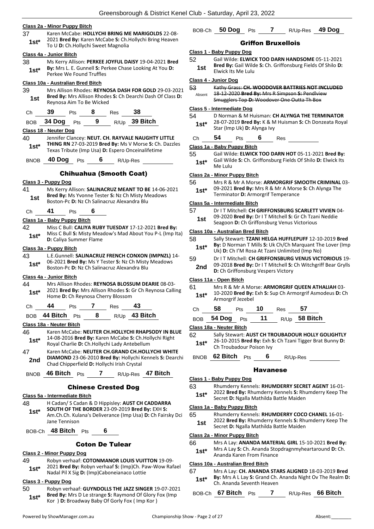#### **Class 2a - Minor Puppy Bitch**

- 37 Karen McCabe: **HOLLYCHI BRING ME MARIGOLDS** 22-08- 2021 **Bred By:** Karen McCabe **S:** Ch.Hollychi Bring Heaven
- **1st**\* **1988 2021 Bred By:** Natell McCabe **3:** Ch.Hollychi Sweet Magnolia

#### **Class 4a - Junior Bitch**

38 Ms Kerry Allison: **PERKEE JOYFUL DAISY** 19-04-2021 **Bred By:** Mrs L. E. Gunnell **S:** Perkee Chase Looking At You **D: 1st\* By:** WITS L. E. Gunnell S: Perkee We Found Truffles

#### **Class 10a - Australian Bred Bitch**

- 39 Mrs Allison Rhodes: **REYNOSA DASH FOR GOLD** 29-03-2021 **Bred By:** Mrs Allison Rhodes **S:** Ch Dearchi Dash Of Class **D: 1st Bred By:** Mrs Allison Rhode<br>Reynosa Aim To Be Wicked
- Ch **39** Pts **8** Res **38**

BOB **34 Dog** Pts **9** R/Up **39 Bitch**

#### **Class 18 - Neuter Dog**

40 Jennifer Clancey: **NEUT. CH. RAYVALE NAUGHTY LITTLE THING RN** 27-03-2019 **Bred By:** Ms V Morse **S:** Ch. Dazzles Texas Tribute (Imp Usa) **D:** Espero Onceinalifetime **1st\***

BNOB **40 Dog** Pts **6** R/Up-Res

#### Chihuahua (Smooth Coat)

#### **Class 3 - Puppy Dog**

41 Ms Kerry Allison: **SALINACRUZ MEANT TO BE** 14-06-2021 **Bred By:** Ms Yvonne Tester **S:** Nz Ch Misty Meadows **1st Died by:** MIS TYDIFFIE TESTER **3.** NZ CH MISTY WE BOSTON-PC **D:** Nz Ch Salinacruz Alexandra Blu

Ch **41** Pts **6**

#### **Class 1a - Baby Puppy Bitch**

42 Miss C Bull: **CALIYA RUBY TUESDAY** 17-12-2021 **Bred By:** Miss C Bull **S:** Misty Meadow's Mad About You P-L (Imp Ita) **1st**\* MISS C BUIL S: MISTY Mea

#### **Class 3a - Puppy Bitch**

43 L.E.Gunnell: **SALINACRUZ FRENCH CONXON (IMPNZL)** 14- 06-2021 **Bred By:** Ms Y Tester **S:** Nz Ch Misty Meadows **1st**\* Ub-2021 **Bred By:** INS Y Tester **S:** NZ Ch INISTY Boston-Pc **D:** Nz Ch Salinacruz Alexandra Blu

#### **Class 4a - Junior Bitch**

44 Mrs Allison Rhodes: **REYNOSA BLOSSUM DEARIE** 08-03- 2021 **Bred By:** Mrs Allison Rhodes **S:** Gr Ch Reynosa Calling 1st\* 2021 Brea By: Mrs Allison Rhodes S: 0<br>Home D: Ch Reynosa Cherry Blossom

Ch **44** Pts **7** Res **43**

#### BOB **44 Bitch** Pts **8** R/Up **43 Bitch**

#### **Class 18a - Neuter Bitch**

- 46 Karen McCabe: **NEUTER CH.HOLLYCHI RHAPSODY IN BLUE** 14-08-2016 **Bred By:** Karen McCabe **S:** Ch.Hollychi Right Royal Charlie **D:** Ch.Hollychi Lady Antebellum **1st\***
- 47 Karen McCabe: **NEUTER CH.GRAND CH.HOLLYCHI WHITE DIAMOND** 23-06-2010 **Bred By:** Hollychi Kennels **S:** Dearchi **2nd** DIAMOND 23-06-2010 Bred By: Hollychi I<br>Chad Chipperfield D: Hollychi Irish Crystal

BNOB **46 Bitch** Pts **7** R/Up-Res **47 Bitch**

#### Chinese Crested Dog

# **Class 5a - Intermediate Bitch**

48 H Cadan/ S Cadan & D Hippisley: **AUST CH CADDARRA SOUTH OF THE BORDER** 23-09-2019 **Bred By:** EXH **S:**  Am.Ch.Ch. Kulana's Deliverance (Imp Usa) **D:** Ch Fairsky Dci Jane Tennison **1st\***

BOB-Ch **48 Bitch** Pts **6**

# Coton De Tulear

# **Class 2 - Minor Puppy Dog**

49 Robyn verhaaf: **COTONMANOR LOUIS VUITTON** 19-09- 2021 **Bred By:** Robyn verhaaf **S:** (Imp)Ch. Paw-Wow Rafael Nadal Pil X Sig **D:** (Imp)Caboneianaco Lottie **1st\***

# **Class 3 - Puppy Dog**

50 Robyn verhaaf: **GUYNDOLLS THE JAZZ SINGER** 19-07-2021 **Bred By:** Mrs D Le strange **S:** Raymond Of Glory Fox (Imp **1st**\* Bred By: Mrs D Le strange S: Raymond Of Glory I<br>Kor ) **D:** Broadway Baby Of Gorly Fox ( Imp Kor )

# BOB-Ch **50 Dog** Pts **7** R/Up-Res **49 Dog**

#### Griffon Bruxellois

#### **Class 1 - Baby Puppy Dog**

- 52 Gail Wilde: **ELWICK TOO DARN HANDSOME** 05-11-2021 **Bred By:** Gail Wilde **S:** Ch. Griffonsburg Fields Of Shilo **D:**
- **1st Elwick Its Me Lulu**

# **Class 4 - Junior Dog**

- 53 Kathy Grass: **CH. WOODOVER BATTRIES NOT INCLUDED** 18-12-2020 **Bred By:** Mrs R Simpson **S:** Pendlview
- Smugglers Top **D:** Woodover One Outta Th Box Absent

### **Class 5 - Intermediate Dog**

54 D Norman & M Huisman: **CH ALYNGA THE TERMINATOR** 28-07-2019 **Bred By:** K & M Huisman **S:** Ch Donzeata Royal **1st**\* 20-07-2019 **Brea By:** K & M<br>Star (Imp Uk) **D:** Alynga Ivy

| Сh | 54. | ⊵ts |  | Res |  |
|----|-----|-----|--|-----|--|
|----|-----|-----|--|-----|--|

#### **Class 1a - Baby Puppy Bitch**

55 Gail Wilde: **ELWICK TOO DARN HOT** 05-11-2021 **Bred By:** Gail Wilde **S:** Ch. Griffonsburg Fields Of Shilo **D:** Elwick Its 1st<sup>\*</sup> Gall Will

#### **Class 2a - Minor Puppy Bitch**

- 56 Mrs R & Mr A Morse: **ARMORGRIF SMOOTH CRIMINAL** 03-
- 09-2021 **Bred By:** Mrs R & Mr A Morse **S:** Ch Alynga The **1st**\* UP-2021 Brea by: IVITS K & IVIT A IVIOTS<br>Terminator D: Armorgrif Temperance

### **Class 5a - Intermediate Bitch**

- 57 Dr I T Mitchell: **CH GRIFFONSBURG SCARLETT VIVIEN** 04-
- 09-2020 **Bred By:** Dr I T Mitchell **S:** Gr Ch Tzani Neddie **1st** US-2020 **Died by:** Dr 1 I Mitchell **S:** Gr Ch Tzar<br>Seagoon **D:** Ch Griffonsburg Venus Victorious

### **Class 10a - Australian Bred Bitch**

- 58 Sally Stewart: **TZANI HELGA HUFFLEPUFF** 12-10-2019 **Bred By:** D Norman T Mills **S:** Uk Ch/Ch Marquant The Lover (Imp **1st**\* By: D Norman T Mills S: UK Ch/Ch Marquant The Uk) **D:** Ch I'M Rosa At Tzani Unlimited (Imp No)
- 59 Dr I T Mitchell: **CH GRIFFONSBURG VENUS VICTORIOUS** 19-
	- 09-2018 **Bred By:** Dr I T Mitchell **S:** Ch Witchgriff Bear Grylls **2nd D:** Ch Griffonsburg Vespers Victory **D:** Ch Griffonsburg Vespers Victory

#### **Class 11a - Open Bitch**

#### 61 Mrs R & Mr A Morse: **ARMORGRIF QUEEN ATHALIAH** 03-

10-2020 **Bred By:** Exh **S:** Sup Ch Armorgrif Asmodeus **D:** Ch Armorgrif Jezebel **1st\***

| C.h | אר | 0 | 'es | 57 |                          |
|-----|----|---|-----|----|--------------------------|
|     |    |   |     |    | <b>Contract Contract</b> |

|  | BOB 54 Dog Pts |  |  |  | $R/Up$ 58 Bitch |
|--|----------------|--|--|--|-----------------|
|--|----------------|--|--|--|-----------------|

#### **Class 18a - Neuter Bitch**

- 62 Sally Stewart: **AUST CH TROUBADOUR HOLLY GOLIGHTLY** 26-10-2015 **Bred By:** Exh **S:** Ch Tzani Tigger Brat Bunny **D:** 
	- **1st**\* <sup>2b-10-2015 **Brea By:** EXN:<br>Ch Troubadour Poison Ivy</sup>

BNOB **62 Bitch** Pts **6** R/Up-Res

#### Havanese

#### **Class 1 - Baby Puppy Dog**

63 Rhumderry Kennels: **RHUMDERRY SECRET AGENT** 16-01-

2022 **Bred By:** Rhumderry Kennels **S:** Rhumderry Keep The **1st**\* 2022 Brea By: Rhumderry Rennels 5: Rhumanels 18th

# **Class 1a - Baby Puppy Bitch**

- 65 Rhumderry Kennels: **RHUMDERRY COCO CHANEL** 16-01-
- 2022 **Bred By:** Rhumderry Kennels **S:** Rhumderry Keep The **1st** 2022 Brea By: Rhumderry Rennels S: Rhi<br>Secret D: Ngalla Mathilda Battle Maiden

# **Class 2a - Minor Puppy Bitch**

- 66 Mrs A Lay: **ANANDA MATERIAL GIRL** 15-10-2021 **Bred By:**
	- Mrs A Lay **S:** Ch. Ananda Stopdragnmyheartaround **D:** Ch. Ananda Karen From Finance **1st\***

# **Class 10a - Australian Bred Bitch**

- 67 Mrs A Lay: **CH. ANANDA STARS ALIGNED** 18-03-2019 **Bred**
- **By:** Mrs A L Lay **S:** Grand Ch. Ananda Night Ov The Realm **D:**  1st<sup>\*</sup> By: MITS A L Lay S: Grand Ch.<br>Ch. Ananda Seventh Heaven

BOB-Ch **67 Bitch** Pts **7** R/Up-Res **66 Bitch**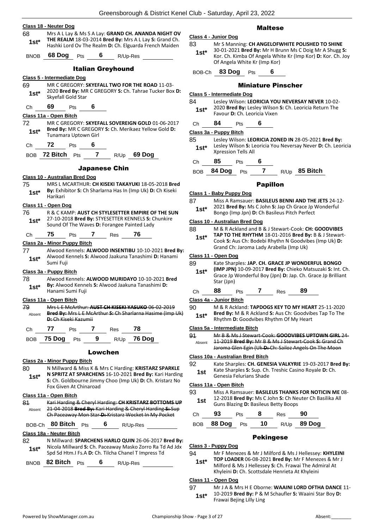|             | Class 18 - Neuter Dog                                                                                    |                |
|-------------|----------------------------------------------------------------------------------------------------------|----------------|
| 68          | Mrs A L Lay & Ms S A Lay: GRAND CH. ANANDA NIGHT OV                                                      |                |
| $1st*$      | THE REALM 18-03-2014 Bred By: Mrs A L Lay S: Grand Ch.                                                   | Class 4        |
|             | Hashki Lord Ov The Realm D: Ch. Elguarda French Maiden                                                   | 83             |
| <b>BNOB</b> | 68 Dog<br>Pts 6 R/Up-Res                                                                                 | $1st*$         |
|             |                                                                                                          |                |
|             | <b>Italian Greyhound</b>                                                                                 | BOB-C          |
|             | Class 5 - Intermediate Dog                                                                               |                |
| 69          | MR C GREGORY: SKYEFALL TWO FOR THE ROAD 11-03-<br>2020 Bred By: MR C GREGORY S: Ch. Tahrae Tucker Box D: |                |
| $1st*$      | Skyefall Gold Star                                                                                       | <u>Class 5</u> |
| Ch          | 69<br>- 6<br><b>Pts</b>                                                                                  | 84             |
|             |                                                                                                          | 1st*           |
| 72          | Class 11a - Open Bitch<br>MR C GREGORY: SKYEFALL SOVEREIGN GOLD 01-06-2017                               |                |
| $1st*$      | Bred By: MR C GREGORY S: Ch. Merikaez Yellow Gold D:                                                     | Ch             |
|             | Tunamara Uptown Girl                                                                                     | Class 3        |
| Ch          | 72<br>Pts $\overline{\mathbf{6}}$                                                                        | 85             |
|             | BOB 72 Bitch Pts 7 R/Up 69 Dog                                                                           | 1st*           |
|             |                                                                                                          | Ch             |
|             | <b>Japanese Chin</b>                                                                                     |                |
|             | Class 10 - Australian Bred Dog                                                                           | <b>BOB</b>     |
| 75          | MRS L MCARTHUR: CH KISEKI TAKAYUKI 18-05-2018 Bred                                                       |                |
| $1st*$      | By: Exhibitor S: Ch Sharlarna Has In (Imp Uk) D: Ch Kiseki                                               | Class 1        |
|             | Harikari                                                                                                 | 87             |
|             | Class 11 - Open Dog                                                                                      | $1st*$         |
| 76          | R & C KAMP: AUST CH STYLESETTER EMPIRE OF THE SUN<br>27-10-2018 Bred By: STYESETTER KENNELS S: Chunkire  |                |
| $1st^*$     | Sound Of The Waves D: Forangee Painted Lady                                                              | Class 1        |
|             | 75<br>76<br>7 Res                                                                                        | 88             |
| Ch          | Pts                                                                                                      | $1st^*$        |
| 77          | Class 2a - Minor Puppy Bitch<br>Alwood Kennels: ALWOOD INSENTIBU 10-10-2021 Bred By:                     |                |
| $1st^*$     | Alwood Kennels S: Alwood Jaakuna Tanashimi D: Hanami                                                     | Class 1        |
|             | Sumi Fuji                                                                                                | 89             |
|             | Class 3a - Puppy Bitch                                                                                   | $1st*$         |
| 78          | Alwood Kennels: ALWOOD MURIDAYO 10-10-2021 Bred                                                          |                |
| $1st^*$     | By: Alwood Kennels S: Alwood Jaakuna Tanashimi D:<br>Hanami Sumi Fuji                                    |                |
|             |                                                                                                          | Ch             |
| 79          | Class 11a - Open Bitch<br>Mrs L E McArthur: AUST CH KISEKI YASUKO 06-02-2019                             | Class 4        |
| Absent      | Bred By: Mrs L E McArthur S: Ch Sharlarna Hasime (Imp Uk)                                                | 90             |
|             | <b>D:</b> Ch Kiseki Kazumii                                                                              | 1st*           |
| Ch          | 7 Res<br>77<br>78<br>Pts                                                                                 | Class 5        |
|             | R/Up 76 Dog<br>75 Dog Pts<br>9                                                                           | 91             |
| BOB         |                                                                                                          | Absent         |
|             | Lowchen                                                                                                  |                |
|             | Class 2a - Minor Puppy Bitch                                                                             | Class 1        |
| 80          | N Millward & Miss K & Mrs C Harding: KRISTARZ SPARKLE                                                    | 92             |
| $1st*$      | N SPRITZ AT SPARCHENS 16-10-2021 Bred By: Kari Harding                                                   | 1st            |
|             | S: Ch. Goldbourne Jimmy Choo (Imp Uk) D: Ch. Kristarz No<br>Fox Given At Chinaroad                       | Class 1        |
|             |                                                                                                          | 93             |
| 81          | Class 11a - Open Bitch<br>Kari Harding & Cheryl Harding: CH KRISTARZ BOTTOMS UP                          | 1st.           |
| Absent      | 21-04-2018 Bred By: Kari Harding & Cheryl Harding S: Sup                                                 |                |
|             | Ch Paceaway Mon Star-D: Kristarz Wocket In My Pocket                                                     | Ch             |
|             | BOB-Ch 80 Bitch Pts 6 R/Up-Res                                                                           | BOB            |
|             | Class 18a - Neuter Bitch                                                                                 |                |
| 82          | N Millward: SPARCHENS HARLO QUIN 26-06-2017 Bred By:                                                     |                |
| 1st*        | Nicola Millward S: Ch. Paceaway Masko Zorro Ra Td Ad Jdx                                                 | <u>Class 3</u> |
|             | Spd Sd Htm.I Fs.A D: Ch. Tilcha Chanel T Impress Td                                                      | 94             |
| <b>BNOB</b> | 82 Bitch<br>6 $R/Up-Res$<br>Pts                                                                          | $1st*$         |
|             |                                                                                                          |                |
|             |                                                                                                          |                |
|             |                                                                                                          | Class 1        |

### Maltese

|              | Class 4 - Junior Dog                                                                                                                                                                                     |     |                                                   |  |  |  |  |  |  |
|--------------|----------------------------------------------------------------------------------------------------------------------------------------------------------------------------------------------------------|-----|---------------------------------------------------|--|--|--|--|--|--|
| 83<br>$1st*$ | Mr S Manning: CH ANGELOFWHITE POLISHED TO SHINE<br>30-01-2021 Bred By: Mr H Brunn Ms C Doig Mr A Shugg S:<br>Kor. Ch. Kimba Of Angela White Kr (Imp Kor) D: Kor. Ch. Joy<br>Of Angela White Kr (Imp Kor) |     |                                                   |  |  |  |  |  |  |
| BOB-Ch       | 83 Dog                                                                                                                                                                                                   | Pts | 6                                                 |  |  |  |  |  |  |
|              |                                                                                                                                                                                                          |     | <b>Miniature Pinscher</b>                         |  |  |  |  |  |  |
|              | <b>Class 5 - Intermediate Dog</b>                                                                                                                                                                        |     |                                                   |  |  |  |  |  |  |
| 84           |                                                                                                                                                                                                          |     | Lesley Wilson: LEORICIA YOU NEVERSAY NEVER 10-02- |  |  |  |  |  |  |

| $1st^*$ |    |            | 2020 Bred By: Lesley Wilson S: Ch. Leoricia Return The<br>Favour D: Ch. Leoricia Vixen |  |  |
|---------|----|------------|----------------------------------------------------------------------------------------|--|--|
| Ch      | 84 | <b>Pts</b> |                                                                                        |  |  |

**Class 3a - Puppy Bitch**

- 85 Lesley Wilson: **LEORICIA ZONED IN** 28-05-2021 **Bred By:** Lesley Wilson **S:** Leoricia You Neversay Never **D:** Ch. Leoricia **Xpression Tells All**
- Ch **85** Pts **6**

BOB **84 Dog** Pts **7** R/Up **85 Bitch**

#### Papillon

#### **Class 1 - Baby Puppy Dog**

- 87 Miss A Ramsauer: **BASILEUS BENNI AND THE JETS** 24-12-
- 2021 **Bred By:** Ms C John **S:** Jap Ch Grace Jp Wonderful
- Bongo (Imp Jpn) D: Ch Basileus Pitch Perfect

#### **Class 10 - Australian Bred Dog**

- 88 M & R Ackland and B & J Stewart-Cook: **CH: GOODVIBES TAP TO THE RHYTHM** 18-01-2016 **Bred By:** B & J Stewart-
	- Cook **S:** Aus Ch: Bodebi Rhythn N Goodvibes (Imp Uk) **D:**  Grand Ch: Jaroma Lady Arabella (Imp Uk)

#### **Class 11 - Open Dog**

Kate Sharples: JAP. CH. GRACE JP WONDERFUL BONGO **(IMP JPN)** 10-09-2017 **Bred By:** Chieko Matsuzaki **S:** Int. Ch. Grace Jp Wonderful Boy (Jpn) **D:** Jap. Ch. Grace Jp Brilliant Star (Jpn)

# Ch **88** Pts **7** Res **89**

#### **Class 4a - Junior Bitch**

90 M & R Ackland: **TAPDOGS KEY TO MY HEART** 25-11-2020 **Bred By:** M & R Ackland **S:** Aus Ch: Goodvibes Tap To The Rhythm **D:** Goodvibes Rhythm Of My Heart

#### **Class 5a - Intermediate Bitch**

91 Mr B & Ms J Stewart-Cook: **GOODVIBES UPTOWN GIRL** 24- 11-2019 **Bred By:** Mr B & Ms J Stewart-Cook **S:** Grand Ch Jaroma Glen Egin (Uk **D:** Ch: Sailoz Angels On The Moon

#### **Class 10a - Australian Bred Bitch**

Kate Sharples: CH. GENESIA VALKYRIE 19-03-2017 Bred By: Kate Sharples **S:** Sup. Ch. Treshic Casino Royale **D:** Ch. **Genesia Felurians Shade** 

#### **Class 11a - Open Bitch**

93 Miss A Ramsauer: **BASILEUS THANKS FOR NOTICIN ME** 08- 12-2018 **Bred By:** Ms C John **S:** Ch Neuter Ch Basilika All Guns Blazing **D:** Basileus Betty Boops **1st**

| Ch | 93 | <b>Pts</b> | 8 | Res | 90                            |
|----|----|------------|---|-----|-------------------------------|
|    |    |            |   |     | BOB 88 Dog Pts 10 R/Up 89 Dog |

### Pekingese

#### **Class 3 - Puppy Dog**

94 Mr F Menezes & Mr J Milford & Ms J Hellessey: **KHYLEINI** 

**TOP LOADER** 06-08-2021 **Bred By:** Mr F Menezes & Mr J Milford & Ms J Hellessey **S:** Ch. Frawai The Admiral At Khyleini **D:** Ch. Scottsdale Henrieta At Khyleini

#### **Class 11 - Open Dog**

97 Mr J A & Mrs H E Oborne: **WAAINI LORD OFTHA DANCE** 11- 10-2019 **Bred By:** P & M Schaufler **S:** Waaini Star Boy **D:**  Frawai Bejing Lilly Ling **1st\***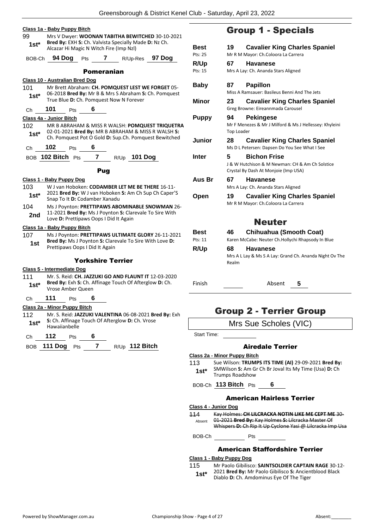|                                                                                                                 | <u> Class 1a - Baby Puppy Bitch</u>                                                                         |                          |                   |  |                     |                 |   |  |  |
|-----------------------------------------------------------------------------------------------------------------|-------------------------------------------------------------------------------------------------------------|--------------------------|-------------------|--|---------------------|-----------------|---|--|--|
| 99<br>Mrs V Dwyer: WOONAN TABITHA BEWITCHED 30-10-2021<br>Bred By: EXH S: Ch. Valvista Specially Made D: Nz Ch. |                                                                                                             |                          |                   |  |                     |                 |   |  |  |
|                                                                                                                 | $1st^*$<br>Alcazar Hi Magic N Witch Fire (Imp Nzl)                                                          |                          |                   |  |                     |                 |   |  |  |
| BOB-Ch                                                                                                          | 94 Dog                                                                                                      | <b>Pts</b>               | $7$ and $\sim$    |  |                     | R/Up-Res 97 Dog |   |  |  |
|                                                                                                                 |                                                                                                             |                          | <b>Pomeranian</b> |  |                     |                 |   |  |  |
|                                                                                                                 | Class 10 - Australian Bred Dog                                                                              |                          |                   |  |                     |                 |   |  |  |
| 101                                                                                                             | Mr Brett Abraham: CH. POMQUEST LEST WE FORGET 05-                                                           |                          |                   |  |                     |                 |   |  |  |
| 1st*                                                                                                            | 06-2018 Bred By: Mr B & Mrs S Abraham S: Ch. Pomquest<br>True Blue D: Ch. Pomquest Now N Forever            |                          |                   |  |                     |                 |   |  |  |
| Сh                                                                                                              | 101<br>Pts                                                                                                  | 6                        |                   |  |                     |                 |   |  |  |
|                                                                                                                 | Class 4a - Junior Bitch                                                                                     |                          |                   |  |                     |                 |   |  |  |
| 102                                                                                                             | MR B ABRAHAM & MISS R WALSH: POMQUEST TRIQUETRA                                                             |                          |                   |  |                     |                 |   |  |  |
| 1st*                                                                                                            | 02-01-2021 Bred By: MR B ABRAHAM & MISS R WALSH S:<br>Ch. Pomquest Pot O Gold D: Sup.Ch. Pomquest Bewitched |                          |                   |  |                     |                 |   |  |  |
| Ch                                                                                                              | 102<br><b>Pts</b>                                                                                           | 6                        |                   |  |                     |                 |   |  |  |
|                                                                                                                 | BOB 102 Bitch Pts                                                                                           | $\overline{7}$           |                   |  | R/Up <b>101 Dog</b> |                 |   |  |  |
|                                                                                                                 |                                                                                                             |                          | <b>Pug</b>        |  |                     |                 |   |  |  |
|                                                                                                                 | Class 1 - Baby Puppy Dog                                                                                    |                          |                   |  |                     |                 |   |  |  |
| 103                                                                                                             | W J van Hoboken: CODAMBER LET ME BE THERE 16-11-                                                            |                          |                   |  |                     |                 |   |  |  |
| 1st*                                                                                                            | 2021 Bred By: W J van Hoboken S: Am Ch Sup Ch Caper'S                                                       |                          |                   |  |                     |                 |   |  |  |
|                                                                                                                 | Snap To It D: Codamber Xanadu                                                                               |                          |                   |  |                     |                 |   |  |  |
| 104                                                                                                             | Ms J Poynton: PRETTIPAWS ABOMINABLE SNOWMAN 26-<br>11-2021 Bred By: Ms J Poynton S: Clarevale To Sire With  |                          |                   |  |                     |                 |   |  |  |
| 2nd                                                                                                             | Love D: Prettipaws Oops I Did It Again                                                                      |                          |                   |  |                     |                 |   |  |  |
|                                                                                                                 | Class 1a - Baby Puppy Bitch                                                                                 |                          |                   |  |                     |                 |   |  |  |
| 107.                                                                                                            | Ms J Poynton: PRETTIPAWS ULTIMATE GLORY 26-11-2021                                                          |                          |                   |  |                     |                 |   |  |  |
| 1st                                                                                                             | Bred By: Ms J Poynton S: Clarevale To Sire With Love D:                                                     |                          |                   |  |                     |                 |   |  |  |
|                                                                                                                 | Prettipaws Oops I Did It Again                                                                              |                          |                   |  |                     |                 |   |  |  |
|                                                                                                                 |                                                                                                             | <b>Yorkshire Terrier</b> |                   |  |                     |                 |   |  |  |
|                                                                                                                 | Class 5 - Intermediate Dog                                                                                  |                          |                   |  |                     |                 |   |  |  |
| 111                                                                                                             | Mr. S. Reid: CH. JAZZUKI GO AND FLAUNT IT 12-03-2020                                                        |                          |                   |  |                     |                 |   |  |  |
| 1st*                                                                                                            | Bred By: Exh S: Ch. Affinage Touch Of Afterglow D: Ch.<br>Vrose Amber Queen                                 |                          |                   |  |                     |                 |   |  |  |
| Ch                                                                                                              | 111<br>Pts                                                                                                  | 6                        |                   |  |                     |                 |   |  |  |
|                                                                                                                 | Class 2a - Minor Puppy Bitch                                                                                |                          |                   |  |                     |                 |   |  |  |
| 112                                                                                                             | Mr. S. Reid: JAZZUKI VALENTINA 06-08-2021 Bred By: Exh                                                      |                          |                   |  |                     |                 |   |  |  |
| $1st*$                                                                                                          | S: Ch. Affinage Touch Of Afterglow D: Ch. Vrose<br>Hawaiianbelle                                            |                          |                   |  |                     |                 |   |  |  |
| Ch                                                                                                              | 112                                                                                                         | 6<br>Pts                 |                   |  |                     |                 |   |  |  |
| BOB                                                                                                             | <b>111 Dog</b>                                                                                              | 7<br><b>Pts</b>          |                   |  | $R/Up$ 112 Bitch    |                 |   |  |  |
|                                                                                                                 |                                                                                                             |                          |                   |  |                     |                 | C |  |  |

# Group 1 - Specials

| Best<br>Pts: 25 | 19                      | <b>Cavalier King Charles Spaniel</b><br>Mr R M Mayor: Ch.Coloora La Carrera                                    |  |  |  |
|-----------------|-------------------------|----------------------------------------------------------------------------------------------------------------|--|--|--|
| <b>R/Up</b>     | 67.                     | <b>Havanese</b>                                                                                                |  |  |  |
| Pts: 15         |                         | Mrs A Lay: Ch. Ananda Stars Aligned                                                                            |  |  |  |
| Baby            | 87.                     | <b>Papillon</b><br>Miss A Ramsauer: Basileus Benni And The Jets                                                |  |  |  |
| Minor           | 23                      | <b>Cavalier King Charles Spaniel</b><br>Greg Browne: Eireannmada Carousel                                      |  |  |  |
| <b>Puppy</b>    | 94<br><b>Top Loader</b> | <b>Pekingese</b><br>Mr F Menezes & Mr J Milford & Ms J Hellessey: Khyleini                                     |  |  |  |
| Junior          | 28                      | <b>Cavalier King Charles Spaniel</b><br>Ms D L Petersen: Dapsen Do You See What I See                          |  |  |  |
| Inter           | 5                       | <b>Bichon Frise</b><br>J & W Hutchison & M Newman: CH & Am Ch Solstice<br>Crystal By Dash At Monjoie (Imp USA) |  |  |  |
| Aus Br          | 67                      | <b>Havanese</b><br>Mrs A Lay: Ch. Ananda Stars Aligned                                                         |  |  |  |
| Open            | 19                      | <b>Cavalier King Charles Spaniel</b><br>Mr R M Mayor: Ch.Coloora La Carrera                                    |  |  |  |
|                 |                         | <b>Neuter</b>                                                                                                  |  |  |  |
| Best<br>Pts: 11 | 46                      | <b>Chihuahua (Smooth Coat)</b><br>Karen McCabe: Neuter Ch.Hollychi Rhapsody In Blue                            |  |  |  |
| <b>D</b> /lin   | 68.                     | Havanoso                                                                                                       |  |  |  |

**R/Up 68 Havanese** Mrs A L Lay & Ms S A Lay: Grand Ch. Ananda Night Ov The Realm

Finish Absent **5**

# Group 2 - Terrier Group

| Mrs Sue Scholes (VIC) |  |  |  |  |
|-----------------------|--|--|--|--|
|-----------------------|--|--|--|--|

Start Time:

# Airedale Terrier

#### **Class 2a - Minor Puppy Bitch**

113 Sue Wilson: **TRUMPS ITS TIME (AI)** 29-09-2021 **Bred By:** SMWilson **S:** Am Gr Ch Br Joval Its My Time (Usa) **D:** Ch Trumps Roadshow **1st\***

BOB-Ch **113 Bitch** Pts **6**

# American Hairless Terrier

#### **Class 4 - Junior Dog**

114 Kay Holmes: **CH LILCRACKA NOTIN LIKE ME CEPT ME** 30- 01-2021 **Bred By:** Kay Holmes **S:** Lilcracka Master Of Whispers **D:** Ch Rip It Up Cyclone Yasi @ Lilcracka Imp Usa Absent

BOB-Ch Pts

# American Staffordshire Terrier

# **Class 1 - Baby Puppy Dog**

115 Mr Paolo Gibilisco: **SAINTSOLDIER CAPTAIN RAGE** 30-12-

2021 **Bred By:** Mr Paolo Gibilisco **S:** Ancientblood Black **1st** 2021 **Brea By:** INF Paolo Giblisco S: Ancien<br>Diablo D: Ch. Amdominus Eye Of The Tiger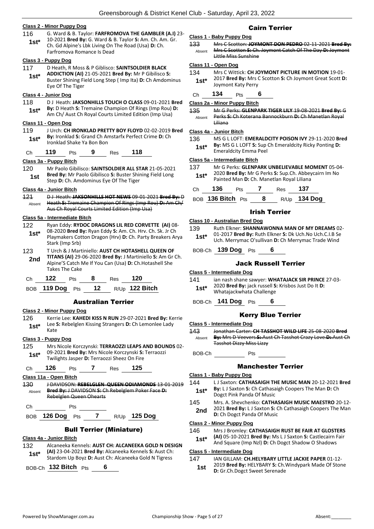#### **Class 2 - Minor Puppy Dog**

- 116 G. Ward & B. Taylor: **FARFROMOVA THE GAMBLER (A.I)** 23- 10-2021 **Bred By:** G. Ward & B. Taylor **S:** Am. Ch. Am. Gr.
- Ch. Gd Alpine's Lbk Living On The Road (Usa) **D:** Ch. Farfromova Romance Is Dead **1st\***

#### **Class 3 - Puppy Dog**

- 117 D Heath, R Moss & P Giblisco: **SAINTSOLDIER BLACK ADDICTION (AI)** 21-05-2021 **Bred By:** Mr P Gibilisco **S: 1st\***
	- Buster Shining Field Long Step ( Imp Ita) **D:** Ch Amdominus Eye Of The Tiger

### **Class 4 - Junior Dog**

118 D J Heath: **JAKSONHILLS TOUCH O CLASS** 09-01-2021 **Bred By:** D Heath **S:** Tremaine Champion Of Rings (Imp Rou) **D:**  Am Ch/ Aust Ch Royal Courts Limited Edition (Imp Usa) **1st\***

#### **Class 11 - Open Dog**

- 119 J Urch: **CH IRONKLAD PRETTY BOY FLOYD** 02-02-2019 **Bred By:** Ironklad **S:** Grand Ch Amstarfx Perfect Crime **D:** Ch Ironklad Shake Ya Bon Bon **1st\***
- Ch **119** Pts **9** Res **118**

#### **Class 3a - Puppy Bitch**

120 Mr Paolo Gibilisco: **SAINTSOLDIER ALL STAR** 21-05-2021 **Bred By:** Mr Paolo Gibilisco **S:** Buster Shining Field Long **1st Brea By:** INT Paolo Gibilisco S: Buster Shill<br>Step D: Ch. Amdominus Eye Of The Tiger

#### **Class 4a - Junior Bitch**

121 D J Heath: **JAKSONHILLS HOT NEWS** 09-01-2021 **Bred By:** D Heath **S:** Tremaine Champion Of Rings (Imp Rou) **D:** Am Ch/ Aus Ch Royal Courts Limited Edition (Imp Usa) Absent

#### **Class 5a - Intermediate Bitch**

- 122 Ryan Eddy: **RYDOC DRAGONS LIL RED CORVETTE (AI)** 08- 08-2020 **Bred By:** Ryan Eddy **S:** Am. Ch. Hrv. Ch. Sk. Jr Ch Playmakers Cotton Dragon (Hrv) **D:** Ch. Party Breakers Arya Stark (Imp Srb) **1st\***
- 123 T Urch & J Martiniello: **AUST CH HOTASHELL QUEEN OF TITANS (AI)** 29-06-2020 **Bred By:** J Martiniello **S:** Am Gr Ch. Alpine'S Catch Me If You Can (Usa) **D:** Ch.Hotashell She Takes The Cake **2nd**

| Ch | 122 | <b>Pts</b> | 8 | Res | - 120                               |
|----|-----|------------|---|-----|-------------------------------------|
|    |     |            |   |     | BOB 119 Dog Pts 12 $R/Up$ 122 Bitch |

#### Australian Terrier

#### **Class 2 - Minor Puppy Dog**

- 126 Kerrie Lee: **KAHEDI KISS N RUN** 29-07-2021 **Bred By:** Kerrie
- Lee **S:** Rebelglen Kissing Strangers **D:** Ch Lemonlee Lady **1st\*** <sup>Lee:</sup>

# **Class 3 - Puppy Dog**

125 Mrs Nicole Korczynski: **TERRAOZZI LEAPS AND BOUNDS** 02- 09-2021 **Bred By:** Mrs Nicole Korczynski **S:** Terraozzi Twilights Jasper **D:** Terraozzi Sheez On Fire **1st\***

#### Ch **126** Pts **7** Res **125**

#### **Class 11a - Open Bitch**

- 130 J DAVIDSON: **REBELGLEN QUEEN ODIAMONDS** 13-01-2019 **Bred By:** J DAVIDSON **S:** Ch Rebelglem Poker Face **D:**  Rebelglen Queen Ohearts Absent Ch Pts
- BOB **126 Dog** Pts **7** R/Up **125 Dog**

### Bull Terrier (Miniature)

#### **Class 4a - Junior Bitch**

132 Alcaneeka Kennels: **AUST CH: ALCANEEKA GOLD N DESIGN (AI)** 23-04-2021 **Bred By:** Alcaneeka Kennels **S:** Aust Ch: **1st**\* (Al) 23-04-2021 Bred By: Alcaneeka Kennels S: Aust Ch: Alcaneeka Gold N Tigress

BOB-Ch **132 Bitch** Pts **6**

# Cairn Terrier

#### **Class 1 - Baby Puppy Dog**

133 Mrs C Scotton: **JOYMONT DON PEDRO** 02-11-2021 **Bred By:** Mrs C Scotton **S:** Ch. Joymont Catch Of The Day **D:** Joymont Little Miss Sunshine Absent

#### **Class 11 - Open Dog**

- 134 Mrs C Wittick: **CH JOYMONT PICTURE IN MOTION** 19-01- 2017 **Bred By:** Mrs C Scotton **S:** Ch Joymont Great Scott **D: 1st**\* <sup>2017</sup> Bred By: Mrs<br>Joymont Katy Perry
- Ch **134** Pts **6**

#### **Class 2a - Minor Puppy Bitch**

135 Mr G Perks: **GLENPARK TIGER LILY** 19-08-2021 **Bred By:** G Perks **S:** Ch Koterana Bannockburn **D:** Ch Manetlan Royal Liliana Absent

#### **Class 4a - Junior Bitch**

136 MS G L LOFT: **EMERALDCITY POISON IVY** 29-11-2020 **Bred By:** MS G L LOFT **S:** Sup Ch Emeraldcity Ricky Ponting **D: 1st<sup>\*</sup> By:** MS G L LOFT **5:** Sup G<br>Emeraldcity Emma Peel

#### **Class 5a - Intermediate Bitch**

- 137 Mr G Perks: **GLENPARK UNBELIEVABLE MOMENT** 05-04- 2020 **Bred By:** Mr G Perks **S:** Sup.Ch. Abbeycairn Im No
- **1st** Zuzu **brea by:** Ivir G Perks **3:** Sup.Ch. Abbey<br>Painted Man **D:** Ch. Manetlan Royal Liliana

| Ch | 136               | <b>Pts</b> | <b>Res</b> | 137                 |
|----|-------------------|------------|------------|---------------------|
|    | BOB 136 Bitch Pts |            |            | R/Up <b>134 Dog</b> |

#### Irish Terrier

#### **Class 10 - Australian Bred Dog**

139 Ruth Elkner: **SHANNAWONNA MAN OF MY DREAMS** 02- 01-2017 **Bred By:** Ruth Elkner **S:** Dk Uch.No Uch.C.I.B Se Uch. Merrymac O'sullivan **D:** Ch Merrymac Trade Wind **1st\***

#### BOB-Ch **139 Dog** Pts **6**

#### Jack Russell Terrier

#### **Class 5 - Intermediate Dog**

141 ian nash shane sawyer: **WHATAJACK SIR PRINCE** 27-03- 2020 **Bred By:** jack russell **S:** Krisbos Just Do It **D: 1st\* 2020 Bred By:** Jack russell **S**<br>Whatajackwhata Challenge

BOB-Ch **141 Dog** Pts **6**

# Kerry Blue Terrier

#### **Class 5 - Intermediate Dog**

143 Jonathan Carter: **CH TASSHOT WILD LIFE** 25-08-2020 **Bred By:** Mrs D Veevers **S:** Aust Ch Tasshot Crazy Love **D:** Aust Ch Tasshot Dizzy Miss Lizzy Absent

#### Manchester Terrier

#### **Class 1 - Baby Puppy Dog**

- 144 L J Saxton: **CATHASAIGH THE MUSIC MAN** 20-12-2021 **Bred By:** L J Saxton **S:** Ch Cathasaigh Coopers The Man **D:** Ch **1st\*** By: LJ Saxton S: Ch Cathasa<br>Dogct Pink Panda Of Music
- 145 Mrs. A. Shevchenko: **CATHASAIGH MUSIC MAESTRO** 20-12-
- 2021 **Bred By:** L J Saxton **S:** Ch Cathasaigh Coopers The Man **2nd** <sup>2021</sup> **Brea By: L** J Saxton **S**: **C D**: Ch Dogct Panda Of Music

#### **Class 2 - Minor Puppy Dog**

- 146 Mrs J Bromley: **CATHASAIGH RUST BE FAIR AT GLOSTERS**
- **(AI)** 05-10-2021 **Bred By:** Ms L J Saxton **S:** Castlecairn Fair And Square (Imp Nzl) **D:** Ch Dogct Shadow O Shadows **1st\***
- 

# **Class 5 - Intermediate Dog**

- 147 IAN GILLAM: **CH.HELYBARY LITTLE JACKIE PAPER** 01-12-
	- 2019 **Bred By:** HELYBARY **S:** Ch.Windypark Made Of Stone **1st** 2019 **Brea By:** HELYBARY **5:** Ch.V<br>**D:** Gr.Ch.Dogct Sweet Serenade

BOB-Ch Pts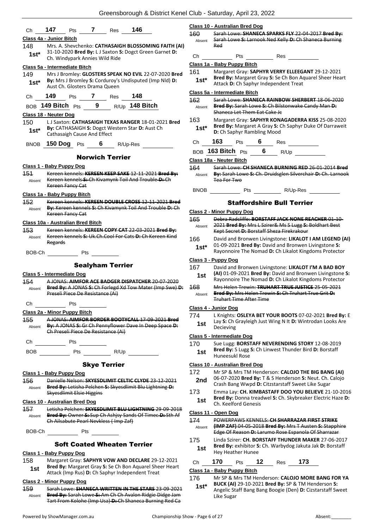|               | Oreensborough & District Rener Oldb - Saturday, April 20, 2                                                                      |               |                                                    |
|---------------|----------------------------------------------------------------------------------------------------------------------------------|---------------|----------------------------------------------------|
|               |                                                                                                                                  |               | <b>Class 10 - Australian Bred Dog</b>              |
| Ch            | 147<br>146<br>7<br>Res<br>Pts                                                                                                    | 160           | Sarah Lowe: SHANEC                                 |
|               | Class 4a - Junior Bitch                                                                                                          | Absent        | Sarah Lowe S: Larnoo                               |
| 148           | Mrs. A. Shevchenko: CATHASAIGH BLOSSOMING FAITH (AI)                                                                             |               | Red                                                |
| $1st^*$       | 31-10-2020 Bred By: L J Saxton S: Dogct Green Garnet D:<br>Ch. Windypark Annies Wild Ride                                        | Сh            | Pts                                                |
|               | Class 5a - Intermediate Bitch                                                                                                    |               | Class 1a - Baby Puppy Bitch                        |
| 149           | Mrs J Bromley: GLOSTERS SPEAK NO EVIL 22-07-2020 Bred                                                                            | 161           | Margaret Gray: SAPH                                |
| $1st^*$       | By: Mrs J Bromley S: Corduroy's Undisputed (Imp Nld) D:<br>Aust Ch. Glosters Drama Queen                                         | $1st^*$       | Bred By: Margaret Gr<br>Attack D: Ch Saphyr In     |
| Ch            | 149<br>7 Res<br>148<br><b>Pts</b>                                                                                                |               | Class 5a - Intermediate Bitch                      |
|               | BOB 149 Bitch $P$ ts 9 R/Up 148 Bitch                                                                                            | 162<br>Absent | Sarah Lowe: SHANEC<br><b>Bred By: Sarah Lowe I</b> |
|               | Class 18 - Neuter Dog                                                                                                            |               | Shaneca Let Them Eat                               |
| 150           | LJ Saxton: CATHASAIGH TEXAS RANGER 18-01-2021 Bred                                                                               | 163           | Margaret Gray: SAPH                                |
| $1st^*$       | By: CATHASAIGH S: Dogct Western Star D: Aust Ch<br>Cathasaigh Cause And Effect                                                   | 1st*          | Bred By: Margaret A<br>D: Ch Saphyr Ramblin        |
| <b>BNOB</b>   | 150 $\log$ Pts<br>6 R/Up-Res                                                                                                     | Ch            | 163<br>6<br>Pts                                    |
|               |                                                                                                                                  |               | BOB 163 Bitch Pts                                  |
|               | <b>Norwich Terrier</b>                                                                                                           |               | Class 18a - Neuter Bitch                           |
|               | Class 1 - Baby Puppy Dog                                                                                                         | 164           | Sarah Lowe: CH SHAN                                |
| 454<br>Absent | Kereen kennels: KEREEN KEEP SAKE 12 11 2021 Bred By:<br>Kereen kennels S: Ch Kivamynk Toil And Trouble D: Ch<br>Kereen Fancy Cat | Absent        | By: Sarah Lowe S: Ch.<br>Tea For Two               |
|               | Class 1a - Baby Puppy Bitch                                                                                                      | <b>BNOB</b>   | Pts                                                |
| 152           | Kereen kennels: KEREEN DOUBLE CROSS 12-11-2021 Bred                                                                              |               | <b>Staffordsh</b>                                  |
| Absent        | By: Kereen kennels S: Ch Kivamynk Toil And Trouble D: Ch                                                                         |               |                                                    |
|               | Kereen Fancy Cat                                                                                                                 |               | Class 2 - Minor Puppy Dog<br>Debra Radcliffe: BORS |
|               | Class 10a - Australian Bred Bitch                                                                                                | 165<br>Absent | 2021 Bred By: Mrs LS                               |
| 453           | Kereen kennels: KEREEN COPY CAT 22-03-2021 Bred By:                                                                              |               | Kept Secret D: Borsta                              |
| Absent        | Kereen kennels S: Uk.Ch.Cool For Cats D: Ch Kereen Kind<br>Regards                                                               | 166           | David and Bronwen Li<br>01-09-2021 Bred By:        |
| BOB-Ch        | Pts                                                                                                                              | 1st*          | Rayonnoire The Noma                                |
|               |                                                                                                                                  |               | Class 3 - Puppy Dog                                |
|               | <b>Sealyham Terrier</b>                                                                                                          | 167           | David and Bronwen Li                               |
|               | Class 5 - Intermediate Dog                                                                                                       | 1st           | (AI) 01-09-2021 Bred<br>Rayonnoire The Noma        |
| 154           | A JONAS: AIMFOR ACE BADGER DISPATCHER 20-07-2020<br>Bred By: A JONAS S: Ch Forlegd Xd Tow Mater (Imp Swe) D:                     | 168           | Mrs Helen Trewin: TR                               |
| Absent        | Preseli Piece De Resistance (Ai)                                                                                                 | Absent        | Bred By: Mrs Helen Ti                              |
|               |                                                                                                                                  |               | <del>Truhart Time After Tir</del>                  |
| Ch            | Pts                                                                                                                              |               | Class 4 - Junior Dog                               |
|               | Class 2a - Minor Puppy Bitch                                                                                                     | 774           | L Knights: OSLEYA BE                               |
| 155<br>Absent | A JONAS: AIMFOR BORDER BOOTYCALL 17-09-2021 Bred<br>By: A JONAS S: Gr Ch Pennyflower Dave In Deep Space D:                       | 1st           | Lay S: Ch Grayleigh Ju<br>Decieving                |
|               | Ch Preseli Piece De Resistance (Ai)                                                                                              |               | <b>Class 5 - Intermediate Dog</b>                  |
| Ch            | $\overline{\phantom{a}}$ Pts $\overline{\phantom{a}}$                                                                            | 170           | Sue Lugg: BORSTAFF                                 |
|               | BOB Pts R/Up                                                                                                                     | 1st           | Bred By: S Lugg S: Ch<br>Huneesukl Rose            |
|               | <b>Skye Terrier</b>                                                                                                              |               | <b>Class 10 - Australian Bred Dog</b>              |
|               | Class 1 - Baby Puppy Dog                                                                                                         | 172           | Mr SP & Mrs TM Hend                                |
| 456           | Danielle Nelson: SKYESDLIMIT CELTIC CLYDE 23 12 2021                                                                             | 2nd           | 06-07-2020 Bred By:                                |
| Absent        | Bred By: Letisha Pelchen S: Skyesdlimit Blu Lightning D:                                                                         |               | Crash Bang Wwpd D:                                 |
|               | Skyesdlimit Elsie Higgins                                                                                                        | 173           | Emma Lay: CH. KIMB/<br><b>Bred By: Donna tread</b> |
|               | Class 10 - Australian Bred Dog                                                                                                   | 1st           | Ch. Keelford Genesis                               |
| 157           | Letisha Pelchen: SKYESDLIMIT BLU LIGHTNING 29 09 2018<br>Bred By: Owner S: Sup Ch Ashjsy Sands Of Timec D: Sth Af                |               | Class 11 - Open Dog                                |
| Absent        | Ch Ailsabute Pearl Nevkless (Imp Zaf)                                                                                            | 174           | <b>POWERPAWS KENNEL</b>                            |
|               | BOB-Ch Pts                                                                                                                       | Absent        | (IMP ZAF) 04-05-2018<br>Edge Of Reason-D:-Lar      |
|               | <b>Soft Coated Wheaten Terrier</b>                                                                                               | 175           | Linda Szirer: CH. BOR:                             |
|               |                                                                                                                                  | 1st           | Bred By: exhibitor S: 0<br>Hey Heather Hunee       |
|               | Class 1 - Baby Puppy Dog                                                                                                         |               |                                                    |
| 158           | Margaret Gray: SAPHYR VOW AND DECLARE 29-12-2021<br>Bred By: Margaret Gray S: Se Ch Bon Aquarel Sheer Heart                      | Ch            | 170<br>12<br><b>Pts</b>                            |
| 1st           | Attack (Imp Rus) D: Ch Saphyr Independent Treat                                                                                  |               | Class 1a - Baby Puppy Bitch                        |
|               |                                                                                                                                  |               | $17C$ MrCD $R$ , MrcTM Hone                        |

#### **Class 2 - Minor Puppy Dog**

159 Sarah Lowe: **SHANECA WRITTEN IN THE STARS** 23-09-2021 **Bred By:** Sarah Lowe **S:** Am Ch Ch Avalon Ridgie Didge Jam Tart From Kolohe (Imp Usa) **D:** Ch Shaneca Burning Red Ca Absent

| 160<br>Absent | <del>Sarah Lowe: <b>SHANECA SPARKS FLY</b> 22 04 2017 <b>Bred Bv:</b></del><br>Sarah Lowe S: Larnook Ned Kelly D: Ch Shaneca Burning<br>Red |     |   |                                       |                                                             |
|---------------|---------------------------------------------------------------------------------------------------------------------------------------------|-----|---|---------------------------------------|-------------------------------------------------------------|
| Ch            |                                                                                                                                             | Pts |   | Res                                   |                                                             |
|               | Class 1a - Baby Puppy Bitch                                                                                                                 |     |   |                                       |                                                             |
| 161           |                                                                                                                                             |     |   |                                       | Margaret Gray: SAPHYR VERRY ELLEEGANT 29-12-2021            |
| $1st*$        |                                                                                                                                             |     |   | Attack D: Ch Saphyr Independent Treat | Bred By: Margaret Gray S: Se Ch Bon Aquarel Sheer Heart     |
|               | Class 5a - Intermediate Bitch                                                                                                               |     |   |                                       |                                                             |
| 162           |                                                                                                                                             |     |   |                                       | Sarah Lowe: SHANECA RAINBOW SHERBERT 18 06 2020             |
| Absent        | Shaneca Let Them Fat Cake Je                                                                                                                |     |   |                                       | Bred By: Sarah Lowe S: Ch Bilstonwake Candy Man D:          |
| 163           |                                                                                                                                             |     |   |                                       | Margaret Gray: SAPHYR KONAGADERRA KISS 25-08-2020           |
| $1st*$        | D: Ch Saphyr Rambling Mood                                                                                                                  |     |   |                                       | Bred By: Margaret A Gray S: Ch Saphyr Duke Of Darraweit     |
| Сh            | 163                                                                                                                                         | Pts | 6 | Res                                   |                                                             |
| <b>BOB</b>    | 163 Bitch $P$ ts                                                                                                                            |     | 6 | R/Up                                  |                                                             |
|               | Class 18a - Neuter Bitch                                                                                                                    |     |   |                                       |                                                             |
| 164           |                                                                                                                                             |     |   |                                       | Sarah Lowe: CH SHANECA BURNING RED 26-01-2014 Bred          |
| Absent        | Tea For Two                                                                                                                                 |     |   |                                       | By: Sarah Lowe S: Ch. Druidsglen Silverchair D: Ch. Larnook |
| <b>BNOB</b>   |                                                                                                                                             | Pts |   | R/Up-Res                              |                                                             |

#### Staffordshire Bull Terrier

#### **Class 2 - Minor Puppy Dog**

| 165        | Debra Radcliffe: BORSTAFF JACK NONE REACHER 01-10-                                                  |
|------------|-----------------------------------------------------------------------------------------------------|
| Absent     | 2021 Bred By: Mrs L Szirer& Ms S Lugg S: Boldhart Best<br>Kept Secret D: Borstaff Sheza Firekrakour |
| $\sqrt{2}$ | <b>Death and December 15 September 110/41 OF LANA LEOFNID /</b>                                     |

166 David and Bronwen Livingstone: **LIKALOT I AM LEGEND (AI)** 01-09-2021 **Bred By:** David and Bronwen Livingstone **S: Rayonnel The Nomad D: Ch Likalot Kingdoms Protector** 

#### **Class 3 - Puppy Dog**

| 167 | David and Bronwen Livingstone: LIKALOT I'M A BAD BOY      |
|-----|-----------------------------------------------------------|
| 1st | (AI) 01-09-2021 Bred By: David and Bronwen Livingstone S: |
|     | Rayonnoire The Nomad D: Ch Likalot Kingdoms Protector     |

168 Mrs Helen Trewin: **TRUHART TRUE JUSTICE** 25-05-2021 **Bred By:** Mrs Helen Trewin **S:** Ch Truhart True Grit **D:**  .<br><del>: Time After Time</del>

#### **Class 4 - Junior Dog**

ts: **OSLEYA BET YOUR BOOTS** 07-02-2021 **Bred By:** E <sup>Ch</sup> Grayleigh Just Wing N It **D:** Wintrodan Looks Are<br>ing

#### **Class 5 - Intermediate Dog**

170 Sue Lugg: **BORSTAFF NEVERENDING STORY** 12-08-2019 **Bred By:** S Lugg **S:** Ch Linwest Thunder Bird **D:** Borstaff  $\overline{\text{sub}}$ l Rose

#### **Class 10 - Australian Bred Dog**

- **A Mrs TM Henderson: CALOJO THE BIG BANG (AI)** 06-07-2020 **Bred By:** T & S Henderson **S:** Neut. Ch. Calojo **Bang Wwpd D: Citzstarstaff Sweet Like Sugar**
- Lay: **CH. KIMBASTAFF DOO YOU BELIEVE** 21-10-2016 **Bred By:** Donna treadwel **S:** Ch. Skybreaker Electric Haze **D:**  *.*<br>Iford Genesis

#### **Class 11 - Open Dog**

- 174 POWERPAWS KENNELS: **CH SHARRAZAR FIRST STRIKE (IMP ZAF)** 04-05-2018 **Bred By:** Mrs T Austen **S:** Stapphire Edge Of Reason **D:** Larumo Rose Espanola Of Sharrazar
- zirer: CH. BORSTAFF THUNDER MAKER 27-06-2017 **Bred By:** exhibitor **S:** Ch. Warbydog Jakuta Jak **D:** Borstaff ather Hunee

# Ch **170** Pts **12** Res **173**

#### **Class 1a - Baby Puppy Bitch**

- 176 Mr SP & Mrs TM Henderson: **CALOJO MORE BANG FOR YA**
- **BUCK (AI)** 29-10-2021 **Bred By:** SP & TM Henderson **S:**  Angelic Staff Bang Bang Boogie (Den) **D:** Cizstarstaff Sweet Like Sugar **1st\***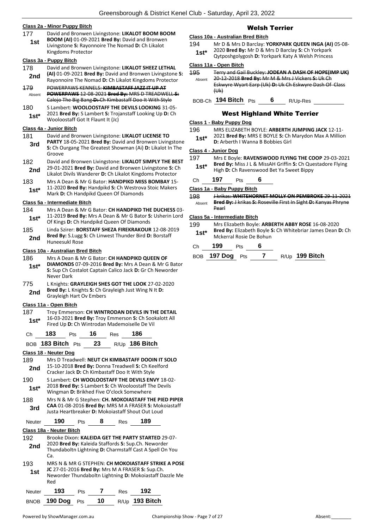#### **Class 2a - Minor Puppy Bitch**

177 David and Bronwen Livingstone: **LIKALOT BOOM BOOM BOOM (AI)** 01-09-2021 **Bred By:** David and Bronwen Livingstone **S:** Rayonnoire The Nomad **D:** Ch Likalot Kingdoms Protector **1st**

#### **Class 3a - Puppy Bitch**

- 178 David and Bronwen Livingstone: **LIKALOT SHEEZ LETHAL (AI)** 01-09-2021 **Bred By:** David and Bronwen Livingstone **S:**  Rayonnoire The Nomad **D:** Ch Likalot Kingdoms Protector **2nd**
- 179 POWERPAWS KENNELS: **KIMBASTAFF JAZZ IT UP AT POWERPAWS** 12-08-2021 **Bred By:** MRS D TREADWELL **S:**  Calojo The Big Bang **D:** Ch Kimbastaff Doo It With Style Absent
- 180 S Lambert: **WOOLOOSTAFF THE DEVILS LOOKING** 31-05-
- 2021 **Bred By:** S Lambert **S:** Trojanstaff Looking Up **D:** Ch Wooloostaff Got It Flaunt It (Jc) **1st\***

#### **Class 4a - Junior Bitch**

- 181 David and Bronwen Livingstone: **LIKALOT LICENSE TO**
- **PARTY** 18-05-2021 **Bred By:** David and Bronwen Livingstone **S:** Ch Ourgang The Greatest Showman (Ai) **D:** Likalot In The Groove **3rd**
- 182 David and Bronwen Livingstone: **LIKALOT SIMPLY THE BEST** 29-01-2021 **Bred By:** David and Bronwen Livingstone **S:** Ch Likalot Divils Wanderer **D:** Ch Likalot Kingdoms Protector **2nd**
- 183 Mrs A Dean & Mr G Bator: **HANDPIKD MISS BOMBAY** 15- 11-2020 **Bred By:** Handpikd **S:** Ch Westrova Stoic Makers
- **1st** 11-2020 **Bred By:** Handpikd S: Ch Westrov<br>Mark D: Ch Handpikd Queen Of Diamonds

# **Class 5a - Intermediate Bitch**

- 184 Mrs A Dean & Mr G Bator: **CH HANDPIKD THE DUCHESS** 03- 11-2019 **Bred By:** Mrs A Dean & Mr G Bator **S:** Usherin Lord **1St** 11-2019 **Bred By:** Mrs A Dean & Mr G Bator S<br>Of Kings **D:** Ch Handpikd Queen Of Diamonds
- 185 Linda Szirer: **BORSTAFF SHEZA FIREKRAKOUR** 12-08-2019 **Bred By:** S.Lugg **S:** Ch Linwest Thunder Bird **D:** Borstaff **2nd** Brea By: S.Lugg<br>Huneesukl Rose

#### **Class 10a - Australian Bred Bitch**

- 186 Mrs A Dean & Mr G Bator: **CH HANDPIKD QUEEN OF DIAMONDS** 07-09-2016 **Bred By:** Mrs A Dean & Mr G Bator **S:** Sup Ch Costalot Captain Calico Jack **D:** Gr Ch Neworder Never Dark **1st\***
- 775 L Knights: **GRAYLEIGH SHES GOT THE LOOK** 27-02-2020 **Bred By:** L Knights **S:** Ch Grayleigh Just Wing N It **D:**  Grayleigh Hart Ov Embers **2nd**

#### **Class 11a - Open Bitch**

187 Troy Emmerson: **CH WINTRODAN DEVILS IN THE DETAIL** 16-03-2021 **Bred By:** Troy Emmerson **S:** Ch Sookalott All Fired Up **D:** Ch Wintrodan Mademoiselle De Vil **1st\***

| Ch              | 183                   | Pts | 16 | Res  | 186                                                                                                                                                   |  |
|-----------------|-----------------------|-----|----|------|-------------------------------------------------------------------------------------------------------------------------------------------------------|--|
| BO <sub>B</sub> | 183 Bitch $P$ ts      |     | 23 | R/Up | 186 Bitch                                                                                                                                             |  |
|                 | Class 18 - Neuter Dog |     |    |      |                                                                                                                                                       |  |
| 189             |                       |     |    |      | Mrs D Treadwell: NEUT CH KIMBASTAFF DOOIN IT SOLO                                                                                                     |  |
| 2nd             |                       |     |    |      | 15-10-2018 Bred By: Donna Treadwell S: Ch Keelford<br>Cracker Jack D: Ch Kimbastaff Doo It With Style                                                 |  |
| 190<br>$1st^*$  |                       |     |    |      | S Lambert: CH WOOLOOSTAFF THE DEVILS ENVY 18-02-<br>2018 Bred By: S Lambert S: Ch Wooloostaff The Devils<br>Wingman D: Brikhed Five O'clock Somewhere |  |

188 Mrs N & Mr G Stephen: **CH. MOKOIASTAFF THE PIED PIPER CAA** 01-08-2016 **Bred By:** MRS M A FRASER **S:** Mokoiastaff **3rd** CAA 01-08-2016 Brea By: MKS M A FRASER S: MOK<br>Justa Heartbreaker D: Mokoiastaff Shout Out Loud

| Neuter     | 190                      | Pts | 8 | Res | 189                                                                                                                                                                      |  |
|------------|--------------------------|-----|---|-----|--------------------------------------------------------------------------------------------------------------------------------------------------------------------------|--|
|            | Class 18a - Neuter Bitch |     |   |     |                                                                                                                                                                          |  |
| 192        |                          |     |   |     | Brooke Dixon: KALEIDA GET THE PARTY STARTED 29-07-                                                                                                                       |  |
| 2nd        | Ca.                      |     |   |     | 2020 Bred By: Kaleida Staffords S: Sup.Ch. Neworder<br>Thundaboltn Lightning D: Charmstaff Cast A Spell On You                                                           |  |
| 193<br>1st | Red                      |     |   |     | MRS N & MR G STEPHEN: <b>CH MOKOIASTAFF STRIKE A POSE</b><br>JC 27-01-2016 Bred By: Mrs M A FRASER S: Sup.Ch.<br>Neworder Thundaboltn Lightning D: Mokoiastaff Dazzle Me |  |
| Neuter     | 193                      | Pts |   | Res | 192                                                                                                                                                                      |  |

BNOB **190 Dog** Pts **10** R/Up **193 Bitch**

# Welsh Terrier

# **Class 10a - Australian Bred Bitch**

- 194 Mr D & Mrs D Barclay: **YORKPARK QUEEN INGA (AI)** 05-08- 2020 **Bred By:** Mr D & Mrs D Barclay **S:** Ch Yorkpark **1st**\* 2020 Bred By: Mr D & Mrs D Barclay S: Ch Yorkpark Cytposhgolygosh D: Yorkpark Katy A Welsh Princess
	-

# **Class 11a - Open Bitch**

195 Terry and Gail Buckley: **JODEAN A DASH OF HOPE(IMP UK)** 20-12-2018 **Bred By:** Mr M & Mrs J Vickers **S:** Uk Ch Eskwyre Wyart Earp (Uk) **D:** Uk Ch Eskwyre Dash Of Class  $(HH)$ Absent

BOB-Ch **194 Bitch** Pts **6** R/Up-Res

West Highland White Terrier

#### **Class 1 - Baby Puppy Dog**

196 MRS ELIZABETH BOYLE: **ARBERTH JUMPING JACK** 12-11- 2021 **Bred By:** MRS E BOYLE **S:** Ch Marydon Max A Million **1st**\* **Diskapped By:** IVIND E BOYLE **3:** Ch

#### **Class 4 - Junior Dog**

- 197 Mrs E Boyle: **RAVENSWOOD FLYING THE COOP** 29-03-2021 **Bred By:** Miss J L & MissAH Griffin **S:** Ch Questadore Flying **1st\* Diea by:** IVIISS J L & IVIISSAH Griffin S: Ch Que<br>High D: Ch Ravenswood Bet Ya Sweet Bippy
	-

Ch **197** Pts **6**

**Class 1a - Baby Puppy Bitch**

198 J krikas: **WHITEHORNET MOLLY ON PEMBROKE** 29-11-2021 **Bred By:** J krikas **S:** Roseville First In Sight **D:** Kanyas Phryne Pearl Absent

#### **Class 5a - Intermediate Bitch**

199 Mrs Elizabeth Boyle: **ARBERTH ABBY ROSE** 16-08-2020 **Bred By:** Elizabeth Boyle **S:** Ch Whitebriar James Dean **D:** Ch **1st\*** Brea by: Elizabeth Boyle :<br>Mckerral Rosie De Bohun

| Ch | 199 | Pts | 6 |
|----|-----|-----|---|
|----|-----|-----|---|

| BOB 197 Dog Pts |  | $R/Up$ 199 Bitch |
|-----------------|--|------------------|
|                 |  |                  |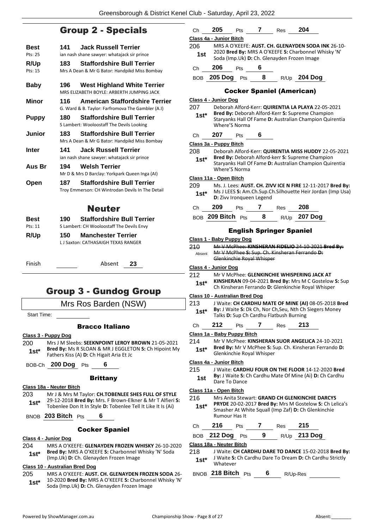# Group 2 - Specials

| <b>Best</b>   | 141  | <b>Jack Russell Terrier</b>                       |
|---------------|------|---------------------------------------------------|
| Pts: 25       |      | ian nash shane sawyer: whatajack sir prince       |
| R/Up          | 183  | <b>Staffordshire Bull Terrier</b>                 |
| Pts: 15       |      | Mrs A Dean & Mr G Bator: Handpikd Miss Bombay     |
| Baby          | 196  | West Highland White Terrier                       |
|               |      | MRS ELIZABETH BOYLE: ARBERTH JUMPING JACK         |
| Minor         | 116  | <b>American Staffordshire Terrier</b>             |
|               |      | G. Ward & B. Taylor: Farfromova The Gambler (A.I) |
| <b>Puppy</b>  | 180  | <b>Staffordshire Bull Terrier</b>                 |
|               |      | S Lambert: Wooloostaff The Devils Looking         |
| <b>Junior</b> | 183. | <b>Staffordshire Bull Terrier</b>                 |
|               |      | Mrs A Dean & Mr G Bator: Handpikd Miss Bombay     |
| <b>Inter</b>  | 141  | <b>Jack Russell Terrier</b>                       |
|               |      | ian nash shane sawyer: whatajack sir prince       |
| Aus Br        | 194  | <b>Welsh Terrier</b>                              |
|               |      | Mr D & Mrs D Barclay: Yorkpark Queen Inga (AI)    |
| Open          | 187  | <b>Staffordshire Bull Terrier</b>                 |
|               |      | Troy Emmerson: CH Wintrodan Devils In The Detail  |
|               |      | <b>Neuter</b>                                     |
| Best          | 190. | <b>Staffordshire Bull Terrier</b>                 |
| Pts: 11       |      | S Lambert: CH Wooloostaff The Devils Envy         |
| R/Up          | 150  | <b>Manchester Terrier</b>                         |
|               |      | L.J Saxton: CATHASAIGH TEXAS RANGER               |

Finish Absent **23**

# Group 3 - Gundog Group

# Mrs Ros Barden (NSW)

Start Time:

# Bracco Italiano

### **Class 3 - Puppy Dog**

200 Mrs J M Sleebs: **SEEKNPOINT LEROY BROWN** 21-05-2021 **Bred By:** Ms R SLOAN & MR J EGGLETON **S:** Ch Hipoint My **1st\*** Bred By: MS R SLOAN & MR J EGGLET

BOB-Ch **200 Dog** Pts **6**

#### Brittany

#### **Class 18a - Neuter Bitch**

203 Mr J & Mrs M Taylor: **CH.TOBENLEE SHES FULL OF STYLE** 29-12-2018 **Bred By:** Mrs. F Brown-Elkner & Mr T Alfieri **S: 1st**\* 29-12-2018 **Bred By:** Mrs. F Brown-Eikher & Mr T Aifferi<br>Tobenlee Don It In Style **D:** Tobenlee Tell It Like It Is (Ai)

BNOB **203 Bitch** Pts **6**

#### Cocker Spaniel

#### **Class 4 - Junior Dog**

204 MRS A O'KEEFE: **GLENAYDEN FROZEN WHISKY** 26-10-2020 **Bred By:** MRS A O'KEEFE **S:** Charbonnel Whisky 'N' Soda **1st\*** Brea by: MRS A O'REEFE S: Charbonnel W<br>(Imp.Uk) D: Ch. Glenayden Frozen Image

#### **Class 10 - Australian Bred Dog**

- 205 MRS A O'KEEFE: **AUST. CH. GLENAYDEN FROZEN SODA** 26- 10-2020 **Bred By:** MRS A O'KEEFE **S:** Charbonnel Whisky 'N'
	- Soda (Imp.Uk) **D:** Ch. Glenayden Frozen Image **1st\***

| Сh            | 205                             | Pts        | 7                          | Res                                     | 204                                                                                                              |
|---------------|---------------------------------|------------|----------------------------|-----------------------------------------|------------------------------------------------------------------------------------------------------------------|
|               | Class 4a - Junior Bitch         |            |                            |                                         |                                                                                                                  |
| 206           |                                 |            |                            |                                         | MRS A O'KEEFE: AUST. CH. GLENAYDEN SODA INK 26-10-                                                               |
| 1st           |                                 |            |                            |                                         | 2020 Bred By: MRS A O'KEEFE S: Charbonnel Whisky 'N'<br>Soda (Imp.Uk) D: Ch. Glenayden Frozen Image              |
| Сh            | 206                             | <b>Pts</b> | 6                          |                                         |                                                                                                                  |
|               |                                 |            |                            |                                         | BOB 205 Dog Pts 8 R/Up 204 Dog                                                                                   |
|               |                                 |            |                            | <b>Cocker Spaniel (American)</b>        |                                                                                                                  |
|               | Class 4 - Junior Dog            |            |                            |                                         |                                                                                                                  |
| 207           |                                 |            |                            |                                         | Deborah Alford-Kerr: QUIRENTIA LA PLAYA 22-05-2021                                                               |
| $1st*$        |                                 |            |                            |                                         | Bred By: Deborah Alford-Kerr S: Supreme Champion                                                                 |
|               | Where'S Norma                   |            |                            |                                         | Staryanks Hall Of Fame D: Australian Champion Quirentia                                                          |
| Ch            | 207                             | Pts        | $\overline{\phantom{a}}$ 6 |                                         |                                                                                                                  |
|               | Class 3a - Puppy Bitch          |            |                            |                                         |                                                                                                                  |
| 208           |                                 |            |                            |                                         | Deborah Alford-Kerr: QUIRENTIA MISS HUDDY 22-05-2021                                                             |
| $1st^*$       |                                 |            |                            |                                         | Bred By: Deborah Alford-kerr S: Supreme Champion                                                                 |
|               | Where'S Norma                   |            |                            |                                         | Staryanks Hall Of Fame D: Australian Champion Quirentia                                                          |
|               | Class 11a - Open Bitch          |            |                            |                                         |                                                                                                                  |
| 209           |                                 |            |                            |                                         | Ms. J. Lees: AUST. CH. ZIVV ICE N FIRE 12-11-2017 Bred By:                                                       |
| $1st^*$       | <b>D:</b> Zivy Ironqueen Legend |            |                            |                                         | Ms J LEES S: Am.Ch.Sup.Ch.Silhouette Heir Jordan (Imp Usa)                                                       |
| Сh            | 209                             | <b>Pts</b> |                            | $7 \text{ Res}$ 208                     |                                                                                                                  |
|               |                                 |            |                            |                                         | BOB 209 Bitch Pts 8 R/Up 207 Dog                                                                                 |
|               |                                 |            |                            | <b>English Springer Spaniel</b>         |                                                                                                                  |
|               | Class 1 - Baby Puppy Dog        |            |                            |                                         |                                                                                                                  |
|               |                                 |            |                            |                                         |                                                                                                                  |
|               |                                 |            |                            |                                         |                                                                                                                  |
| 210<br>Absent |                                 |            |                            |                                         | Mr V McPhee: KINSHERAN FIDELIO 24-10-2021 Bred By:<br>Mr V McPhee S: Sup. Ch. Kinsheran Ferrando D:              |
|               | Glenkinchie Royal Whisper       |            |                            |                                         |                                                                                                                  |
|               | Class 4 - Junior Dog            |            |                            |                                         |                                                                                                                  |
| 212           |                                 |            |                            |                                         | Mr V McPhee: GLENKINCHIE WHISPERING JACK AT                                                                      |
| 1st*          |                                 |            |                            |                                         | KINSHERAN 09-04-2021 Bred By: Mrs M C Gostelow S: Sup                                                            |
|               |                                 |            |                            |                                         | Ch Kinsheran Ferrando D: Glenkinchie Royal Whisper                                                               |
|               | Class 10 - Australian Bred Dog  |            |                            |                                         |                                                                                                                  |
| 213           |                                 |            |                            |                                         | J Waite: CH CARDHU MATE OF MINE (AI) 08-05-2018 Bred                                                             |
| 1st*          |                                 |            |                            | Talks D: Sup Ch Cardhu Flatbush Burning | By: J Waite S: Dk Ch, Nor Ch, Seu, Nth Ch Siegers Money                                                          |
|               |                                 |            |                            |                                         |                                                                                                                  |
| Ch            | 212                             | Pts        | 7                          | Res                                     | 213                                                                                                              |
|               | Class 1a - Baby Puppy Bitch     |            |                            |                                         |                                                                                                                  |
| 214           |                                 |            |                            |                                         | Mr V McPhee: KINSHERAN SUOR ANGELICA 24-10-2021                                                                  |
| 1st*          | Glenkinchie Royal Whisper       |            |                            |                                         | Bred By: Mr V McPhee S: Sup. Ch. Kinsheran Ferrando D:                                                           |
|               | Class 4a - Junior Bitch         |            |                            |                                         |                                                                                                                  |
| 215           |                                 |            |                            |                                         | J Waite: CARDHU FOUR ON THE FLOOR 14-12-2020 Bred                                                                |
|               |                                 |            |                            |                                         | By: J Waite S: Ch Cardhu Mate Of Mine (Ai) D: Ch Cardhu                                                          |
| 1st           | Dare To Dance                   |            |                            |                                         |                                                                                                                  |
|               | Class 11a - Open Bitch          |            |                            |                                         |                                                                                                                  |
| 216           |                                 |            |                            |                                         | Mrs Anita Stewart: GRAND CH GLENKINCHIE DARCYS                                                                   |
| $1st*$        |                                 |            |                            |                                         | PRYDE 20-02-2017 Bred By: Mrs M Gostelow S: Ch Lelica's                                                          |
|               | Rumour Has It                   |            |                            |                                         | Smasher At White Squall (Imp Zaf) D: Ch Glenkinchie                                                              |
| Ch            | 216                             | Pts        | 7                          | Res                                     | 215                                                                                                              |
|               | <b>BOB</b> 212 Dog              | <b>Pts</b> | 9                          |                                         | R/Up 213 Dog                                                                                                     |
|               | Class 18a - Neuter Bitch        |            |                            |                                         |                                                                                                                  |
| 218<br>$1st*$ |                                 |            |                            |                                         | J Waite: CH CARDHU DARE TO DANCE 15-02-2018 Bred By:<br>J Waite S: Ch Cardhu Dare To Dream D: Ch Cardhu Strictly |

BNOB **218 Bitch** Pts **6** R/Up-Res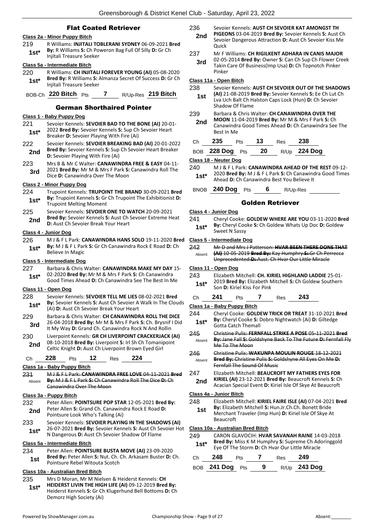#### Flat Coated Retriever

#### **Class 2a - Minor Puppy Bitch**

- 219 R Williams: **INJITALI TOBLERANI SYDNEY** 06-09-2021 **Bred**
- **By:** R Williams **S:** Ch Poweron Bag Full Of Silly **D:** Gr Ch **1st\* by:** K williams **5:** Ch Pow<br>Injitali Treasure Seeker

### **Class 5a - Intermediate Bitch**

220 R Williams: **CH INJITALI FOREVER YOUNG (AI)** 05-08-2020 **Bred By:** R Williams **S:** Almanza Secret Of Success **D:** Gr Ch **1st\* Injitali Treasure Seeker** 

# BOB-Ch **220 Bitch** Pts **7** R/Up-Res **219 Bitch**

#### German Shorthaired Pointer

#### **Class 1 - Baby Puppy Dog**

- 221 Sevoier Kennels: **SEVOIER BAD TO THE BONE (AI)** 20-01- 2022 **Bred By:** Sevoier Kennels **S:** Sup Ch Sevoier Heart **1st**\* 2022 **Brea By:** Sevoier Kennels **S:** Sup Charge Breaker **D:** Sevoier Playing With Fire (Ai)
- 222 Sevoier Kennels: **SEVOIER BREAKING BAD (AI)** 20-01-2022 **Bred By:** Sevoier Kennels **S:** Sup Ch Sevoier Heart Breaker **2nd Direct by:** Sevoier Kennels **5:** Sup **D:** Sevoier Playing With Fire (Ai)
- 223 Mrs B & Mr C Walter: **CANAWINDRA FREE & EASY** 04-11- 2021 **Bred By:** Mr M & Mrs F Park **S:** Canawindra Roll The **3rd Dividing Dividing Strategier Strategier Discriming Dividing Over The Moon**

#### **Class 2 - Minor Puppy Dog**

- 224 Trupoint Kennels: **TRUPOINT THE BRAND** 30-09-2021 **Bred By:** Trupoint Kennels **S:** Gr Ch Trupoint The Exhibitionist **D: 1st\* by:** Trupoint Nething Moment
- 225 Sevoier Kennels: **SEVOIER ONE TO WATCH** 20-09-2021 **Bred By:** Sevoier Kennels **S:** Aust Ch Sevoier Extreme Heat **2nd Died by:** Sevoier Kenners **3:** Aust Ch 3: **Dec** D: Aust Ch Sevoier Break Your Heart

#### **Class 4 - Junior Dog**

226 M J & F L Park: **CANAWINDRA HANS SOLO** 19-11-2020 **Bred By:** M J & F L Park **S:** Gr Ch Canawindra Rock E Road **D:** Ch **1st<sup>\*</sup> Dy:** IVIJ & F L Part

#### **Class 5 - Intermediate Dog**

227 Barbara & Chris Walter: **CANAWINDRA MAKE MY DAY** 15- 02-2020 **Bred By:** Mr M & Mrs F Park **S:** Ch Canawindra Good Times Ahead **D:** Ch Canawindra See The Best In Me **1st\***

#### **Class 11 - Open Dog**

- 228 Sevoier Kennels: **SEVOIER TELL ME LIES** 08-02-2021 **Bred By:** Sevoier Kennels **S:** Aust Ch Sevoier A Walk In The Clouds
- **1st\* By:** Sevoier Kennels **5:** Aust Ch Sevoier A<br>(Ai) **D:** Aust Ch Sevoier Break Your Heart 229 Barbara & Chris Walter: **CH CANAWINDRA ROLL THE DICE**
- 26-04-2018 **Bred By:** Mr M & Mrs F Park **S:** Ch. Brysnif I Did **3rd** 20-04-2018 **Brea By:** NIT M & MIS F Park **3:** Cn. Bryshill **1.** It My Way **D:** Grand Ch. Canawindra Rock N And Rollin
- 230 Liverpoint Kennels: **GR CH LIVERPOINT CRACKERJACK (AI)** 08-10-2018 **Bred By:** Liverpoint **S:** Irl Sh Ch Tomanipoint 2nd U8-10-2018 Brea By: Liverpoint S: Iri Sn Ch Tomani<br>Celtic Knight D: Aust Ch Liverpoint Brown Eyed Girl
	- Ch **228** Pts **12** Res **224**

#### **Class 1a - Baby Puppy Bitch**

231 M J & F L Park: **CANAWINDRA FREE LOVE** 04-11-2021 **Bred By:** M J & F L Park **S:** Ch Canawindra Roll The Dice **D:** Ch Canawindra Over The Moon Absent

#### **Class 3a - Puppy Bitch**

- 232 Peter Allen: **POINTSURE POP STAR** 12-05-2021 **Bred By:** Peter Allen **S:** Grand Ch. Canawindra Rock E Road **D: 2nd** Peter Allen **S**: Grand Cn. Canawing<br>**Pointsure Look Who's Talking (Ai)**
- 233 Sevoier Kennels: **SEVOIER PLAYING IN THE SHADOWS (AI)** 26-07-2021 **Bred By:** Sevoier Kennels **S:** Aust Ch Sevoier Hot 1st\* 20-07-2021 Brea by: Sevoier Kennels S: Aust Ch Sexelen N Dangerous D: Aust Ch Sevoier Shadow Of Flame

#### **Class 5a - Intermediate Bitch**

234 Peter Allen: **POINTSURE BUSTA MOVE (AI)** 23-09-2020 **Bred By:** Peter Allen **S:** Nut. Ch. Ch. Arkasam Buster **D:** Ch. **1st Brea by:** Peter Allen **3:** Nut. Cn.<br>Pointsure Rebel Witouta Scotch

#### **Class 10a - Australian Bred Bitch**

235 Mrs D Moran, Mr M Nielsen & Heiderst Kennels: **CH HEIDERST LIVIN THE HIGH LIFE (AI)** 09-12-2019 **Bred By:** Heiderst Kennels **S:** Gr Ch Klugerhund Bell Bottoms **D:** Ch Demorz High Society (Ai) **1st\***

236 Sevoier Kennels: **AUST CH SEVOIER KAT AMONGST TH** 

- **PIGEONS** 03-04-2019 **Bred By:** Sevoier Kennels **S:** Aust Ch Sevoier Dangerous Attraction **D:** Aust Ch Sevoier Kiss Me Quick **2nd**
- 237 Mr F Williams: **CH RIGILKENT ADHARA IN CANIS MAJOR**
	- 02-05-2014 **Bred By:** Owner **S:** Can Ch Sup Ch Flower Creek Takin Care Of Business(Imp Usa) **D:** Ch Topnotch Pinker Pinker **3rd**

# **Class 11a - Open Bitch**

| 238<br>1st |                       | Shadow Of Flame |    |                  | Sevoier Kennels: AUST CH SEVOIER OUT OF THE SHADOWS<br>(AI) 21-08-2019 Bred By: Sevoier Kennels S: Ee Ch Lut Ch<br>Lva Uch Balt Ch Halston Caps Lock (Hun) D: Ch Sevoier        |  |
|------------|-----------------------|-----------------|----|------------------|---------------------------------------------------------------------------------------------------------------------------------------------------------------------------------|--|
| 239<br>2nd | Best In Me            |                 |    |                  | Barbara & Chris Walter: CH CANAWINDRA OVER THE<br><b>MOON</b> 11-04-2019 <b>Bred By:</b> Mr M & Mrs F Park <b>S:</b> Ch<br>Canawindra Good Times Ahead D: Ch Canawindra See The |  |
| Ch         | 235                   | Pts             | 13 | Res              | 238                                                                                                                                                                             |  |
| <b>BOB</b> | <b>228 Dog</b>        | Pts             | 20 | R/U <sub>p</sub> | <b>224 Dog</b>                                                                                                                                                                  |  |
|            | Class 18 - Neuter Dog |                 |    |                  |                                                                                                                                                                                 |  |

240 M J & F L Park: **CANAWINDRA AHEAD OF THE REST** 09-12- 2020 **Bred By:** M J & F L Park **S:** Ch Canawindra Good Times **1st**\* 2020 **Brea By:** M J & F L Park **S:** Ch Canawind<br>Ahead **D:** Ch Canawindra Best You Believe It

BNOB **240 Dog** Pts **6** R/Up-Res

#### Golden Retriever

#### **Class 4 - Junior Dog**

241 Cheryl Cooke: **GOLDEW WHERE ARE YOU** 03-11-2020 **Bred By:** Cheryl Cooke **S:** Ch Goldew Whats Up Doc **D:** Goldew **1st<sup>\*</sup> by:** Cheryl Cod

#### **Class 5 - Intermediate Dog**

242 Mr D and Mrs J Patterson: **HVAR BEEN THERE DONE THAT (AI)** 10-05-2019 **Bred By:** Kay Humphry **S:** Gr Ch Perrecca Unprecedented **D:** Aust. Ch Hvar Our Little Miracle Absent

#### **Class 11 - Open Dog**

243 Elizabeth Mitchell: **CH. KIRIEL HIGHLAND LADDIE** 25-01- 2019 **Bred By:** Elizabeth Mitchell **S:** Ch Goldew Southern **1st**\* 2019 **Bred By:** Elizabeth N<br>Son **D:** Kiriel Kiss For Pink

#### Ch **241** Pts **7** Res **243**

### **Class 1a - Baby Puppy Bitch**

- 244 Cheryl Cooke: **GOLDEW TRICK OR TREAT** 31-10-2021 **Bred By:** Cheryl Cooke **S:** Dobro Nightwatch (Ai) **D:** Giltedge **1st\* By:** Cheryl Cooke **S:** I
- 245 Christine Pulis: **FERNFALL STRIKE A POSE** 05-11-2021 **Bred By:** Jane Fall **S:** Goldshyne Back To The Future **D:** Fernfall Fly Me To The Moon Absent
- 246 Christine Pulis: **WAKUNPA MOULIN ROUGE** 18-12-2021 **Bred By:** Christine Pulis **S:** Goldshyne All Eyes On Me **D:**  Fernfall The Sound Of Music Absent
- 247 Elizabeth Mitchell: **BEAUCROFT MY FATHERS EYES FOR** 
	- **KIRIEL (AI)** 23-12-2021 **Bred By:** Beaucroft Kennels **S:** Ch **2nd** KIRIEL (AI) 23-12-2021 Bred By: Beaucroft Kennels S: Cr<br>Acacian Special Event D: Kiriel Isle Of Skye At Beaucroft

#### **Class 4a - Junior Bitch**

- 248 Elizabeth Mitchell: **KIRIEL FAIRE ISLE (AI)** 07-04-2021 **Bred**
- **By:** Elizabeth Mitchell **S:** Hun.Jr.Ch.Ch. Bonett Bride Merchant Traveler (Imp Hun) **D:** Kiriel Isle Of Skye At Beaucroft **1st**

#### **Class 10a - Australian Bred Bitch**

- 249 CARON GLAVOCIH: **HVAR SAVANAH RAINE** 14-03-2018
	- **Bred By:** Miss K M Humphry **S:** Supreme Ch Adoringgold **1st Brea by:** MISS K M Humphry **5:** Supreme Ch Ad<br>Eye Of The Storm **D:** Ch Hvar Our Little Miracle

| Ch | 248             | <b>Pts</b> |   | Res | - 249               |
|----|-----------------|------------|---|-----|---------------------|
|    | BOB 241 Dog Pts |            | 9 |     | R/Up <b>243 Dog</b> |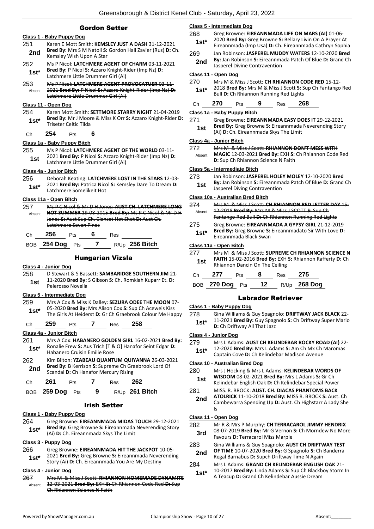# Gordon Setter

#### **Class 1 - Baby Puppy Dog**

- 251 Karen E Mott Smith: **KEMSLEY JUST A DASH** 31-12-2021 **Bred By:** Mrs S M Natoli **S:** Gordon Hall Zavier (Rus) **D:** Ch. **2nd** Brea By: Mrs 5 M Natoli S:<br>*Kemsley Wish Upon A Star*
- 252 Ms P Nicol: **LATCHMERE AGENT OF CHARM** 03-11-2021 **Bred By:** P Nicol **S:** Azzaro Knight-Rider (Imp Nz) **D: 1st\*** Bred By: P Nicol S: Azzaro Knight-R<br>Latchmere Little Drummer Girl (Ai)
- 253 Ms P Nicol: **LATCHMERE AGENT PROVOCATUER** 03-11- 2021 **Bred By:** P Nicol **S:** Azzaro Knight-Rider (Imp Nz) **D:**  Latchmere Little Drummer Girl (Ai) Absent

#### **Class 11 - Open Dog**

- 254 Karen Mott Smith: **SETTMORE STARRY NIGHT** 21-04-2019 **Bred By:** Mr J Moore & Miss K Orr **S:** Azzaro Knight-Rider **D: 1st\* Brea By:** MIT J Moor<br>Triseter Celtic Tilda
- Ch **254** Pts **6**

#### **Class 1a - Baby Puppy Bitch**

255 Ms P Nicol: **LATCHMERE AGENT OF THE WORLD** 03-11- 2021 **Bred By:** P Nicol **S:** Azzaro Knight-Rider (Imp Nz) **D:**  1st 2021 Brea By: P Nicol S: Azzaro Kni<br>Latchmere Little Drummer Girl (Ai)

#### **Class 4a - Junior Bitch**

256 Deborah Keating: **LATCHMERE LOST IN THE STARS** 12-03- 2021 **Bred By:** Patrica Nicol **S:** Kemsley Dare To Dream **D: 1st\* Latchmere Somelikeit Hot 1st\* Latchmere Somelikeit Hot** 

#### **Class 11a - Open Bitch**

257 Ms P C Nicol & Mr D H Jones: **AUST CH. LATCHMERE LONG HOT SUMMER** 19-08-2015 **Bred By:** Ms P C Nicol & Mr D H Jones **S:** Aust Sup Ch. Clanset Hot Shot **D:** Aust Ch. Latchmere Seven Pines Absent

|  | Сh | 256 | ীts |  | Res |  |
|--|----|-----|-----|--|-----|--|
|--|----|-----|-----|--|-----|--|

| BOB 254 Dog Pts | $R/Up$ 256 Bitch |  |  |  |  |
|-----------------|------------------|--|--|--|--|
|-----------------|------------------|--|--|--|--|

### Hungarian Vizsla

#### **Class 4 - Junior Dog**

258 D Stewart & S Bassett: **SAMBARIDGE SOUTHERN JIM** 21- 11-2020 **Bred By:** S Gibson **S:** Ch. Romkiah Kuparr Et. **D: 1st 11-2020 Brea By:**<br>Pelerosso Novella

#### **Class 5 - Intermediate Dog**

259 Mrs A Cox & Miss K Dalley: **SEZURA ODEE THE MOON** 07- 05-2020 **Bred By:** Mrs Alison Cox **S:** Sup Ch Aceweis Kiss **1st** US-2020 **Bred By:** Mrs Alison Cox S: Sup Ch Acewels Kiss<br>The Girls At Heiderst **D:** Gr Ch Graebrook Colour Me Happy

Ch **259** Pts **7** Res **258**

#### **Class 4a - Junior Bitch**

- 261 Mrs A Cox: **HABANERO GOLDEN GIRL** 16-02-2021 **Bred By:** Ronalie Frew **S:** Aus Trich [T & O] Hanafor Seint Edgar **D:**  Habanero Cruisin Emilie Rose **1st\***
- 262 Kim Bilton: **YZABEAU QUANTUM QUIYANNA** 26-03-2021 **Bred By:** B Kerrison **S:** Supreme Ch Graebrook Lord Of **2nd Brea By:** B Kerrison **S:** Supreme Ch Grandal **D:** Ch Hanafor Mercury Rising

| Ch. | 261             | <b>Pts</b> |     | Res | 262              |
|-----|-----------------|------------|-----|-----|------------------|
|     | BOB 259 Dog Pts |            | - 9 |     | $R/Up$ 261 Bitch |

#### Irish Setter

#### **Class 1 - Baby Puppy Dog**

264 Greg Browne: **EIREANNMADA MIDAS TOUCH** 29-12-2021 **Bred By:** Greg Browne **S:** Eireannmada Neverending Story **1st\* Brea By:** Greg Browne **S:** Eireannmada<br>(Ai) **D:** Ch. Eireannmada Skys The Limit

#### **Class 3 - Puppy Dog**

- 266 Greg Browne: **EIREANNMADA HIT THE JACKPOT** 10-05-
- 2021 **Bred By:** Greg Browne **S:** Eireannmada Neverending **1st** 2021 **Bred By:** Greg Browne S: Eireannmada Neve<br>Story (Ai) D: Ch. Eireannmada You Are My Destiny

#### **Class 4 - Junior Dog**

267 Mrs M & Miss J Scott: **RHIANNON HOMEMADE DYNAMITE** 12-03-2021 **Bred By:** EXH **S:** Ch Rhiannon Code Red **D:** Sup Ch Rhiannon Science N Faith Absent

#### **Class 5 - Intermediate Dog**

- 268 Greg Browne: **EIREANNMADA LIFE ON MARS (AI)** 01-06- 2020 **Bred By:** Greg Browne **S:** Bellary Livin On A Prayer At
- Eireannmada (Imp Usa) **D:** Ch. Eireannmada Cathryn Sophia **1st\***
- 269 Jan Robinson: **JASPEREL MUDDY WATERS** 12-10-2020 **Bred By:** Jan Robinson **S:** Eireannmada Patch Of Blue **D:** Grand Ch **2nd By:** Jan Robinson **5:** Eireannmand **By:** Jasperel Divine Contravention

#### **Class 11 - Open Dog**

- 270 Mrs M & Miss J Scott: **CH RHIANNON CODE RED** 15-12-
- 2018 **Bred By:** Mrs M & Miss J Scott **S:** Sup Ch Fantango Red **1st**\* 2018 **Bred By:** Mrs M & Miss J Scott **S:** S<br>Bull **D:** Ch Rhiannon Running Red Lights

#### Ch **270** Pts **9** Res **268**

### **Class 1a - Baby Puppy Bitch**

271 Greg Browne: **EIREANNMADA EASY DOES IT** 29-12-2021 **Bred By:** Greg Browne **S:** Eireannmada Neverending Story **1st** Brea by: Greg Browne **5**: Eireannmada<br>(Ai) **D**: Ch. Eireannmada Skys The Limit

#### **Class 4a - Junior Bitch**

- 272 Mrs M & Miss J Scott: **RHIANNON DON'T MESS WITH** 
	- **MAGIC** 12-03-2021 **Bred By:** EXH **S:** Ch Rhiannon Code Red **D:** Sup Ch Rhiannon Science N Faith Absent

#### **Class 5a - Intermediate Bitch**

273 Jan Robinson: **JASPEREL HOLEY MOLEY** 12-10-2020 **Bred By:** Jan Robinson **S:** Eireannmada Patch Of Blue **D:** Grand Ch **1st By:** Jan Robinson **5:** Elreannman **1st** Jasperel Diving Contravention

#### **Class 10a - Australian Bred Bitch**

- 274 Mrs M & Miss J Scott: **CH RHIANNON RED LETTER DAY** 15- 12-2018 **Bred By:** Mrs M & Miss J SCOTT **S:** Sup Ch Fantango Red Bull **D:** Ch Rhiannon Running Red Lights Absent
- 275 Greg Browne: **EIREANNMADA A GYPSY GIRL** 21-12-2019 **Bred By:** Greg Browne **S:** Eireannmadato Sir With Love **D: 1st<sup>\*</sup> Bred By:** Greg Browne S:<br>Eireannmada Black Swan

#### **Class 11a - Open Bitch**

| 277 | Mrs M & Miss J Scott: SUPREME CH RHIANNON SCIENCE N                                        |
|-----|--------------------------------------------------------------------------------------------|
| 1st | FAITH 15-02-2016 Bred By: EXH S: Rhiannon Rafferty D: Ch<br>Rhiannon Dancin On The Ceiling |
|     |                                                                                            |

# Ch **277** Pts **8** Res **275** BOB **270 Dog** Pts **12** R/Up **268 Dog**

# Labrador Retriever

#### **Class 1 - Baby Puppy Dog**

278 Gina Williams & Guy Spagnolo: **DRIFTWAY JACK BLACK** 22- 11-2021 **Bred By:** Guy Spagnolo **S:** Ch Driftway Super Mario **1st**\* **11-2021 Brea By:** Guy Spage<br>**D:** Ch Driftway All That Jazz

#### **Class 4 - Junior Dog**

- 279 Mrs L Adams: **AUST CH KELINDEBAR ROCKY ROAD (AI)** 22-
	- 12-2020 **Bred By:** Mrs L Adams **S:** Am Ch Mx Ch Maromas 1st\* L2-2020 Brea By: Mrs L Adams 5: Am Cn Mx Cn<br>Captain Cove D: Ch Kelindebar Madison Avenue

#### **Class 10 - Australian Bred Dog**

- 280 Mrs J Hocking & Mrs L Adams: **KELINDEBAR WORDS OF WISDOM** 08-02-2021 **Bred By:** Mrs L Adams **S:** Gr Ch **1st MISDUM** 08-02-2021 **Bred By:** MISL Adams **3:** GFCN<br>Kelindebar English Oak **D:** Ch Kelindebar Special Power
- 281 MISS. R. BROCK: **AUST. CH. DIACAS PHANTOMS BACK**
- **ATOLRICK** 11-10-2018 **Bred By:** MISS R. BROCK **S:** Aust. Ch Cambewarra Spending Up **D:** Aust. Ch Highstarr A Lady She Is **2nd**

#### **Class 11 - Open Dog**

- 282 Mr R & Mrs P Murphy: **CH TERRACAROL JIMMY HENDRIX**
	- 08-07-2019 **Bred By:** Mr G Vernon **S:** Ch Morndew No More **3rd** U8-07-2019 **Brea By:** Mr G vernon<br>Favours **D:** Terracarol Miss Marple
- 283 Gina Williams & Guy Spagnolo: **AUST CH DRIFTWAY TEST** 
	- **OF TIME** 10-07-2020 **Bred By:** G Spagnolo **S:** Ch Banderra 2nd **DE TIME 10-07-2020 Brea By: G Spagnolo S: Cn**<br>Regal Barnabus **D:** Supch Driftway Time N Again
- 284 Mrs L Adams: **GRAND CH KELINDEBAR ENGLISH OAK** 21-
- 10-2017 **Bred By:** Linda Adams **S:** Sup Ch Blackboy Storm In **19th** 10-2017 Bred By: Linda Adams S: Sup Ch Blackb<br>A Teacup D: Grand Ch Kelindebar Aussie Dream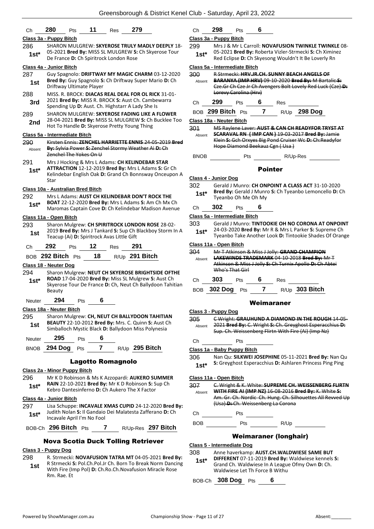| Ch          | 11<br>280<br>279<br>Pts<br>Res                                                                                | Сh                     | 29              |
|-------------|---------------------------------------------------------------------------------------------------------------|------------------------|-----------------|
|             | Class 3a - Puppy Bitch                                                                                        | Class 3a - Pu          |                 |
| 286         | SHARON MULGREW: SKYEROSE TRULY MADLY DEEPLY 18-                                                               | 299                    | Mr              |
| 1st*        | 05-2021 Bred By: MISS SL MULGREW S: Ch Skyerose Tour<br>De France D: Ch Spiritrock London Rose                | $1st^*$                | 05<br>Re        |
|             | Class 4a - Junior Bitch                                                                                       | Class 5a - Int         |                 |
| 287         | Guy Spagnolo: DRIFTWAY MY MAGIC CHARM 03-12-2020                                                              | 300                    | RS              |
| 1st         | Bred By: Guy Spagnolo S: Ch Driftway Super Mario D: Ch<br>Driftway Ultimate Player                            | Absent                 | В٨<br>Cz        |
| 288         | MISS. R. BROCK: DIACAS REAL DEAL FOR OL RICK 31-01-                                                           |                        | Ł٥              |
| 3rd         | 2021 Bred By: MISS R. BROCK S: Aust Ch. Cambewarra<br>Spending Up D: Aust. Ch. Highstarr A Lady She Is        | Ch                     | 29              |
| 289         | SHARON MULGREW: SKYEROSE FADING LIKE A FLOWER                                                                 | BOB 299                |                 |
| 2nd         | 28-04-2021 Bred By: MISS SL MULGREW S: Ch Bucklee Too                                                         | <u> Class 18a - N</u>  |                 |
|             | Hot To Handle D: Skyerose Pretty Young Thing                                                                  | 301                    | <b>MS</b>       |
|             | Class 5a - Intermediate Bitch                                                                                 | Absent                 | SG.<br>Kle      |
| 290         | Kirsten Ennis: ZENCHEL HARRIETTE ENNIS 24-05-2019 Bred<br>By: Sylvia Power S: Zenchel Stormy Weather Ai-D: Ch |                        | Ho              |
| Absent      | Zenchel The Yokes On U                                                                                        | <b>BNOB</b>            |                 |
| 291         | Mrs J Hocking & Mrs L Adams: CH KELINDEBAR STAR                                                               |                        |                 |
| $1st*$      | ATTRACTION 12-12-2019 Bred By: Mrs L Adams S: Gr Ch                                                           |                        |                 |
|             | Kelindebar English Oak D: Grand Ch Bonnsway Onceupon A<br>Star                                                | Class 4 - Jun          |                 |
|             | Class 10a - Australian Bred Bitch                                                                             | 302                    | Ge              |
| 292         | Mrs L Adams: AUST CH KELINDEBAR DON'T ROCK THE                                                                | 1st*                   | Bro             |
| $1st*$      | <b>BOAT</b> 22-12-2020 <b>Bred By:</b> Mrs L Adams <b>S:</b> Am Ch Mx Ch                                      |                        | Ty(             |
|             | Maromas Captain Cove D: Ch Kelindebar Madison Avenue                                                          | Сh                     | 30 <sub>2</sub> |
|             | Class 11a - Open Bitch                                                                                        | <u> Class 5a - Int</u> |                 |
| 293         | Sharon Mulgrew: CH SPIRITROCK LONDON ROSE 28-02-                                                              | 303                    | Ge<br>24        |
| 1st         | 2019 Bred By: Mrs J Tankard S: Sup Ch Blackboy Storm In A<br>Teacup (Ai) D: Spiritrock Avas Little Gift       | $1st*$                 | Ty(             |
| Ch          | 292<br>12<br>291<br><b>Res</b><br><b>Pts</b>                                                                  | Class 11a - C          |                 |
|             | 18<br>R/Up 291 Bitch<br>BOB 292 Bitch Pts                                                                     | 304                    | Mr<br>LА        |
|             | Class 18 - Neuter Dog                                                                                         | Absent                 | Atl             |
| 294         | Sharon Mulgrew: NEUT CH SKYEROSE BRIGHTSIDE OFTHE                                                             |                        | Wł              |
| $1st^*$     | ROAD 17-04-2020 Bred By: Miss SL Mulgrew S: Aust Ch                                                           | Сh                     | 30 <sup>°</sup> |
|             | Skyerose Tour De France D: Ch, Neut Ch Ballydoon Tahitian<br>Beauty                                           | BOB                    | 302             |
|             |                                                                                                               |                        |                 |
| Neuter      | 294<br>6<br>Pts                                                                                               |                        |                 |
| 295         | Class 18a - Neuter Bitch<br>Sharon Mulgrew: CH, NEUT CH BALLYDOON TAHITIAN                                    | <u> Class 3 - Pur</u>  |                 |
|             | <b>BEAUTY 22-10-2012 Bred By: Mrs. C. Quinn S: Aust Ch</b>                                                    | 305                    | £۷              |
| 1st         | Simballoch Mystic Black D: Ballydoon Miss Polynesia                                                           | Absent                 | 20.<br>Sщ       |
| Neuter      | 295<br>6<br>Pts                                                                                               | Сh                     |                 |
| <b>BNOB</b> | 7 R/Up 295 Bitch<br><b>294 Dog</b><br>Pts                                                                     | Class 1a - Ba          |                 |
|             |                                                                                                               | 306                    | Na              |
|             | Lagotto Romagnolo                                                                                             | $1st*$                 | S: ۱            |
|             | Class 2a - Minor Puppy Bitch                                                                                  |                        |                 |
| 296         | Mr K D Robinson & Ms K Azzopardi: <b>AUKERO SUMMER</b><br>RAIN 22-10-2021 Bred By: Mr K D Robinson S: Sup Ch  | Class 11a - C          |                 |
| $1st^*$     | Kebro Dantesinferno D: Ch Aukero The X Factor                                                                 | 307<br>Absent          | $\epsilon$<br>w |
|             | Class 4a - Junior Bitch                                                                                       |                        | Αm              |
| 297         | Lisa Schuppe: <b>INCAVALE XMAS CUPID</b> 24-12-2020 <b>Bred By:</b>                                           |                        | بىب             |
| $1st*$      | Judith Nolan S: Il Gandaio Dei Malatesta Zafferano D: Ch                                                      | Ch                     |                 |
|             | Incavale April I'm No Fool                                                                                    | BOB                    |                 |
|             | BOB-Ch 296 Bitch Pts<br>7 R/Up-Res 297 Bitch                                                                  |                        |                 |
|             | <b>Nova Scotia Duck Tolling Retriever</b>                                                                     |                        |                 |
|             |                                                                                                               | Class 5 - Inte         |                 |

# **Class 3 - Puppy Dog**

298 R. Strmecki: **NOVAFUSION TATRA MT** 04-05-2021 **Bred By:** R Strmecki **S:** Pol.Ch.Pol.Jr Ch. Born To Break Norm Dancing With Fire (Imp Pol) **D:** Ch.Ro.Ch.Novafusion Miracle Rose Rm. Rae. Et **1st**

# Ch **298** Pts **6**

#### **Class 3a - Puppy Bitch**

**29 J & Mr L Carroll: NOVAFUSION TWINKLE TWINKLE** 08-05-2021 **Bred By:** Roberta Vizler-Strmecki **S:** Ch Ximinez Red Eclipse **D:** Ch Skyesong Wouldn't It Be Loverly Rn **1st\***

#### **Class 5a - Intermediate Bitch**

| 300<br>Absent | <b>R Strmecki: HRV.JR.CH. SUNNY BEACH ANGELS OF</b><br>BARANYA (IMP HRV) 09-10-2020 Bred By: M Bartalic S:<br>Eze. Gr Ch Cze Jr Ch Avengers Bolt Lovely Red Luck (Cze) D: |
|---------------|---------------------------------------------------------------------------------------------------------------------------------------------------------------------------|
|               | Lorevy Carolina (Hrv)                                                                                                                                                     |

# Pts 6 Res

| BOB 299 Bitch Pts |  |  | R/Up 298 Dog |
|-------------------|--|--|--------------|
|-------------------|--|--|--------------|

**Class 18a - Neuter Bitch**

**3 Raylene Laver: AUST & CAN CH READYFOR TRYST AT SCARAVAL RN ( IMP CAN )** 19-03-2017 **Bred By:** Jamie Klein **S:** Gch Orxyes Big Pond Cruiser Wc **D:** Ch:Readyfor pe Diamond Beekauz Cgn ( Usa )

Pts R/Up-Res

#### Pointer

#### **Class 4 - Junior Dog**

302 Gerald J Munro: **CH ONPOINT A CLASS ACT** 31-10-2020 **Bred By:** Gerald J Munro **S:** Ch Tyeanbo Lemoncello **D:** Ch eanbo Oh Me Oh Mv

# Ch **302** Pts **6**

- **Class 5a - Intermediate Bitch**
- rald J Munro: **TINTOOKIE OH NO CORONA AT ONPOINT** 24-03-2020 **Bred By:** Mr R & Mrs L Parker **S:** Supreme Ch
- eanbo Take Another Look D: Tintookie Shades Of Orange

# **Class 11a - Open Bitch**

| 304    |     |                 | Mr T Atkinson & Miss J Jolly: GRAND CHAMPION            |  |
|--------|-----|-----------------|---------------------------------------------------------|--|
| Absent |     |                 | LAKEWINDS TRADEMARK 04 10 2018 Bred By: Mr T            |  |
|        |     |                 | Atkinson & Miss J Jolly S: Ch Turnix Apollo D: Ch Abtei |  |
|        |     | Who's That Girl |                                                         |  |
|        | 303 | Pts             | Res                                                     |  |

BOB **302 Dog** Pts **7** R/Up **303 Bitch**

#### Weimaraner

#### **Class 3 - Puppy Dog** 305 C Wright: **GRAUHUND A DIAMOND IN THE ROUGH** 14-05- 2021 **Bred By:** C. Wright **S:** Ch. Greyghost Esperacchius **D:**  p. Ch. Weissenberg Flirtn With Fire (Ai) (Imp Nz)

Pts

**Class 1a - Baby Puppy Bitch**

306 Nan Qu: **SILKWEI JOSEPHINE** 05-11-2021 **Bred By:** Nan Qu **Greyghost Esperacchius D: Ashlaren Princess Ping Ping** 

#### **Class 11a - Open Bitch**

| 307    | C. Wright & K. White: SUPREME CH. WEISSENBERG FLIRTN       |
|--------|------------------------------------------------------------|
| Ahsent | WITH FIRE AI (IMP NZ) 16-08-2016 Bred By: K. White S:      |
|        | Am. Gr. Ch. Nordic Ch. Hung. Ch. Silhouettes All Revved Up |
|        | (Usa) D: Ch. Weissenberg La Corona                         |
|        |                                                            |

Pts and the property of  $\mathcal{L}$ 

Pts R/Up

# Weimaraner (longhair)

#### **Class 5 - Intermediate Dog**

308 Anne haverkamp: **AUST.CH.WALDWIESE SAME BUT** 

**DIFFERENT** 07-11-2019 **Bred By:** Waldwiese kennels **S:**  Grand Ch. Waldwiese In A League Ofmy Own **D:** Ch. Waldwiese Let Th Force B Withu **1st\***

BOB-Ch **308 Dog** Pts **6**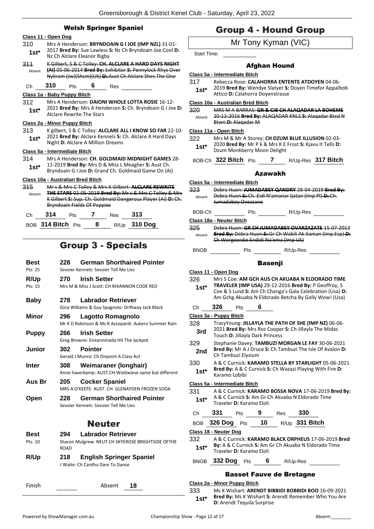# Welsh Springer Spaniel

#### **Class 11 - Open Dog**

- 310 Mrs A Henderson: **BRYNDOAIN G I JOE (IMP NZL)** 31-01- 2017 **Bred By:** Sue Lawless **S:** Nz Ch Bryndoain Joe Cool **D:**  1st<sup>\*</sup> 2017 Bred By: Sue Lawless Straight Alclare Eleanor Rigby
- 311 K Gilbert, S & C Tolley: **CH. ALCLARE A HARD DAYS NIGHT (AI)** 05-06-2014 **Bred By:** Exhibitor **S:** Pennylock Rhys Over Nyliram (Jw)(Shcm)(Uk) **D:** Aust Ch Alclare Shes The One Absent

# Ch **310** Pts **6** Res

#### **Class 1a - Baby Puppy Bitch**

312 Mrs A Henderson: **DAIONI WHOLE LOTTA ROSIE** 16-12- 2021 **Bred By:** Mrs A Henderson **S:** Ch. Bryndoain G I Joe **D: 1st**\* 2021 **Bred By:** Mrs A Hen<br>Alclare Rewrite The Stars

#### **Class 2a - Minor Puppy Bitch**

313 K gilbert, S & C Tolley: **ALCLARE ALL I KNOW SO FAR** 22-10- 2021 **Bred By:** Alclare Kennels **S:** Ch. Alclare A Hard Days Night **D:** Alclare A Million Dreams **1st\***

#### **Class 5a - Intermediate Bitch**

314 Mrs A Henderson: **CH. GOLDMAID MIDNIGHT GAMES** 28- 11-2019 **Bred By:** Mrs D & Miss L Meagher **S:** Aust Ch. **1st 11-2019 brea by:** Mrs D & Miss L Meagner **S:** Aust Cn.<br>**1st Bryndoain G I Joe D:** Grand Ch. Goldmaid Game On (Ai)

# **Class 10a - Australian Bred Bitch**

| Mr s & Mrs C Tolley & Mrs K Gilbert: ALCLARE REWRITE           |     |  |     |                                    |                                                             |  |
|----------------------------------------------------------------|-----|--|-----|------------------------------------|-------------------------------------------------------------|--|
| <b>THE STARS 02-05-2019 Bred By:</b> Mr s & Mrs C Tolley & Mrs |     |  |     |                                    |                                                             |  |
|                                                                |     |  |     |                                    |                                                             |  |
|                                                                |     |  |     |                                    |                                                             |  |
| 314                                                            | Pts |  | Res | 313                                |                                                             |  |
|                                                                |     |  |     | <b>Bryndoain Fields Of Poppies</b> | K Gilbert S: Sup. Ch. Goldmaid Dangerous Player (Ai) D: Ch. |  |

BOB **314 Bitch** Pts **8** R/Up **310 Dog**

# Group 3 - Specials

| Best<br>Pts: 25 | 228 | <b>German Shorthaired Pointer</b><br>Sevoier Kennels: Sevoier Tell Me Lies     |
|-----------------|-----|--------------------------------------------------------------------------------|
| R/Up<br>Pts: 15 | 270 | <b>Irish Setter</b><br>Mrs M & Miss J Scott: CH RHIANNON CODE RED              |
| Baby            | 278 | <b>Labrador Retriever</b><br>Gina Williams & Guy Spagnolo: Driftway Jack Black |
| Minor           | 296 | Lagotto Romagnolo<br>Mr K D Robinson & Ms K Azzopardi: Aukero Summer Rain      |
| Puppy           | 266 | <b>Irish Setter</b><br>Greg Browne: Eireannmada Hit The Jackpot                |
| Junior          | 302 | <b>Pointer</b><br>Gerald J Munro: Ch Onpoint A Class Act                       |
| Inter           | 308 | Weimaraner (longhair)<br>Anne haverkamp: AUST.CH.Waldwiese same but different  |
| Aus Br          | 205 | <b>Cocker Spaniel</b><br>MRS A O'KEFFE: AUST. CH. GLENAYDEN FROZEN SODA        |
| Open            | 228 | <b>German Shorthaired Pointer</b><br>Sevoier Kennels: Sevoier Tell Me Lies     |
|                 |     | <b>NI - - - 4</b> -                                                            |

# Neuter

| <b>Best</b> | 294         | <b>Labrador Retriever</b>                         |
|-------------|-------------|---------------------------------------------------|
| Pts: 10     | <b>ROAD</b> | Sharon Mulgrew: NEUT CH SKYEROSE BRIGHTSIDE OFTHE |
| R/Up        | 218         | <b>English Springer Spaniel</b>                   |

J Waite: Ch Cardhu Dare To Dance

| Finish | Absent | 18 |
|--------|--------|----|
|        |        |    |

# Group 4 - Hound Group

# Mr Tony Kyman (VIC)

Start Time:

# Afghan Hound

|  | Class 5a - Intermediate Bitch |  |
|--|-------------------------------|--|
|  |                               |  |

- 317 Rebecca Rose: **CALAHORRA ENTENTE ATDOYEN** 04-06-
	- 2019 **Bred By:** Wendye Slatyer **S:** Doyen Timefor Appalbob **1st**\* 2019 **Bred By:** Wendye Slatyer **5:**<br>Attico **D:** Calahorra Dovenstrasse

#### **Class 10a - Australian Bred Bitch**

320 MRS M A BARRAS: **GR & CIB CH ALAQADAR LA BOHEME** 20-12-2016 **Bred By:** ALAQADAR KNLS **S:** Alaqadar Btxd N Btwn **D:** Alaqadar M Absent

### **Class 11a - Open Bitch**

- 322 Mrs M & Mr A Storey: **CH DZUM BLUE ILLUSION** 02-03- 2020 **Bred By:** Mr P k & Mrs K E Frost **S:** Kjavu It Tells **D: 1st**\* 2020 **Bred By:** Mr P k & Mrs K E<br>Dzum Monkberry Moon Delight
- BOB-Ch **322 Bitch** Pts **7** R/Up-Res **317 Bitch**

#### Azawakh

**Class 5a - Intermediate Bitch** 323 Debra Huon: **JUMADABEY QANDRY** 28-04-2019 **Bred By:** Debra Huon **S:** Ch. Eidi N'amanar Ijatan (Imp Pl) **D:** Ch. Jumadabey Ovezzane Absent BOB-Ch Pts R/Up-Res **Class 18a - Neuter Bitch** 325 Debra Huon: **GR CH JUMADABEY OVARZAZATE** 15-07-2013 **Bred By:** Debra Huon **S:** Gr Ch Wakili Ak Ilaman (Imp Esp) **D:**  Ch Worgeordie Endidi Na'ema (Imp Uk) Absent BNOB Pts R/Up-Res **Basenii Class 11 - Open Dog** 326 Mrs S Coe: **AM GCH AUS CH AKUABA N ELDORADO TIME TRAVELER (IMP USA)** 29-12-2016 **Bred By:** P Geoffroy, S **1st\***

Coe & S Lund **S:** Am Ch Changa's Gala Celebration (Usa) **D:**  Am Gchg Akuaba N Eldorado Betcha By Golly Wow! (Usa)

# Ch **326** Pts **6**

**Class 3a - Puppy Bitch**

328 TracyYoung: **JILLAYLA THE PATH OF SHE (IMP NZ)** 06-06- 2021 **Bred By:** Mrs Roz Cooper **S:** Ch Jillayla The Midas **3rd Digital Dividibly:** IVITS ROZ COOPE Touch **D:** Jillayla Dark Princess 329 Stephanie Davey: **TAMBUZI MORGAN LE FAY** 30-06-2021 **Bred By:** Mr A J Druce **S:** Ch Tambuzi The Isle Of Avalon **D: 2nd Drea by:** IVIT A J Drug<br>Ch Tambuzi Elysium 330 A & C Curnick: **KARAMO STELLA BY STARLIGHT** 05-06-2021 **Bred By:** A & C Curnick **S:** Ch Wazazi Playing With Fire **D:**  1st\* **Brea By:** A & C

#### **Class 5a - Intermediate Bitch**

331 A & C Curnick: **KARAMO BOSSA NOVA** 17-06-2019 **Bred By:** A & C Curnick **S:** Am Gr Ch Akuaba N Eldorado Time **1st** A & C Curnick **3:** Am Gr C<br>Traveler **D:** Karamo Eloli

| Ch     | 331                   | <b>Pts</b> |           | Res | 330                                                  |
|--------|-----------------------|------------|-----------|-----|------------------------------------------------------|
|        | BOB 326 Dog Pts       |            | <b>10</b> |     | $R/Up$ 331 Bitch                                     |
|        | Class 18 - Neuter Dog |            |           |     |                                                      |
| 332    |                       |            |           |     | A & C Curnick: KARAMO BLACK ORPHEUS 17-06-2019 Bred  |
| $1st*$ |                       |            |           |     | By: A & C Curnick S: Am Gr Ch Akuaba N Eldorado Time |

- **Traveler D: Karamo Eloli**
- BNOB **332 Dog** Pts **6** R/Up-Res

#### Basset Fauve de Bretagne

#### **Class 2a - Minor Puppy Bitch**

333 Ms K Wishart: **ARENDT BIBBIDI BOBBIDI BOO** 16-09-2021 **Bred By:** Ms K Wishart **S:** Arendt Remember Who You Are **1st<sup>\*</sup> Brea By:** MS K Wishart **5:** *P*<br>**D:** Arendt Tequila Surprise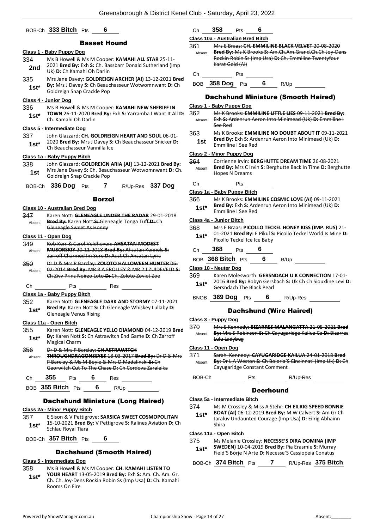### BOB-Ch **333 Bitch** Pts **6**

#### Basset Hound

# **Class 1 - Baby Puppy Dog**

- 334 Ms B Howell & Ms M Cooper: **KAMAHI ALL STAR** 25-11- 2021 **Bred By:** Exh **S:** Ch. Bassbarr Donald Sutherland (Imp **2nd Digital Divides By: EXILS:** CH. Bandle Darlin **Digital Digital Digital Digital Digital Digital Digital Digital Digital Digital Digital Digital Digital Digital Digital Digital Digital Digital Digital Digital Digita** 335 Mrs Jane Davey: **GOLDREIGN ARCHER (AI)** 13-12-2021 **Bred**
- **By:** Mrs J Davey **S:** Ch Beauchasseur Wotwomnwant **D:** Ch **1st\* by:** IVITS J Davey **5:** Ch Beaud<br>Goldreign Snap Crackle Pop

#### **Class 4 - Junior Dog**

336 Ms B Howell & Ms M Cooper: **KAMAHI NEW SHERIFF IN TOWN** 26-11-2020 **Bred By:** Exh **S:** Yarramba I Want It All **D:**  Ch. Kamahi Oh Darlin **1st\***

#### **Class 5 - Intermediate Dog**

- 337 John Glazzard: **CH. GOLDREIGN HEART AND SOUL** 06-01- 2020 **Bred By:** Mrs J Davey **S:** Ch Beauchasseur Snicker **D:**
- **1st**\* 2020 **brea by:** MITS J Davey **5:**<br>Ch Beauchasseur Vannilla Ice

### **Class 1a - Baby Puppy Bitch**

338 John Glazzard: **GOLDREIGN ARIA [AI]** 13-12-2021 **Bred By:** Mrs Jane Davey **S:** Ch. Beauchasseur Wotwomnwant **D:** Ch. **1st** Missimic Davey **5.** Cit. Beau<br>**6** Goldreign Snap Crackle Pop

|  | BOB-Ch 336 Dog Pts |  |  |  | R/Up-Res 337 Dog |
|--|--------------------|--|--|--|------------------|
|--|--------------------|--|--|--|------------------|

#### Borzoi

#### **Class 10 - Australian Bred Dog**

347 Karen Nott: **GLENEAGLE UNDER THE RADAR** 29-01-2018 **Bred By:** Karen Nott **S:** Gleneagle Tonga Tuff **D:** Ch Gleneagle Sweet As Honey Absent

#### **Class 11 - Open Dog**

- 349 Rob Kerr & Carol Veldhoven: **AHSATAN MODEST MUSORSKIY** 20-11-2018 **Bred By:** Ahsatan Kennels **S:**  Zarroff Charmed Im Sure **D:** Aust Ch Ahsatan Lyric Absent
- 350 Dr D & Mrs P Barclay: **ZOLOTO HALLOWEEN HUNTER** 06- 02-2014 **Bred By:** MR R A FROLLEY & MR 2 J ZUIDEVELD **S:**  Ch Zivv Prinz Noirzo Loto **D:** Ch. Zoloto Zoviet Zoe Absent

#### Ch Pts Res

**Class 1a - Baby Puppy Bitch**

352 Karen Nott: **GLENEAGLE DARK AND STORMY** 07-11-2021 **Bred By:** Karen Nott **S:** Ch Gleneagle Whiskey Lullaby **D: 1st\* Brea By:** Karen Nott S: Q<br>Gleneagle Venus Rising

#### **Class 11a - Open Bitch**

355 Karen Nott: **GLENEAGLE YELLO DIAMOND** 04-12-2019 **Bred By:** Karen Nott **S:** Ch Astrawitch End Game **D:** Ch Zarroff **1st<sup>\*</sup> By:** Karen Nott<br>Magical Charm

### 356 Dr D & Mrs P Barclay: **CH ASTRAWITCH**

**THROUGHDRAGONSEYES** 18-03-2017 **Bred By:** Dr D & Mrs P Barclay & Ms M Boyle & Mrs D Madalinski **S:** Ch Georwitch Cut To The Chase **D:** Ch Cordova Zaraleika Absent

| ∶h<br>$\sim$ | .<br>- כנר | τs | 398 |  |
|--------------|------------|----|-----|--|
|              |            |    |     |  |

# BOB **355 Bitch** Pts **6** R/Up

# Dachshund Miniature (Long Haired)

#### **Class 2a - Minor Puppy Bitch**

357 E Sison & V Pettigrove: **SARSICA SWEET COSMOPOLITAN** 15-10-2021 **Bred By:** V Pettigrove **S:** Ralines Aviation **D:** Ch **1st\* 15-10-2021 Brea B**<br>**1st\* Schlau Royal Tiara** 

# BOB-Ch **357 Bitch** Pts **6**

#### Dachshund (Smooth Haired)

# **Class 5 - Intermediate Dog**

- 358 Ms B Howell & Ms M Cooper: **CH. KAMAHI LISTEN TO**
- **YOUR HEART** 13-05-2019 **Bred By:** Exh **S:** Am. Ch. Am. Gr. Ch. Ch. Joy-Dens Rockin Robin Ss (Imp Usa) **D:** Ch. Kamahi Rooms On Fire **1st\***

| Сh | 358 | Pts |  |
|----|-----|-----|--|
|----|-----|-----|--|

#### **Class 10a - Australian Bred Bitch** 361 Mrs E Braas: **CH. EMMILINE BLACK VELVET** 20-08-2020 **Bred By:** Ms K Brooks **S:** Am.Ch.Am.Grand.Ch.Ch Joy-Dens Rockin Robin Ss (Imp Usa) **D:** Ch. Emmiline Twentyfour Karat Gold (Ai) Absent Ch Pts BOB **358 Dog** Pts **6** R/Up

#### Dachshund Miniature (Smooth Haired)

#### **Class 1 - Baby Puppy Dog**

#### 362 Ms K Brooks: **EMMILINE LITTLE LIES** 09-11-2021 **Bred By:** Exh **S:** Ardenrun Aeron Into Minimead (Uk) **D:** Emmiline I See Red Absent

363 Ms K Brooks: **EMMILINE NO DOUBT ABOUT IT** 09-11-2021 **Bred By:** Exh **S:** Ardenrun Aeron Into Minimead (Uk) **D: 1st Example 1 Steem Emmiline I** See Red

#### **Class 2 - Minor Puppy Dog**

364 Corrienne Irvin: **BERGHUTTE DREAM TIME** 26-08-2021 **Bred By:** Mrs C Irvin **S:** Berghutte Back In Time **D:** Berghutte Hopes N Dreams Absent

# Ch Pts

**Class 1a - Baby Puppy Bitch**

- 366 Ms K Brooks: **EMMILINE COSMIC LOVE (AI)** 09-11-2021
- **Bred By:** Exh **S:** Ardenrun Aeron Into Minimead (Uk) **D: 1st\* Brea By:** Exn S: Ard<br>**Emmiline I See Red**

#### **Class 4a - Junior Bitch**

#### 368 Mrs E Braas: **PICOLLO TECKEL HONEY KISS (IMP. RUS)** 21- 01-2021 **Bred By:** E Pikul **S:** Picollo Teckel World Is Mine **D:**  1st\* 01-2021 Bred By: E Pikul S<br>Picollo Teckel Ice Ice Baby

- 
- Ch **368** Pts **6**
- BOB **368 Bitch** Pts **6** R/Up

#### **Class 18 - Neuter Dog**

- 369 Karen Molesworth: **GERSNDACH U K CONNECTION** 17-01- 2016 **Bred By:** Robyn Gersbach **S:** Uk Ch Ch Siouxline Levi **D: 1st**\* 2016 Bred By: Robyn Gersi<br>Gersndach The Black Pearl
	- BNOB **369 Dog** Pts **6** R/Up-Res

#### Dachshund (Wire Haired)

#### **Class 3 - Puppy Dog**

370 Mrs S Kennedy: **BIZARRES MALANGATTA** 21-05-2021 **Bred By:** Mrs S Robinson **S:** Ch Cayugaridge Kailua Ca **D:** Bizarres Lulu Ladybug Absent

#### **Class 11 - Open Dog**

- 371 Sarah Kennedy: **CAYUGARIDGE KAILUA** 24-01-2018 **Bred By:** Dr L A Weston **S:** Ch Boloria'S Cincinnati (Imp Uk) **D:** Ch Cayugaridge Constant Comment Absent
- BOB-Ch Pts R/Up-Res

#### **Deerhound**

#### **Class 5a - Intermediate Bitch**

- 374 Ms M Crossley & Miss A Stehr: **CH EILRIG SPEED BONNIE**
- **BOAT (AI)** 06-12-2019 **Bred By:** M W Calvert **S:** Am Gr Ch Jaraluv Undaunted Courage (Imp Usa) **D:** Eilrig Abhainn Shira **1st\***

#### **Class 11a - Open Bitch**

- 375 Ms Melanie Crossley: **NECESSE'S DIRA DOMINA (IMP**
- **SWEDEN)** 10-04-2019 **Bred By:** Pia Erasmie **S:** Murray Field'S Börje N Arte **D:** Necesse'S Cassiopeia Conatus **1st\***

|  | BOB-Ch 374 Bitch Pts |  |  |  | R/Up-Res 375 Bitch |
|--|----------------------|--|--|--|--------------------|
|--|----------------------|--|--|--|--------------------|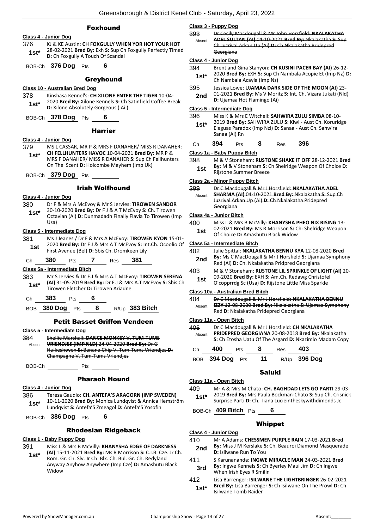# Foxhound

#### **Class 4 - Junior Dog**

376 KJ & KE Austin: **CH FOXGULLY WHEN YOR HOT YOUR HOT** 28-02-2021 **Bred By:** Exh **S:** Sup Ch Foxgully Perfectly Timed **1st**\* 28-02-2021 **Bred By:** Exh **5:** Sup Ch Foxgully A Touch Of Scandal

BOB-Ch **376 Dog** Pts **6**

#### **Greyhound**

#### **Class 10 - Australian Bred Dog**

378 Kinshasa Kennel's: **CH XILONE ENTER THE TIGER** 10-04- 2020 **Bred By:** Xilone Kennels **S:** Ch Satinfield Coffee Break **1st**\* **D:** *XIV* Brea by: XIIONE Kennels **5:** Ch.<br>**D:** Xilone Absolutely Gorgeous (Ai)

BOB-Ch **378 Dog** Pts **6**

#### Harrier

#### **Class 4 - Junior Dog**

- 379 MS L CASSAR, MR P & MRS F DANAHER/ MISS R DANAHER: **CH FELLHUNTERS HAVOC** 10-04-2021 **Bred By:** MR P & MRS F DANAHER/ MISS R DANAHER **S:** Sup Ch Fellhunters On The Scent **D:** Holcombe Mayhem (Imp Uk) **1st\***
- BOB-Ch **379 Dog** Pts

#### Irish Wolfhound

#### **Class 4 - Junior Dog**

- 380 Dr F & Mrs A McEvoy & Mr S Jervies: **TIROWEN SANDOR** 30-10-2020 **Bred By:** Dr F J & A T McEvoy **S:** Ch. Tirowen
	- Octavian (Ai) **D:** Dunmadadh Finally Flavia To Tirowen (Imp Usa) **1st\***

#### **Class 5 - Intermediate Dog**

381 Ms J Jeanes / Dr F & Mrs A McEvoy: **TIROWEN KYON** 15-01- 2020 **Bred By:** Dr F J & Mrs A T McEvoy **S:** Int.Ch. Ocoolio Of **1st** <sup>2020</sup> **Brea By:** Dr F J & MITS A T MCEVOY **5:** In First Avenue (Bel) **D:** Sbis Ch. Dromkeen Lily

Ch **380** Pts **7** Res **381**

#### **Class 5a - Intermediate Bitch**

383 Mr S Jervies & Dr F.J & Mrs A.T McEvoy: **TIROWEN SERENA (AI)** 31-05-2019 **Bred By:** Dr F.J & Mrs A.T McEvoy **S:** Sbis Ch Tirowen Fletcher **D:** Tirowen Ariadne **1st\***

Ch **383** Pts **6**

BOB **380 Dog** Pts **8** R/Up **383 Bitch**

#### Petit Basset Griffon Vendeen

**Class 5 - Intermediate Dog**

384 Shellie Marshall: **DANCE MONKEY V. TUM-TUMS VRIENDJES (IMP NLD)** 24-04-2020 **Bred By:** Dr G Huikeshoven **S:** Banana Chip V. Tum-Tums Vriendjes **D:**  Champagne V. Tum-Tums Vriendjes Absent

BOB-Ch Pts

#### Pharaoh Hound

#### **Class 4 - Junior Dog**

386 Teresa Gaudio: **CH. ANTEFA'S ARAGORN (IMP SWEDEN)** 10-11-2020 **Bred By:** Monica Lundqvist & Annica Hemström Lundqvist **S:** Antefa'S Zmeagol **D:** Antefa'S Yosofin **1st\***

BOB-Ch **386 Dog** Pts **6**

#### Rhodesian Ridgeback

#### **Class 1 - Baby Puppy Dog**

- 391 Miss L & Mrs B McVilly: **KHANYSHA EDGE OF DARKNESS**
- **(AI)** 15-11-2021 **Bred By:** Ms R Morrison **S:** C.I.B. Cze. Jr Ch. Rom. Gr. Ch. Slv. Jr Ch. Blk. Ch. Bul. Gr. Ch. Redyland Anyway Anyhow Anywhere (Imp Cze) **D:** Amashutu Black Widow **1st\***

#### **Class 3 - Puppy Dog**

| 393    | Dr Cecily Macdougall & Mr John Horsfield: NKALAKATHA   |
|--------|--------------------------------------------------------|
| Absent | ADEL SULTAN (AI) 04-10-2021 Bred By: Nkalakatha S: Sup |
|        | Ch Juzrival Arkan Up (Ai) D: Ch Nkalakatha Pridepred   |
|        | Georgiana                                              |
|        |                                                        |

### **Class 4 - Junior Dog**

- 394 Brent and Gina Stanyon: **CH KUSINI PACER BAY (AI)** 26-12- 2020 **Bred By:** EXH **S:** Sup Ch Nambala Acopie Et (Imp Nz) **D:**
- **1st**\*  $\left\{\n \begin{array}{cc}\n \text{C} & \text{C} & \text{D} \\
 \text{D} & \text{D} & \text{D}\n \end{array}\n \right\}$  The Nambala Acayla (Imp Nz) 395 Jessica Lowe: **UJAMAA DARK SIDE OF THE MOON (AI)** 23-
- 01-2021 **Bred By:** Ms V Moritz **S:** Int. Ch. Vizara Jukati (Nld) **2nd D**: Ujamaa Hot Flamingo (Ai)

#### **Class 5 - Intermediate Dog**

396 Miss K & Mrs E Witchell: **SAHWIRA ZULU SIMBA** 08-10- 2019 **Bred By:** SAHWIRA ZULU **S:** Kiwi - Aust Ch. Koruridge Eleguas Paradox (Imp Nzl) **D:** Sanaa - Aust Ch. Sahwira Sanaa (Ai) Rn **1st\***

| Ch | - 394 | Pts | 8 | Res | 396 |  |
|----|-------|-----|---|-----|-----|--|
|    |       |     |   |     |     |  |

#### **Class 1a - Baby Puppy Bitch**

398 M & V Stoneham: **RIJSTONE SHAKE IT OFF** 28-12-2021 **Bred By:** M & V Stoneham **S:** Ch Shelridge Weapon Of Choice **D: 1st By:** IVI & V Stonenam **S:** C<br>Rijstone Summer Breeze

#### **Class 2a - Minor Puppy Bitch**

399 Dr C Macdougall & Mr J Horsfield: **NKALAKATHA ADEL SHARMA (AI)** 04-10-2021 **Bred By:** Nkalakatha **S:** Sup Ch Juzrival Arkan Up (Ai) **D:** Ch Nkalakatha Pridepred Georgiana Absent

#### **Class 4a - Junior Bitch**

- 400 Miss L & Mrs B McVilly: **KHANYSHA PHEO NIX RISING** 13-
	- 02-2021 **Bred By:** Ms R Morrison **S:** Ch: Shelridge Weapon **1st** OZ-2021 Bred By: MS R Morrison S: C<br>Of Choice D: Amashutu Black Widow

#### **Class 5a - Intermediate Bitch**

| 402 | Julie Spittal: NKALAKATHA BENNU KYA 12-08-2020 Bred            |
|-----|----------------------------------------------------------------|
| 2nd | <b>By:</b> Ms C MacDougall & Mr J Horsfield S: Ujamaa Symphony |
|     | Red (Ai) D: Ch. Nkalakatha Pridpred Georgiana                  |

- 403 M & V Stoneham: **RIJSTONE LIL SPRINKLE OF LIGHT (AI)** 20-
- 09-2020 **Bred By:** EXH **S:** Am.Ch. Redawg Christofel **1st** 09-2020 **Bred By:** EXH S: Am.Ch. Redawg Christofe<br>O'copprrdg Sc (Usa) **D:** Rijstone Little Miss Sparkle

# **Class 10a - Australian Bred Bitch**

| 404    | Dr C Macdougall & Mr J Horsfield: NKALAKATHA BENNU     |
|--------|--------------------------------------------------------|
| Absent | IZZY 12-08-2020 Bred By: Nkalakatha S: Ujamaa Symphony |
|        | Red D: Nkalakatha Pridepred Georgiana                  |

#### **Class 11a - Open Bitch**

| 405        |         |                                                    |    |      | Dr C Macdougall & Mr J Horsfield: CH NKALAKATHA        |  |  |  |
|------------|---------|----------------------------------------------------|----|------|--------------------------------------------------------|--|--|--|
| Absent     |         | PRIDEPRED GEORGIANA 20-08-2018 Bred By: Nkalakatha |    |      |                                                        |  |  |  |
|            |         |                                                    |    |      | S: Ch Etosha Uatu Of The Asgard D: Nkazimlo Madam Copy |  |  |  |
| Сh         | 400     | Pts                                                |    | Res  | 403                                                    |  |  |  |
| <b>BOB</b> | 394 Dog | Pts                                                | 11 | R/Up | 396 Dog                                                |  |  |  |

#### Saluki

409 Mr A & Mrs M Chato: **CH. BAGHDAD LETS GO PARTI** 29-03- 2019 **Bred By:** Mrs Paula Bockman-Chato **S:** Sup Ch. Crisnick **1st** <sup>2019</sup> Bred By: Mrs Paula Bockman-Chato S: Sup Ch. Cris<br>Surprise Parti D: Ch. Tiana Lucieintheskywithdimonds Jc

BOB-Ch **409 Bitch** Pts **6**

#### Whippet

- **Class 4 - Junior Dog**
- 410 Mr A Adams: **CHESSMEN PURPLE RAIN** 17-03-2021 **Bred**
- **By:** Miss J M Kerslake **S:** Ch. Beauroi Diamond Masquerade **2nd By:** MISS J M Kerslake **3 D:** Isilwane Run To You
- 411 S Karunananda: **INGWE MIRACLE MAN** 24-03-2021 **Bred By:** Ingwe Kennels **S:** Ch Byerley Maui Jim **D:** Ch Ingwe **3rd by:** ingwe Netwes **3:** Cn is<br>When Irish Eyes R Smilin
- 412 Lisa Barrenger: **ISILWANE THE LIGHTBRINGER** 26-02-2021 **Bred By:** Lisa Barrenger **S:** Ch Isilwane On The Prowl **D:** Ch Isilwane Tomb Raider **1st\***
- 
- 
- **Class 11a - Open Bitch**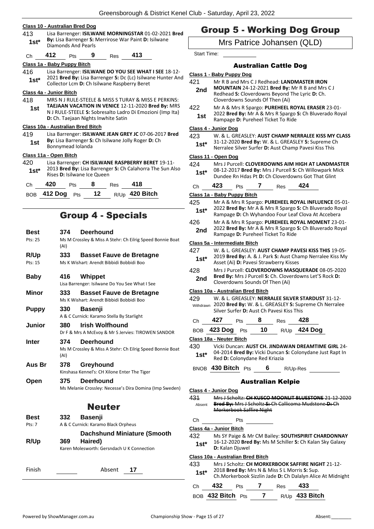#### **Class 10 - Australian Bred Dog**

413 Lisa Barrenger: **ISILWANE MORNINGSTAR** 01-02-2021 **Bred By:** Lisa Barrenger **S:** Merrirose War Paint **D:** Isilwane **1st\* Dy:** Lisa Barrenger S: I

# Ch **412** Pts **9** Res **413**

# **Class 1a - Baby Puppy Bitch**

416 Lisa Barrenger: **ISILWANE DO YOU SEE WHAT I SEE** 18-12- 2021 **Bred By:** Lisa Barrenger **S:** Dc (Lc) Isilwane Hunter And **1st** 2021 **Brea by:** Lisa Barrenger **3:** DC (LC) ISHWAIRE Collector Lcm **D:** Ch Isilwane Raspberry Beret

# **Class 4a - Junior Bitch**

418 MRS N J RULE-STEELE & MISS S TURAY & MISS E PERKINS: **TAEJAAN VACATION IN VENICE** 12-11-2020 **Bred By:** MRS N J RULE-STEELE **S:** Sobresalto Ladro Di Emozioni (Imp Ita) **D:** Ch. Taejaan Nights Inwhite Satin **1st**

# **Class 10a - Australian Bred Bitch**

419 Lisa Barrenger: **ISILWANE JEAN GREY JC** 07-06-2017 **Bred By:** Lisa Barrenger **S:** Ch Isilwane Jolly Roger **D:** Ch **1st By:** Lisa Barrenger **5:**<br>**Bonnymead Iolanda** 

# **Class 11a - Open Bitch**

420 Lisa Barrenger: **CH ISILWANE RASPBERRY BERET** 19-11- 2013 **Bred By:** Lisa Barrenger **S:** Ch Calahorra The Sun Also **1st**\* 2013 **Bred By:** Lisa Barrenge<br>Rises **D:** Isilwane Ice Queen

| Ch | 420                    | <b>Pts</b> | 8 | Res | 418                   |
|----|------------------------|------------|---|-----|-----------------------|
|    | BOB $412$ Dog Pts $12$ |            |   |     | R/Up <b>420 Bitch</b> |

# Group 4 - Specials

| <b>Best</b>   | 374<br><b>Deerhound</b>                                                             |
|---------------|-------------------------------------------------------------------------------------|
| Pts: 25       | Ms M Crossley & Miss A Stehr: Ch Eilrig Speed Bonnie Boat<br>(AI)                   |
| R/Up          | 333<br><b>Basset Fauve de Bretagne</b>                                              |
| Pts: 15       | Ms K Wishart: Arendt Bibbidi Bobbidi Boo                                            |
| <b>Baby</b>   | 416<br>Whippet                                                                      |
|               | Lisa Barrenger: Isilwane Do You See What I See                                      |
| Minor         | 333<br><b>Basset Fauve de Bretagne</b><br>Ms K Wishart: Arendt Bibbidi Bobbidi Boo  |
| <b>Puppy</b>  | 330<br><b>Basenji</b>                                                               |
|               | A & C Curnick: Karamo Stella By Starlight                                           |
| <b>Junior</b> | <b>Irish Wolfhound</b><br>380<br>Dr F & Mrs A McEvoy & Mr S Jervies: TIROWEN SANDOR |
| Inter         | 374<br>Deerhound                                                                    |
|               | Ms M Crossley & Miss A Stehr: Ch Eilrig Speed Bonnie Boat<br>(AI)                   |
| Aus Br        | 378<br>Greyhound<br>Kinshasa Kennel's: CH Xilone Enter The Tiger                    |
| Open          | <b>Deerhound</b><br>375                                                             |
|               | Ms Melanie Crossley: Necesse's Dira Domina (Imp Sweden)                             |
|               | <b>Neuter</b>                                                                       |
| Best          | <b>Basenji</b><br>332                                                               |
| Pts: 7        | A & C Curnick: Karamo Black Orpheus                                                 |
|               | <b>Dachshund Miniature (Smooth</b>                                                  |
| R/Up          | Haired)<br>369                                                                      |
|               | Karen Molesworth: Gersndach U K Connection                                          |
| Finish        | Absent<br>17                                                                        |
|               |                                                                                     |

# Group 5 - Working Dog Group

Mrs Patrice Johansen (QLD)

Start Time:

# Australian Cattle Dog

- **Class 1 - Baby Puppy Dog**
- 421 Mr R B and Mrs C J Redhead: **LANDMASTER IRON**
- **MOUNTAIN** 24-12-2021 **Bred By:** Mr R B and Mrs C J Redhead **S:** Cloverdowns Beyond The Lyric **D:** Ch. Cloverdowns Sounds Of Then (Ai) **2nd**
- 422 Mr A & Mrs R Spargo: **PUREHEEL ROYAL ERASER** 23-01- 2022 **Bred By:** Mr A & Mrs R Spargo **S:** Ch Bluverado Royal **1st EXECUTE 2022 Brea By:** IVIT A & IVITS K Spargo

#### **Class 4 - Junior Dog**

- 423 W. & L. GREASLEY: **AUST CHAMP NERRALEE KISS MY CLASS**
- 31-12-2020 **Bred By:** W. & L. GREASLEY **S:** Supreme Ch **1st** 31-12-2020 **Bred By:** W. & L. GREASLEY **5:** Supreme C<br>Nerralee Silver Surfer **D:** Aust Champ Pavesi Kiss This

#### **Class 11 - Open Dog**

424 Mrs J Purcell: **CLOVERDOWNS AIM HIGH AT LANDMASTER** 08-12-2017 **Bred By:** Mrs J Purcell **S:** Ch Willowpark Mick **1st** U8-12-2017 Bred By: Mrs J Purcell S: Ch Willowpark M<br>Dundee Rn Hdas Pt D: Ch Cloverdowns Got That Glint Ch **423** Pts **7** Res **424**

# **Class 1a - Baby Puppy Bitch** 425 Mr A & Mrs R Spargo: **PUREHEEL ROYAL INFLUENCE** 05-01- 2022 **Bred By:** Mr A & Mrs R Spargo **S:** Ch Bluverado Royal 1st\* 2022 Brea By: Mr A & Mrs R Spargo S: Ch Bluverado Roy<br>Rampage D: Ch Wyhandoo Four Leaf Clova At Accebera 426 Mr A & Mrs R Spargo: **PUREHEEL ROYAL MOMENT** 23-01- 2022 **Bred By:** Mr A & Mrs R Spargo **S:** Ch Bluverado Royal 2nd 2022 Brea By: IVIT A & IVITS K Spargo<br>Rampage D: Pureheel Ticket To Ride

#### **Class 5a - Intermediate Bitch**

| 427    | W. & L. GREASLEY: AUST CHAMP PAVESI KISS THIS 19-05-                                                |
|--------|-----------------------------------------------------------------------------------------------------|
| $1st*$ | 2019 Bred By: A. & J. Park S: Aust Champ Nerralee Kiss My<br>Asset (Ai) D: Pavesi Strawberry Kisses |
| $\sim$ |                                                                                                     |

428 Mrs J Purcell: **CLOVERDOWNS MASQUERADE** 08-05-2020 **Bred By:** Mrs J Purcell **S:** Ch. Cloverdowns Let'S Rock **D: 2nd** Brea By: Mrs J Purcell S: Ch. Clove<br>Cloverdowns Sounds Of Then (Ai)

#### **Class 10a - Australian Bred Bitch**

- 429 W. & L. GREASLEY: **NERRALEE SILVER STARDUST** 31-12- 2020 **Bred By:** W. & L. GREASLEY **S:** Supreme Ch Nerralee Silver Surfer **D:** Aust Ch Pavesi Kiss This Withdrawn
- Ch **427** Pts **8** Res **428**

| BOB 423 Dog Pts $10$ R/Up 424 Dog                                                       |  |  |
|-----------------------------------------------------------------------------------------|--|--|
| $\mathbf{A}$ is a set of $\mathbf{A}$ is a set of $\mathbf{B}$ is a set of $\mathbf{A}$ |  |  |

# **Class 18a - Neuter Bitch**

430 Vicki Duncan: **AUST CH. JINDAWAN DREAMTIME GIRL** 24- 04-2014 **Bred By:** Vicki Duncan **S:** Colonydane Just Rapt In 1st\* U<sup>4-2014</sup> Brea By: VICKI Duncan<br>Red D: Colonydane Red Kriazia

BNOB **430 Bitch** Pts **6** R/Up-Res

# Australian Kelpie

| Class 4 - Junior Dog    |           |                                    |                  |                                                             |  |
|-------------------------|-----------|------------------------------------|------------------|-------------------------------------------------------------|--|
| 431                     |           | Mrs I Scholtz: CH KUSCO MOONUT RUU |                  |                                                             |  |
| Absent                  |           |                                    |                  | Bred By: Mrs J Scholtz S: Ch Callicoma Mudstone D: Ch       |  |
|                         |           | lorkerbook Saffire Night           |                  |                                                             |  |
| Сh                      |           | Pts                                |                  |                                                             |  |
| Class 4a - Junior Bitch |           |                                    |                  |                                                             |  |
| 432                     |           |                                    |                  | Ms SY Paige & Mr CM Bailey: SOUTHSPIRIT CHARDONNAY          |  |
| $1st*$                  |           |                                    |                  | 16-12-2020 Bred By: Ms M Schiller S: Ch Kalan Sky Galaxy    |  |
|                         |           | D: Kalan Djuwel                    |                  |                                                             |  |
|                         |           | Class 10a - Australian Bred Bitch  |                  |                                                             |  |
| 433                     |           |                                    |                  | Mrs J Scholtz: CH MORKERBOOK SAFFIRE NIGHT 21-12-           |  |
| $1st*$                  |           |                                    |                  | 2018 Bred By: Mrs N & Miss S L Morris S: Sup.               |  |
|                         |           |                                    |                  | Ch. Morkerbook Sizzlin Jade D: Ch Dalalyn Alice At Midnight |  |
| Сh                      | 432       | Pts                                | Res              | 433                                                         |  |
|                         | 432 Bitch | Pts                                | R/U <sub>p</sub> | 433 Bitch                                                   |  |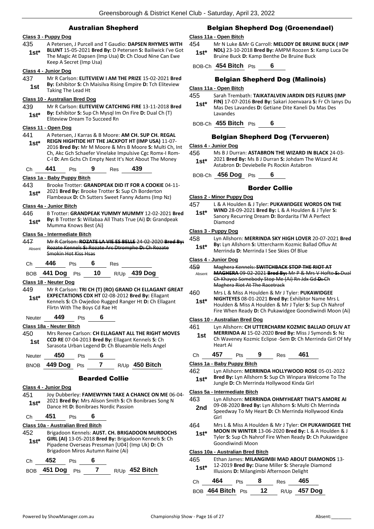# Australian Shepherd

# **Class 3 - Puppy Dog**

435 A Petersen, J Purcell and T Gaudio: **DAPSEN RHYMES WITH BLUNT** 15-05-2021 **Bred By:** D Petersen **S:** Bailiwick I've Got The Magic At Dapsen (Imp Usa) **D:** Ch Cloud Nine Can Ewe Keep A Secret (Imp Usa) **1st\***

#### **Class 4 - Junior Dog**

437 Mr R Carlson: **ELITEVIEW I AM THE PRIZE** 15-02-2021 **Bred By:** Exhibitor **S:** Ch Maisilva Rising Empire **D:** Tch Eliteview **1st By:** Exhibitor S: Ch I<br>Taking The Lead Ht

#### **Class 10 - Australian Bred Dog**

439 Mr R Carlson: **ELITEVIEW CATCHING FIRE** 13-11-2018 **Bred By:** Exhibitor **S:** Sup Ch Mysql Im On Fire **D:** Dual Ch (T) **1st\*** By: Exhibitor S: Sup Ch Mysql Im<br>Eliteview Dream To Succeed Rn

#### **Class 11 - Open Dog**

441 A Petersen, J Karras & B Moore: **AM CH. SUP CH. REGAL REIGN HIGHTIDE HIT THE JACKPOT HT (IMP USA)** 11-07- 2016 **Bred By:** Mr M Moore & Mrs B Moore **S:** Multi Ch, Int Ch, Akc Gch Schaefer Vinelake Impulsive Cgc Romx-I Rom-C-I **D:** Am Gchs Ch Empty Nest It's Not About The Money **1st\***

Ch **441** Pts **9** Res **439**

#### **Class 1a - Baby Puppy Bitch**

- 443 Brooke Trotter: **GRANDPEAK DID IT FOR A COOKIE** 04-11- 2021 **Bred By:** Brooke Trotter **S:** Sup Ch Borderton
	- Flambeaux **D:** Ch Sutters Sweet Fanny Adams (Imp Nz) **1st\***

#### **Class 4a - Junior Bitch**

446 B Trotter: **GRANDPEAK YUMMY MUMMY** 12-02-2021 **Bred By:** B Trotter **S:** Willabaa All Thats True (Ai) **D:** Grandpeak **1st<sup>\*</sup> by:** B Trotter **5:** Willabda<br>Mumma Knows Best (Ai)

#### **Class 5a - Intermediate Bitch**

447 Mr R Carlson: **ROZATE LA VIE ES BELLE** 24-02-2020 **Bred By:** Rozate Kennels **S:** Rozate Arc Dtromphe **D:** Ch Rozate Smokin Hot Kiss Hsas Absent

Ch **446** Pts **6** Res

BOB **441 Dog** Pts **10** R/Up **439 Dog**

#### **Class 18 - Neuter Dog**

449 Mr R Carlson: **TRI CH (T) (RO) GRAND CH ELLAGANT GREAT EXPECTATIONS CDX HT** 02-08-2012 **Bred By:** Ellagant Kennels **S:** Ch Owjedoo Rugged Ranger Ht **D:** Ch Ellagant Flirtn With The Boys Cd Rae Ht **1st\***

#### Neuter **449** Pts **6**

**Class 18a - Neuter Bitch**

450 Mrs Renee Carlson: **CH ELLAGANT ALL THE RIGHT MOVES CCD RE** 07-04-2013 **Bred By:** Ellagant Kennels **S:** Ch **1st CCD RE** 07-04-2013 **Brea By:** Eliagant Kennels S: Ch<br>Sarasota Urban Legend D: Ch Blueamble Hells Angel

Neuter **450** Pts **6**

# BNOB **449 Dog** Pts **7** R/Up **450 Bitch**

#### Bearded Collie

**Class 4 - Junior Dog**

451 Joy Dubberley: **FAMEWYNN TAKE A CHANCE ON ME** 06-04- 2021 **Bred By:** Mrs Alison Smith **S:** Ch Bonibraes Song N 1st\* 2021 Brea By: IVITS Allson Smith S: Ch<br>Dance Ht D: Bonibraes Nordic Passion

# Ch **451** Pts **6**

# **Class 10a - Australian Bred Bitch**

- 452 Brigadoon Kennels: **AUST. CH. BRIGADOON MURDOCHS GIRL (AI)** 13-05-2018 **Bred By:** Brigadoon Kennels **S:** Ch Pipadene Overseas Pressman [U04] (Imp Uk) **D:** Ch Brigadoon Miros Autumn Raine (Ai) **1st\*** Ch **452** Pts **6**
- BOB **451 Dog** Pts **7** R/Up **452 Bitch**

# Belgian Shepherd Dog (Groenendael)

#### **Class 11a - Open Bitch**

454 Mr N Luke &Mr G Carroll: **MELODY DE BRUINE BUCK ( IMP NDL)** 23-10-2018 **Bred By:** AMPM Roozen **S:** Kamp Luca De **1st\* NDLI** 23-10-2018 **Bred By:** AMPM Roozen S:<br>Bruine Buck **D:** Kamp Benthe De Bruine Buck

BOB-Ch **454 Bitch** Pts **6**

#### Belgian Shepherd Dog (Malinois)

#### **Class 11a - Open Bitch**

- 455 Sarah Trembath: **TAIKATALVEN JARDIN DES FLEURS (IMP** 
	- **FIN)** 17-07-2016 **Bred By:** Sakari Joenvaara **S:** Fr Ch Ianys Du Mas Des Lavandes **D:** Getiane Dite Kaneli Du Mas Des Lavandes **1st\***

BOB-Ch **455 Bitch** Pts **6**

#### Belgian Shepherd Dog (Tervueren)

#### **Class 4 - Junior Dog**

456 Ms B J Durran: **ASTABRON THE WIZARD IN BLACK** 24-03- 2021 **Bred By:** Ms B J Durran **S:** Johdam The Wizard At **1st** 2021 **brea by:** IVIS B J Durran **5:** Johdam The Astabron **D**: Deviebelle Ps Rockin Astabron

BOB-Ch **456 Dog** Pts **6**

#### Border Collie

#### **Class 2 - Minor Puppy Dog**

- 457 L & A Houlden & J Tyler: **PUKAWIDGEE WORDS ON THE WIND** 28-09-2021 **Bred By:** L & A Houlden & J Tyler **S:** 
	- Sanory Recurring Dream **D:** Bordarita I'M A Perfect Diamond **1st\***

#### **Class 3 - Puppy Dog**

458 Lyn Allshorn: **MERRINDA SKY HIGH LOVER** 20-07-2021 **Bred By:** Lyn Allshorn **S:** Uttercharm Kozmic Ballad Ofluv At **1st\* By:** Lyn Alishorn S: Uttercharm Kozmic Band Nerrinda D: Merrinda I See Skies Of Blue

#### **Class 4 - Junior Dog**

#### 459 Maghera Kennels: **SWITCHBACK STOP THE RIOT AT MAGHERA** 09-02-2021 **Bred By:** Mr P & Mrs V Hofto **S:** Dual Ch Khayoz Somebody Stop Me (Ai) Rn Jdx Gd **D:** Ch Maghera Riot At The Racetrack Absent 460 Mrs L & Miss A Houlden & Mr J Tyler: **PUKAWIDGEE**

**NIGHTEYES** 08-01-2021 **Bred By:** Exhibitor Name Mrs L Houlden & Miss A Houlden & Mr J Tyler **S:** Sup Ch Nahrof Fire When Ready **D:** Ch Pukawidgee Goondiwindi Moon (Ai) **1st\***

#### **Class 10 - Australian Bred Dog**

461 Lyn Allshorn: **CH UTTERCHARM KOZMIC BALLAD OFLUV AT MERRINDA AI** 15-02-2020 **Bred By:** Miss J Symonds **S:** Nz Ch Waveney Kozmic Eclipse -Sem **D:** Ch Merrinda Girl Of My Heart Ai **1st** Ch **457** Pts **9** Res **461 Class 1a - Baby Puppy Bitch** 462 Lyn Allshorn: **MERRINDA HOLLYWOOD ROSE** 05-01-2022 **Bred By:** Lyn Allshorn **S:** Sup Ch Winpara Welcome To The Jungle **D:** Ch Merrinda Hollywood Kinda Girl **1st\* Class 5a - Intermediate Bitch** 463 Lyn Allshorn: **MERRINDA OHMYHEART THAT'S AMORE AI** 09-08-2020 **Bred By:** Lyn Allshorn **S:** Multi Ch Merrinda Speedway To My Heart **D:** Ch Merrinda Hollywood Kinda Girl **2nd** 464 Mrs L & Miss A Houlden & Mr J Tyler: **CH PUKAWIDGEE THE MOON IN WINTER** 13-06-2020 **Bred By:** L & A Houlden & J Tyler **S:** Sup Ch Nahrof Fire When Ready **D:** Ch Pukawidgee Goondiwindi Moon **1st\* Class 10a - Australian Bred Bitch** 465 Ethan James: **MILANGIMBI MAD ABOUT DIAMONDS** 13- 12-2019 **Bred By:** Diane Miller **S:** Sherayle Diamond **1st**\* **12-2019 Bred By:** Diane Miller S: Sherayle **1st\*** Illusions **D:** Milangimbi Afternoon Delight

| Ch. | 464 | Pts | - 8 | Res | 465                               |
|-----|-----|-----|-----|-----|-----------------------------------|
|     |     |     |     |     | BOB 464 Bitch Pts 12 R/Up 457 Dog |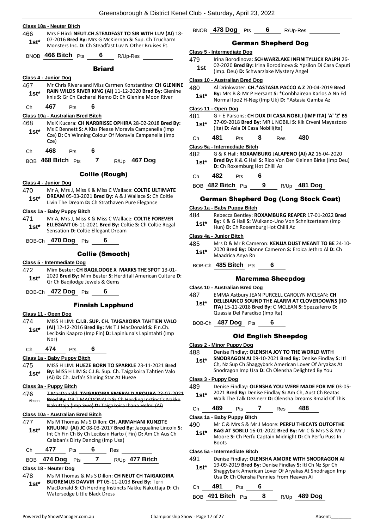- **Class 18a - Neuter Bitch** 466 Mrs F Hird: **NEUT.CH.STEADFAST TO SIR WITH LUV (AI)** 18- 07-2016 **Bred By:** Mrs G McKiernan **S:** Sup. Ch Trucharm **1st**\* U/-2016 **Bred By:** Mrs G McKlernan S: Sup. Cn Trucha<br>Monsters Inc. **D**: Ch Steadfast Luv N Other Bruises Et. BNOB **466 Bitch** Pts **6** R/Up-Res Briard **Class 4 - Junior Dog** 467 Mr Chris Rivera and Miss Carmen Konstantino: **CH GLENINE RAIN WILDS RIVER KING (AI)** 11-12-2020 **Bred By:** Glenine **1st\*** Rain WILDS RIVER KING (AI) 11-12-2020 Bred By: Glent River **1st Audio River 8.**<br>**1st\*** Rinks S: Gr Ch Cacharel Nemo D: Ch Glenine Moon River Ch **467** Pts **6 Class 10a - Australian Bred Bitch** 468 Ms K Kucera: **CH NARBRISSE OPHIRA** 28-02-2018 **Bred By:** Ms E Bennett **S:** A Kiss Please Moravia Campanella (Imp Cze) **D:** Ch Winning Colour Of Moravia Campanella (Imp Cze) **1st\*** Ch **468** Pts **6** BOB **468 Bitch** Pts **7** R/Up **467 Dog** Collie (Rough) **Class 4 - Junior Dog** 470 Mr A, Mrs J, Miss K & Miss C Wallace: **COLTIE ULTIMATE DREAM** 05-03-2021 **Bred By:** A & J Wallace **S:** Ch Coltie **1st\* DREAM 05-03-2021 Brea by:** A & J Wallace S: Ch Strathaven Pure Elegance **Class 1a - Baby Puppy Bitch** 471 Mr A, Mrs J, Miss K & Miss C Wallace: **COLTIE FOREVER ELLEGANT** 06-11-2021 **Bred By:** Coltie **S:** Ch Coltie Regal **1st\* ELLEGANT UP-11-2021 Brea By: CO**<br>Sensation **D**: Coltie Ellegant Dream BOB-Ch **470 Dog** Pts **6** Collie (Smooth) **Class 5 - Intermediate Dog** 472 Mim Bester: **CH BAQILODGE X MARKS THE SPOT** 13-01- 2020 **Bred By:** Mim Bester **S:** Herditall American Culture **D: 1st**\* 2020 **Bred By:** Wilm Bester **5:** He Gr Ch Bagilodge Jewels & Gems BOB-Ch **472 Dog** Pts **6** Finnish Lapphund **Class 11 - Open Dog** 474 MISS H LIM: **C.I.B. SUP. CH. TAIGAKOIRA TAHTIEN VALO (AI)** 12-12-2016 **Bred By:** Ms T J MacDonald **S:** Fin.Ch. Lecibsin Kaapro (Imp Fin) **D:** Lapinluna's Lapintahti (Imp Nor) **1st\*** Ch **474** Pts **6 Class 1a - Baby Puppy Bitch** 475 MISS H LIM: **HUEZE BORN TO SPARKLE** 23-11-2021 **Bred By:** MISS H LIM **S:** C.I.B. Sup. Ch. Taigakoira Tahtien Valo **1st\* By:** MISS H LIM **S:** C.I.B. Sup. Ch. Taigak<br>(Ai) **D:** Ch. Jarfa's Shining Star At Hueze **Class 3a - Puppy Bitch** 476 T MacDonald: **TAIGAKOIRA EMERALD AROURA** 23-07-2021 **Bred By:** DR T MACDONALD **S:** Ch Herding Instinct's Nakke Nakuttaja (Imp Swe) **D:** Taigakoira Ihana Helmi (Ai) Absent **Class 10a - Australian Bred Bitch** 477 Ms M Thomas Ms S Dillon: **CH. ARMAHANI KUNZITE KRUUNU (AI) JC** 08-03-2017 **Bred By:** Jacqualine Lincoln **S:**  Int Ch Fin Ch By Ch Lecibsin Harto ( Fin) **D:** Am Ch Aus Ch **1st\***
- Ch **477** Pts **6** Res

Calaban's Dirty Dancing (Imp Usa)

# BOB **474 Dog** Pts **7** R/Up **477 Bitch**

# **Class 18 - Neuter Dog**

478 Ms M Thomas & Ms S Dillon: **CH NEUT CH TAIGAKOIRA BUOREMUS DAVVIR PT** 05-11-2013 **Bred By:** Terri MacDonald **S:** Ch Herding Instincts Nakke Nakuttaja **D:** Ch Watersedge Little Black Dress **1st\***

# BNOB **478 Dog** Pts **6** R/Up-Res

# German Shepherd Dog

#### **Class 5 - Intermediate Dog**

- 479 Irina Borodinova: **SCHWARZLAKE INFINITYLUCK RALPH** 26-
- 02-2020 **Bred By:** Irina Borodinova **S:** Ypsilon Di Casa Caputi **1st** UZ-2020 **Bred By:** Irina Borodinova **5:** 1psi<br>(Imp. Deu) **D:** Schwarzlake Mystery Angel

#### **Class 10 - Australian Bred Dog**

- 480 Al Drinkwater: **CH.\*ASTASIA PACCO A Z** 20-04-2019 **Bred**
- **By:** Mrs B & Mr P Hersant **S:** \*Conbhairean Karlos A Nn Ed Normal Ipo2 H-Neg (Imp Uk) **D:** \*Astasia Gamba Az **1st\***

#### **Class 11 - Open Dog**

481 G + E Parsons: **CH DUX DI CASA NOBILI (IMP ITA) 'A' 'Z' BS** 27-09-2018 **Bred By:** MR L NOBILI **S:** Kik Crveni Mayestoso **1st**\* **27-09-2018 Brea By: MR L NO**<br>(Ita) **D:** Asia Di Casa Nobili(Ita)

| Ch | 481 | Pts | 8 | Res | 480 |  |
|----|-----|-----|---|-----|-----|--|
|    |     |     |   |     |     |  |

#### **Class 5a - Intermediate Bitch**

482 G & K Hall: **ROXAMBURG JALAPENO (AI) AZ** 16-04-2020 **Bred By:** K & G Hall **S:** Rico Von Der Kleinen Birke (Imp Deu) **1st\*** Bred By: K & G Hall S: Rico Vor<br>**1st\*** D: Ch Roxemburg Hot Chilli Az

Ch **482** Pts **6**

BOB **482 Bitch** Pts **9** R/Up **481 Dog**

# German Shepherd Dog (Long Stock Coat)

#### **Class 1a - Baby Puppy Bitch**

484 Rebecca Bentley: **ROXAMBURG REAPER** 17-01-2022 **Bred By:** K & G Hall **S:** Wulkano-Uno Von Schnitzerteam (Imp **1st\* By:** K & G Hall **S:** Wulkano-Uno Von<br>Hun) **D:** Ch Roxemburg Hot Chilli Az

#### **Class 4a - Junior Bitch**

#### 485 Mrs D & Mr R Cameron: **KENJJA DUST MEANT TO BE** 24-10- 2020 **Bred By:** Dianne Cameron **S:** Eroica Jethro Al **D:** Ch Maadrica Anya Rn **1st\***

BOB-Ch **485 Bitch** Pts **6**

# Maremma Sheepdog

#### **Class 10 - Australian Bred Dog**

487 EMMA Astbury JEAN PURCELL CAROLYN MCLEAN: **CH DELLBIANCO SOUND THE ALARM AT CLOVERDOWNS (IID ITA)** 15-11-2018 **Bred By:** C MCLEAN **S:** Spezzaferro **D: 1st\***

- Quassia Del Paradiso (Imp Ita)
- BOB-Ch **487 Dog** Pts **6**

# Old English Sheepdog

- **Class 2 - Minor Puppy Dog**
- 488 Denise Findlay: **OLENSHA JOY TO THE WORLD WITH**
- **SNODRAGON AI** 09-10-2021 **Bred By:** Denise Findlay **S:** Itl Ch, Nz Sup Ch Shaggybark American Lover Of Aryakas At Snodragon Imp Usa **D:** Ch Olensha Delighted By You **1st\***

#### **Class 3 - Puppy Dog**

- 489 Denise Findlay: **OLENSHA YOU WERE MADE FOR ME** 03-05-
- 2021 **Bred By:** Denise Findlay **S:** Am Ch, Aust Ch Reatas 1st\* UDREAM: Denise Findlay S: Am Ch, Aust Ch Reatas<br>Walk The Talk Dezinerz D: Olensha Dreams Rmaid Of This
- Ch **489** Pts **7** Res **488**

# **Class 1a - Baby Puppy Bitch**

- 490 Mr C & Mrs S & Mr J Moore: **PERFU THECATS OUTOFTHE BAG AT SOBLU** 16-01-2022 **Bred By:** Mr C & Mrs S & Mr J **1st\***
	- Moore **S:** Ch Perfu Captain Midnight **D:** Ch Perfu Puss In Boots

# **Class 5a - Intermediate Bitch**

# 491 Denise Findlay: **OLENSHA AMORE WITH SNODRAGON AI**

19-09-2019 **Bred By:** Denise Findlay **S:** Itl Ch Nz Spr Ch Shaggybark American Lover Of Aryakas At Snodragon Imp Usa **D:** Ch Olensha Pennies From Heaven Ai **1st\***

# Ch **491** Pts **6**

BOB **491 Bitch** Pts **8** R/Up **489 Dog**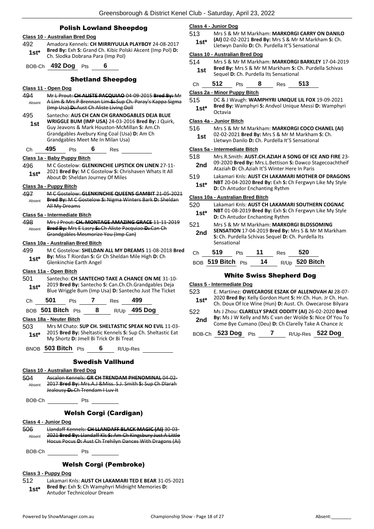#### Polish Lowland Sheepdog

# **Class 10 - Australian Bred Dog**

492 Amadora Kennels: **CH MIRRIYUULA PLAYBOY** 24-08-2017 **Bred By:** Exh **S:** Grand Ch. Kibic Polski Akcent (Imp Pol) **D: 1st\* Bred By:** Exh S: Grand Ch. Kibic Pol<br>Ch. Slodka Dobrana Para (Imp Pol)

BOB-Ch **492 Dog** Pts **6**

#### Shetland Sheepdog

### **Class 11 - Open Dog**

- 494 Mr L Prout: **CH ALISTE PACQUIAO** 04-09-2015 **Bred By:** Mr A Lim & Mrs P Brennan Lim **S:** Sup Ch. Paray's Kappa Sigma (Imp Usa) **D:** Aust Ch Aliste Living Doll Absent
- 495 Santecho: **AUS CH CAN CH GRANDGABLES DEJA BLUE WRIGGLE BUM (IMP USA)** 24-03-2016 **Bred By:** J Quirk, Guy Jeavons & Mark Houston-McMillan **S:** Am.Ch Grandgables Avebury King Coal (Usa) **D:** Am Ch Grandgables Meet Me In Milan Usa) **1st**
- Ch **495** Pts **6** Res

#### **Class 1a - Baby Puppy Bitch**

496 M C Gostelow: **GLENKINCHIE LIPSTICK ON LINEN** 27-11- 2021 **Bred By:** M C Gostelow **S:** Chrishaven Whats It All **1st**\* **2021 Brea By:** M C Gostelow **S:** Chr About **D:** Sheldan Journey Of Miles

#### **Class 3a - Puppy Bitch**

497 M C Gostelow: **GLENKINCHIE QUEENS GAMBIT** 21-05-2021 **Bred By:** M C Gostelow **S:** Nigma Winters Bark **D:** Sheldan All My Dreams Absent

#### **Class 5a - Intermediate Bitch**

498 Mrs J Prout: **CH. MONTAGE AMAZING GRACE** 11-11-2019 **Bred By:** Mrs E Lasry **S:** Ch Aliste Pacquiao **D:** Can Ch Grandgables Mesmorize You (Imp Can) Absent

#### **Class 10a - Australian Bred Bitch**

499 M C Gostelow: **SHELDAN ALL MY DREAMS** 11-08-2018 **Bred By:** Miss T Riordan **S:** Gr Ch Sheldan Mile High **D:** Ch **1st\* By:** MISS 1 Riordan 5: Gr<br>Glenkinchie Earth Angel

#### **Class 11a - Open Bitch**

- 501 Santecho: **CH SANTECHO TAKE A CHANCE ON ME** 31-10- 2019 **Bred By:** Santecho **S:** Can.Ch.Ch.Grandgables Deja Blue Wriggle Bum (Imp Usa) **D:** Santecho Just The Ticket **1st\***
- Ch **501** Pts **7** Res **499**

#### BOB **501 Bitch** Pts **8** R/Up **495 Dog**

**Class 18a - Neuter Bitch**

503 Mrs M Chato: **SUP CH. SHELTASTIC SPEAK NO EVIL** 11-03- 2015 **Bred By:** Sheltastic Kennels **S:** Sup Ch. Sheltastic Eat My Shortz **D:** Jmell Bi Trick Or Bi Treat **1st\***

BNOB **503 Bitch** Pts **6** R/Up-Res

#### Swedish Vallhund

#### **Class 10 - Australian Bred Dog**

- 504 Ascalon Kennels: **GR CH TRENDAM PHENOMINAL** 04-02- 2017 **Bred By:** Mrs.A.J &Miss. S.J. Smith **S:** Sup Ch Dlarah Jealousy **D:** Ch Trendam I Luv It Absent
- BOB-Ch Pts

### Welsh Corgi (Cardigan)

#### **Class 4 - Junior Dog**

506 Llandaff Kennels: **CH LLANDAFF BLACK MAGIC (AI)** 30-03- 2021 **Bred By:** Llandaff Kls **S:** Am Ch Kingsbury Just A Little Hocus Pocus **D:** Aust Ch Trehilyn Dances With Dragons (Ai) Absent

BOB-Ch Pts

# Welsh Corgi (Pembroke)

# **Class 3 - Puppy Dog**

- 512 Lakamari Knls: **AUST CH LAKAMARI TED E BEAR** 31-05-2021 **Bred By:** Exh **S:** Ch Wamphyri Midnight Memories **D:** 
	- **1st\*** Brea By: Exn S: Ch Wamphyricolour Dream

### **Class 4 - Junior Dog**

513 Mrs S & Mr M Markham: **MARKORGI CARRY ON DANILO (AI)** 02-02-2021 **Bred By:** Mrs S & Mr M Markham **S:** Ch. Lletwyn Danilo **D:** Ch. Purdella It'S Sensational **1st\***

#### **Class 10 - Australian Bred Dog**

514 Mrs S & Mr M Markham: **MARKORGI BARKLEY** 17-04-2019 **Bred By:** Mrs S & Mr M Markham **S:** Ch. Purdella Schivas **1st Brea by:** INTS 5 & INT IN Markham **5: C** Sequel **D:** Ch. Purdella Its Sensational

| Ch | 512 | Pts | Res | 513 |
|----|-----|-----|-----|-----|
|    |     |     |     |     |

#### **Class 2a - Minor Puppy Bitch**

515 DC & J Waugh: **WAMPHYRI UNIQUE LIL FOX** 19-09-2021 **Bred By:** Wamphyri **S:** Andvol Unique Messi **D:** Wamphyri

# **1st<sup>\*</sup> <sup>Bred By</sup>**<br>Crtavia

#### **Class 4a - Junior Bitch**

516 Mrs S & Mr M Markham: **MARKORGI COCO CHANEL (AI)** 02-02-2021 **Bred By:** Mrs S & Mr M Markham **S:** Ch. **1st** D2-02-2021 Brea by: MIS 3 & MI M Markham

#### **Class 5a - Intermediate Bitch**

- 518 Mrs.R.Smith: **AUST.CH.AZIAH A SONG OF ICE AND FIRE** 23-
- 09-2020 **Bred By:** Mrs.L.Bettison **S:** Dawco Stagecoachtheif Ataziah **D:** Ch.Aziah It'S Winter Here In Paris **2nd**
- 519 Lakamari Knls: **AUST CH LAKAMARI MOTHER OF DRAGONS NBT** 20-04-2020 **Bred By:** Exh **S:** Ch Fergwyn Like My Style **1st\* NBI** 20-04-2020 **Bred By:** EXN S: **C**<br>**D:** Ch Antudor Enchanting Rythm

#### **Class 10a - Australian Bred Bitch**

520 Lakamari Knls: **AUST CH LAKAMARI SOUTHERN COGNAC NBT** 01-08-2019 **Bred By:** Exh **S:** Ch Fergwyn Like My Style **1st\* NBI** 01-08-2019 **Bred By:** Exh **S: 0**<br>**D:** Ch Antudor Enchanting Rythm

#### 521 Mrs S & Mr M Markham: **MARKORGI BLOSSOMING SENSATION** 17-04-2019 **Bred By:** Mrs S & Mr M Markham

**S:** Ch. Purdella Schivas Sequel **D:** Ch. Purdella Its Sensational **2nd**

| Ch | 519               | <b>Pts</b> | $-11$ | Res | -520           |
|----|-------------------|------------|-------|-----|----------------|
|    | BOB 519 Bitch Pts |            | 14    |     | R/Up 520 Bitch |

#### White Swiss Shepherd Dog

# **Class 5 - Intermediate Dog**

- 523 E. Martinez: **OWECAROSE ESZAK OF ALLENOVAH AI** 28-07- 2020 **Bred By:** Kelly Gordon Hunt **S:** Hr.Ch. Hun. Jr Ch. Hun. **1st** 2020 **Bred By:** Kelly Gordon Hunt **S:** Hr.Ch. Hun. Jr Ch. Hun. **1starred Ch.** Doux Of Ice Wine (Hun) **D:** Aust. Ch. Owecarose Bilyara
- 522 Ms J Zhou: **CLARELLY SPACE ODDITY (AI)** 26-02-2020 **Bred By:** Ms J W Kelly and Ms C van der Wolde **S:** Nice Of You To **2nd** By: MS J W Kelly and MS C van der wolde **S:** Nice Of You<br>Come Bye Cumano (Deu) **D:** Ch Clarelly Take A Chance Jc

BOB-Ch **523 Dog** Pts **7** R/Up-Res **522 Dog**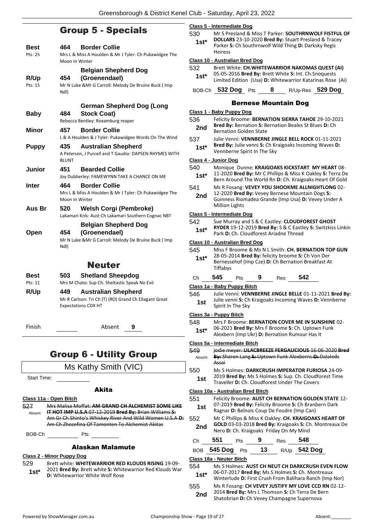# Group 5 - Specials

| Best<br>Pts: 25 | <b>Border Collie</b><br>464.<br>Mrs L & Miss A Houlden & Mr J Tyler: Ch Pukawidgee The                            |
|-----------------|-------------------------------------------------------------------------------------------------------------------|
|                 | Moon In Winter                                                                                                    |
|                 | <b>Belgian Shepherd Dog</b>                                                                                       |
| R/Up<br>Pts: 15 | (Groenendael)<br>454<br>Mr N Luke & Mr G Carroll: Melody De Bruine Buck ( Imp                                     |
|                 | Ndl)                                                                                                              |
|                 | German Shepherd Dog (Long                                                                                         |
| <b>Baby</b>     | <b>Stock Coat)</b><br>484<br>Rebecca Bentley: Roxamburg reaper                                                    |
| Minor           | <b>Border Collie</b><br>457                                                                                       |
|                 | L & A Houlden & J Tyler: Pukawidgee Words On The Wind                                                             |
| <b>Puppy</b>    | 435<br><b>Australian Shepherd</b>                                                                                 |
|                 | A Petersen, J Purcell and T Gaudio: DAPSEN RHYMES WITH<br><b>BLUNT</b>                                            |
| <b>Junior</b>   | 451<br><b>Bearded Collie</b>                                                                                      |
|                 | Joy Dubberley: FAMEWYNN TAKE A CHANCE ON ME                                                                       |
| Inter           | <b>Border Collie</b><br>464<br>Mrs L & Miss A Houlden & Mr J Tyler: Ch Pukawidgee The                             |
|                 | Moon In Winter                                                                                                    |
| Aus Br          | <b>Welsh Corgi (Pembroke)</b><br>520                                                                              |
|                 | Lakamari Knls: Aust Ch Lakamari Southern Cognac NBT<br><b>Belgian Shepherd Dog</b>                                |
| Open            | (Groenendael)<br>454                                                                                              |
|                 | Mr N Luke & Mr G Carroll: Melody De Bruine Buck ( Imp                                                             |
|                 | Ndl)                                                                                                              |
|                 | <b>Neuter</b>                                                                                                     |
| Best            | <b>Shetland Sheepdog</b><br>503                                                                                   |
| Pts: 11         | Mrs M Chato: Sup Ch. Sheltastic Speak No Evil                                                                     |
| R/Up            | <b>Australian Shepherd</b><br>449<br>Mr R Carlson: Tri Ch (T) (RO) Grand Ch Ellagant Great                        |
|                 | <b>Expectations CDX HT</b>                                                                                        |
|                 |                                                                                                                   |
| Finish          | Absent<br>9                                                                                                       |
|                 |                                                                                                                   |
|                 | <b>Group 6 - Utility Group</b>                                                                                    |
|                 | Ms Kathy Smith (VIC)                                                                                              |
| Start Time:     |                                                                                                                   |
|                 | Akita                                                                                                             |
|                 | Class 11a - Open Bitch                                                                                            |
| 527             | Mrs Malisa Moffat: AM GRAND CH ALCHEMIST SOME LIKE                                                                |
| Absent          | IT HOT IMP U.S.A 07-12-2019 Bred By: Brian Williams S:<br>Am Gr Ch Shinto's Whiskey River And Wild Women U.S.A-D: |
|                 | Am Ch Zhozefina Of Tamonten To Alchemist Akitas                                                                   |
| BOB-Ch          | Pts                                                                                                               |
|                 | Alaskan Malamute                                                                                                  |
| 529             | <u>Class 2 - Minor Puppy Dog</u><br>Brett white: WHITEWARRIOR RED KLOUDS RISING 19-09-                            |
| $1st^*$         | 2021 Bred By: Brett white S: Whitewarrior Red Klouds War                                                          |
|                 | <b>D:</b> Whitewarrior White Wolf Rose                                                                            |

#### **Class 5 - Intermediate Dog**

530 Mr S Presland & Miss T Parker: **SOUTHRNWOLF FISTFUL OF** 

| $1st^*$ | <b>DOLLARS</b> 23-10-2020 Bred By: Stuart Presland & Tracey |
|---------|-------------------------------------------------------------|
|         | Parker S: Ch Southrnwolf Wild Thing D: Darksky Regis        |
|         | <b>Heiress</b>                                              |

#### **Class 10 - Australian Bred Dog**

|        | <u>URUS TV - AUSHUNUH DI CU DUU</u>                   |   |                                                           |
|--------|-------------------------------------------------------|---|-----------------------------------------------------------|
| 532    | Brett White: CH.WHITEWARRIOR NAKOMAS QUEST (AI)       |   |                                                           |
| $1st*$ | 05-05-2016 Bred By: Brett White S: Int. Ch. Snoquests |   | Limited Edition (Usa) D: Whitewarrior Katarinas Rose (Ai) |
|        | BOB-Ch 532 Dog Pts                                    | 8 | R/Up-Res 529 Dog                                          |

# Bernese Mountain Dog

# **Class 1 - Baby Puppy Dog**

536 Felicity Broome: **BERNATION SIERRA TAHOE** 29-10-2021 **Bred By:** Bernation **S:** Bernation Beales St Blues **D:** Ch **2nd** Brea By: Bernation S: Bernation Golden State

537 Julie Venni: **VENNBERNE JINGLE BELL ROCK** 01-11-2021 **Bred By:** Julie venni **S:** Ch Kraigoaks Incoming Waves **D: 1st\*** Bred By: Julie venni S: Ch Kr<br>Vennberne Spirit In The Sky

#### **Class 4 - Junior Dog**

|   |               | <u>Class 4 - Junior Dog</u>                                                                                                                                              |     |    |            |                                                                                                                |  |  |
|---|---------------|--------------------------------------------------------------------------------------------------------------------------------------------------------------------------|-----|----|------------|----------------------------------------------------------------------------------------------------------------|--|--|
|   | 540<br>1st*   | Monique Dunne: KRAIGOAKS KICKSTART MY HEART 08-<br>11-2020 Bred By: Mr C Phillips & Miss K Oakley S: Terra De<br>Bern Around The World Rn D: Ch. Kraigoaks Heart Of Gold |     |    |            |                                                                                                                |  |  |
|   | 541           |                                                                                                                                                                          |     |    |            | Ms R Fosang: VEVEY YOU SHOOKME ALLNIGHTLONG 02-                                                                |  |  |
|   | 2nd           | <b>Million Lights</b>                                                                                                                                                    |     |    |            | 12-2020 Bred By: Vevey Bernese Mountain Dogs S:<br>Guinness Riomadea Grande (Imp Usa) D: Vevey Under A         |  |  |
|   |               | Class 5 - Intermediate Dog                                                                                                                                               |     |    |            |                                                                                                                |  |  |
|   | 542<br>1st*   | Park D: Ch. Cloudforest Ariadne Thread                                                                                                                                   |     |    |            | Sue Murray and S & C Eastley: CLOUDFOREST GHOST<br>RYDER 19-12-2019 Bred By: S & C Eastley S: Switzkiss Linkin |  |  |
|   |               | Class 10 - Australian Bred Dog                                                                                                                                           |     |    |            |                                                                                                                |  |  |
|   | 545           |                                                                                                                                                                          |     |    |            | Miss F Broome & Ms N L Smith: CH. BERNATION TOP GUN                                                            |  |  |
|   | $1st*$        | Tiffabys                                                                                                                                                                 |     |    |            | 28-05-2014 Bred By: felicity broome S: Ch Von Der<br>Bernessehof (Imp Cze) D: Ch Bernation Breakfast At        |  |  |
|   | Сh            | 545                                                                                                                                                                      | Pts | 9  | Res        | 542                                                                                                            |  |  |
|   |               | Class 1a - Baby Puppy Bitch                                                                                                                                              |     |    |            |                                                                                                                |  |  |
|   | 546           |                                                                                                                                                                          |     |    |            | Julie Venni: VENNBERNE JINGLE BELLE 01-11-2021 Bred By:                                                        |  |  |
|   | 1st           | Spirit In The Sky                                                                                                                                                        |     |    |            | Julie venni S: Ch Kraigoaks Incoming Waves D: Vennberne                                                        |  |  |
|   |               | Class 3a - Puppy Bitch                                                                                                                                                   |     |    |            |                                                                                                                |  |  |
|   | 548           |                                                                                                                                                                          |     |    |            | Mrs F Broome: BERNATION COVER ME IN SUNSHINE 02-                                                               |  |  |
|   | $1st*$        |                                                                                                                                                                          |     |    |            | 06-2021 Bred By: Mrs F Broome S: Ch. Uptown Funk<br>Alexbern (Imp Ukr) D: Bernation Rumour Has It              |  |  |
|   |               | Class 5a - Intermediate Bitch                                                                                                                                            |     |    |            |                                                                                                                |  |  |
|   | 549<br>Absent | Assai                                                                                                                                                                    |     |    |            | jodie meyer: LILACBREEZE FERGALICIOUS 16-06-2020 Bred<br>By: Sharon Lang S: Uptown Funk Alexberns D: Dalaleds  |  |  |
|   | 550           | Ms S Holmes: DARKCRUSH IMPERATOR FURIOSA 24-09-                                                                                                                          |     |    |            |                                                                                                                |  |  |
|   | 1st           | Traveller D: Ch. Cloudforest Under The Covers                                                                                                                            |     |    |            | 2019 Bred By: Ms S Holmes S: Sup. Ch. Cloudforest Time                                                         |  |  |
|   |               | Class 10a - Australian Bred Bitch                                                                                                                                        |     |    |            |                                                                                                                |  |  |
|   | 551<br>1st    | Felicity Broome: AUST CH BERNATION GOLDEN STATE 12-<br>07-2019 Bred By: Felicity Broome S: Ch Branbern Dark<br>Ragnar D: Belnois Coup De Foudre (Imp Can)                |     |    |            |                                                                                                                |  |  |
| ÷ | 552<br>2nd    | Mr C Phillips & Miss K Oakley: CH. KRAIGOAKS HEART OF<br>GOLD 03-03-2018 Bred By: Kraigoaks S: Ch. Montreaux De<br>Nero D: Ch. Kraigoaks Friday On My Mind               |     |    |            |                                                                                                                |  |  |
|   | Сh            | 551                                                                                                                                                                      | Pts | 9  | <b>Res</b> | 548                                                                                                            |  |  |
|   |               | BOB 545 Dog Pts                                                                                                                                                          |     | 13 |            | R/Up 542 Dog                                                                                                   |  |  |
|   |               | Class 18a - Neuter Bitch                                                                                                                                                 |     |    |            |                                                                                                                |  |  |
|   | 554           |                                                                                                                                                                          |     |    |            | Ms S Holmes: AUST CH NEUT CH DARKCRUSH EVEN FLOW                                                               |  |  |
|   | $1st*$        |                                                                                                                                                                          |     |    |            | 06-07-2017 Bred By: Ms S Holmes S: Ch. Montreaux<br>Winterlude D: First Crush From Balihara Ranch (Imp Nor)    |  |  |
|   | 555           |                                                                                                                                                                          |     |    |            | Ms R Fosang: CH VEVEY JUSTIFY MY LOVE CCD RN 02-12-                                                            |  |  |
|   | 2nd           |                                                                                                                                                                          |     |    |            | 2014 Bred By: Mrs L Thomson S: Ch Terra De Bern<br>Shatobrian D: Ch Vevey Champagne Supernova                  |  |  |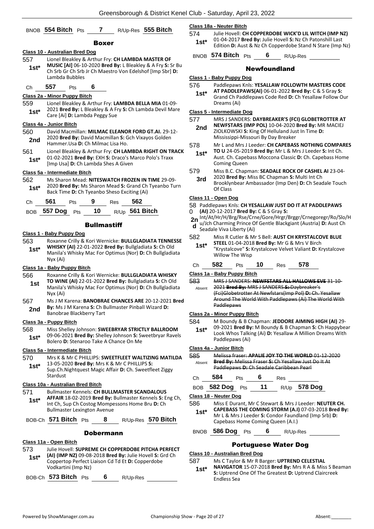|                |                                                                                                                                                         |                    |                | Oreensborough & District Rener Or                                                                                 |                      |
|----------------|---------------------------------------------------------------------------------------------------------------------------------------------------------|--------------------|----------------|-------------------------------------------------------------------------------------------------------------------|----------------------|
|                | BNOB 554 Bitch Pts                                                                                                                                      |                    |                | 7 R/Up-Res 555 Bitch                                                                                              | <u>CI</u><br>57      |
|                |                                                                                                                                                         | Boxer              |                |                                                                                                                   |                      |
| 557<br>$1st*$  | <u> Class 10 - Australian Bred Dog</u><br>Lionel Bleakley & Arthur Fry: CH LAMBDA MASTER OF<br>Ch Srb Gr Ch Srb Jr Ch Maestro Von Edelshof [Imp Sbr] D: |                    |                | MUSIC [AI] 06-10-2020 Bred By: L Bleakley & A Fry S: Sr Bu                                                        | Е                    |
| Ch             | Lambda Bubbles<br>557<br>Pts                                                                                                                            | 6                  |                |                                                                                                                   | <u>CI</u><br>57      |
|                | Class 2a - Minor Puppy Bitch                                                                                                                            |                    |                |                                                                                                                   |                      |
| 559<br>1st*    | Lionel Bleakley & Arthur Fry: LAMBDA BELLA MIA 01-09-<br>Care [Ai] D: Lambda Peggy Sue                                                                  |                    |                | 2021 Bred By: L Bleakley & A Fry S: Ch Lambda Devil Mare                                                          | СI<br>57             |
|                | Class 4a - Junior Bitch                                                                                                                                 |                    |                |                                                                                                                   |                      |
| 560<br>2nd     | David Macmillan: MILMAC ELEANOR FORD GT.AI. 29-12-<br>2020 Bred By: David Macmillan S: Gch Vixayos Golden<br>Hammer. Usa D: Ch Milmac Lisa Ho.          |                    |                |                                                                                                                   | 57                   |
| 561<br>$1st^*$ | 01-02-2021 Bred By: EXH S: Draco's Marco Polo's Traxx<br>[Imp Usa] D: Ch Lambda Shes A Given                                                            |                    |                | Lionel Bleakley & Arthur Fry: CH LAMBDA RIGHT ON TRACK                                                            |                      |
|                | Class 5a - Intermediate Bitch                                                                                                                           |                    |                |                                                                                                                   | 57                   |
| 562<br>$1st*$  | Ms Sharon Mead: NITESWATCH FROZEN IN TIME 29-09-<br>Back Time D: Ch Tyeanbo Sheso Exciting (Ai)                                                         |                    |                | 2020 Bred By: Ms Sharon Mead S: Grand Ch Tyeanbo Turn                                                             |                      |
| Ch             | 561<br>Pts                                                                                                                                              | 9                  | 562<br>Res     |                                                                                                                   | СI<br>58             |
| BOB            | <b>557 Dog</b>                                                                                                                                          | Pts 10             | R/Up 561 Bitch |                                                                                                                   | 0                    |
|                |                                                                                                                                                         | <b>Bullmastiff</b> |                |                                                                                                                   | $\mathbf{2}$<br>C    |
|                | Class 1 - Baby Puppy Dog                                                                                                                                |                    |                |                                                                                                                   | 58                   |
| 563<br>$1st^*$ | WHISKY (AI) 22-01-2022 Bred By: Bullgladiata S: Ch Old<br>Nyx (Ai)                                                                                      |                    |                | Roxanne Crilly & Kori Wernicke: BULLGLADIATA TENNESSE<br>Manila's Whisky Mac For Optimus (Nor) D: Ch Bullgladiata |                      |
|                | Class 1a - Baby Puppy Bitch                                                                                                                             |                    |                |                                                                                                                   | C                    |
| 566<br>1st     | Roxanne Crilly & Kori Wernicke: BULLGLADIATA WHISKY<br>TO WINE (AI) 22-01-2022 Bred By: Bullgladiata S: Ch Old<br>Nyx (Ai)                              |                    |                | Manila's Whisky Mac For Optimus (Nor) D: Ch Bullgladiata                                                          | <u>CI</u><br>58      |
| 567<br>2nd     | <b>By:</b> Ms J M Karena S: Ch Bullmaster Pinball Wizard D:<br>Banobrae Blackberry Tart                                                                 |                    |                | Ms J M Karena: BANOBRAE CHANCES ARE 20-12-2021 Bred                                                               | <u>CI</u>            |
|                | Class 3a - Puppy Bitch                                                                                                                                  |                    |                |                                                                                                                   | 58                   |
| 568<br>1st*    | Miss Shelley Johnson: SWEEBRYAR STRICTLY BALLROOM<br>Bolero D: Stenaroo Take A Chance On Me                                                             |                    |                | 09-06-2021 Bred By: Shelley Johnson S: Sweetbryar Ravels                                                          |                      |
|                | Class 5a - Intermediate Bitch                                                                                                                           |                    |                |                                                                                                                   | <u>CI</u>            |
| 570<br>$1st*$  | 13-05-2020 Bred By: Mrs K & Mr C PHILLIPS S:<br>Sup.Ch.Nightquest Magic Affair D: Ch. Sweetfleet Ziggy<br>Stardust                                      |                    |                | Mrs K & Mr C PHILLIPS: SWEETFLEET WALTIZING MATILDA                                                               | 58                   |
|                | <b>Class 10a - Australian Bred Bitch</b>                                                                                                                |                    |                |                                                                                                                   | C                    |
| 571<br>1st*    | <b>Bullmaster Kennels: CH BULLMASTER SCANDALOUS</b><br>Int Ch, Sup Ch Costog Mompessons Home Bru D: Ch<br><b>Bullmaster Lexington Avenue</b>            |                    |                | AFFAIR 18-02-2019 Bred By: Bullmaster Kennels S: Eng Ch,                                                          | E<br><u>CI</u><br>58 |
|                | BOB-Ch 571 Bitch $Pts$                                                                                                                                  | - 8                |                | R/Up-Res 570 Bitch                                                                                                |                      |
|                |                                                                                                                                                         | <b>Dobermann</b>   |                |                                                                                                                   | Е                    |
|                | Class 11a - Open Bitch                                                                                                                                  |                    |                |                                                                                                                   |                      |
| 573<br>$1st^*$ | (AI) (IMP NZ) 09-08-2018 Bred By: Julie Hovell S: Grd Ch<br>Coppertop Perfect Liaison Cd Td Et D: Copperdobe<br>Vodkartini (Imp Nz)                     |                    |                | Julie Hovell: SUPREME CH COPPERDOBE PITCHA PERFECT                                                                | СI<br>58             |

BOB-Ch **573 Bitch** Pts **6** R/Up-Res

#### **Class 18a - Neuter Bitch**

- 574 Julie Hovell: **CH COPPERDOBE WICK'D LIL WITCH (IMP NZ)** 01-04-2017 **Bred By:** Julie Hovell **S:** Nz Ch Patonshill Last **1st**\* DI-04-2017 **Brea By:** Julie Hoven **3.** NZ Ch Patonshin Last<br>Edition **D:** Aust & Nz Ch Copperdobe Stand N Stare (Imp Nz)
	- BNOB **574 Bitch** Pts **6** R/Up-Res

#### Newfoundland

| Class 1 - Baby Puppy Dog |  |  |  |
|--------------------------|--|--|--|
|                          |  |  |  |

- 576 Paddlepaws Knls: **YESALLAW FOLLOWTH MASTERS CODE AT PADDLEPAWS(AI)** 06-01-2022 **Bred By:** C & S Gray **S: 1st\***
- Grand Ch Paddlepaws Code Red **D:** Ch Yesallaw Follow Our Dreams (Ai)

#### **Class 5 - Intermediate Dog**

| 577 | MRS J SANDERS: DAYBREAKER'S (FCI) GLOBETROTTER AT |
|-----|---------------------------------------------------|
| 2nd | NEWFSTARS (IMP POL) 10-04-2020 Bred By: MR MACIEJ |
|     | ZIOLKOWSKI S: King Of Helluland Just In Time D:   |
|     | Mississippi-Missouri By Day Breaker               |

#### 578 Mr L and Mrs J Leeder: **CH CAPEBASS NOTHING COMPARES**

- **TO U** 24-05-2019 **Bred By:** Mr L & Mrs J Leeder **S:** Int Ch. Aust. Ch. Capebass Moccona Classic **D:** Ch. Capebass Home Coming Queen **1st\***
- 579 Miss B.C. Chapman: **SEADALE ROCK OF CASHEL AI** 23-04-
- 2020 **Bred By:** Miss BC Chapman **S:** Multi Int Ch Brooklynbear Ambassador (Imp Den) **D:** Ch Seadale Touch Of Class **3rd**

# **Class 11 - Open Dog**

- 58 Paddlepaws Knls: **CH YESALLAW JUST DO IT AT PADDLEPAWS**
- **(AI)** 20-12-2017 **Bred By:** C & S Gray **S:**  Int/At/Hr/H/Brg/Rse/Crne/Gore/Hrgr/Brggr/Crnegoregr/Ro/Slo/H **2n**
- u/Jch Charming Prince Of Gentle Blackgiant (Austria) **D:** Aust Ch Seadale Viva Liberty (Ai) **d**
- 582 Miss R Cutler & Mr S Bell: **AUST CH KRYSTALCOVE BLUE STEEL** 01-04-2018 **Bred By:** Mr G & Mrs V Birch "Krystalcove" **S:** Krystalcove Velvet Valiant **D:** Krystalcove Willow The Wisp **1st\*** Ch **582** Pts **10** Res **578**

#### **Class 1a - Baby Puppy Bitch**

- 583 MRS J SANDERS: **NEWFSTARS ALL HALLOWS EVE** 31-10-
- 2021 **Bred By:** MRS J SANDERS **S:** Daybreaker's (Fci)Globetrotter At Newfstars(Imp Pol) **D:** Ch. Yesallaw Around The World With Paddlepaws (Ai) The World With Paddlepaws Absent

#### **Class 2a - Minor Puppy Bitch**

- 584 M Boundy & B Chapman: **JEDDORE AIMING HIGH (AI)** 29-
- 09-2021 **Bred By:** M Boundy & B Chapman **S:** Ch Happybear Look Whos Talking (Ai) **D:** Yesallaw A Million Dreams With Paddlepaws (Ai) **1st\***

#### **Class 4a - Junior Bitch**

585 Melissa fraser: **APALIE JOY TO THE WORLD** 01-12-2020 **Bred By:** Melissa Fraser **S:** Ch Yesallaw Just Do It At Paddlepaws **D:** Ch Seadale Caribbean Pearl Absent

| Сh | 584 | Pts | Res |
|----|-----|-----|-----|
|    |     |     |     |

| BOB 582 Dog Pts |  | R/Up 578 Dog |
|-----------------|--|--------------|
|                 |  |              |

**Class 18 - Neuter Dog**

- 586 Miss E Durant, Mr C Stewart & Mrs J Leeder: **NEUTER CH. CAPEBASS THE COMING STORM (A.I)** 07-03-2018 **Bred By: 1st\***
	- Mr L & Mrs J Leeder **S:** Condor Faundland (Imp Srb) **D:**  Capebass Home Coming Queen (A.I.)
- BNOB **586 Dog** Pts **6** R/Up-Res

### Portuguese Water Dog

**Class 10 - Australian Bred Dog**

#### 587 Ms C Taylor & Mr R Barger: **UPTREND CELESTIAL**

**NAVIGATOR** 15-07-2018 **Bred By:** Mrs R A & Miss S Beaman **S:** Uptrend One Of The Greatest **D:** Uptrend Claircreek Endless Sea **1st\***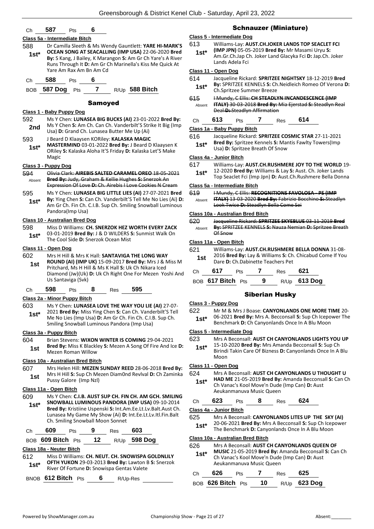### Ch **587** Pts **6**

#### **Class 5a - Intermediate Bitch**

- 588 Dr Camilla Sleeth & Ms Wendy Gauntlett: **YARE HI-MARK'S OCEAN SONG AT SEACALLING (IMP USA)** 22-06-2020 **Bred By:** S Kang, J Bailey, K Marangon **S:** Am Gr Ch Yare's A River Runs Through It **D:** Am Gr Ch Marinella's Kiss Me Quick At Yare Am Rax Am Bn Am Cd **1st\***
- Ch **588** Pts **6**

BOB **587 Dog** Pts **7** R/Up **588 Bitch**

#### Samoyed

#### **Class 1 - Baby Puppy Dog**

- 592 Ms Y Chen: **LUNASEA BIG BUCKS (AI)** 23-01-2022 **Bred By:** Ms Y Chen **S:** Am Ch. Can Ch. Vanderbilt'S Strike It Big (Imp **2nd** MS Y Chen S: Am Ch. Can Ch. Vanderbilt S Strand Ch. Lunasea Butter Me Up (Ai)
- 593 J Beard D Klaaysen KORiley: **KALASKA MAGIC MASTERMIND** 03-01-2022 **Bred By:** J Beard D Klaaysen K **1st\***
	- ORiley **S:** Kalaska Aloha It'S Friday **D:** Kalaska Let'S Make Magic

#### **Class 3 - Puppy Dog**

- 594 Olivia Clark: **AIREBIS SALTED CARAMEL OREO** 18-05-2021 **Bred By:** Judy, Graham & Kellie Hughes **S:** Snerzok An Expression Of Love **D:** Ch. Airebis I Love Cookies N Cream Absent
- 595 Ms Y Chen: **LUNASEA BIG LITTLE LIES (AI)** 27-07-2021 **Bred By:** Ying Chen **S:** Can Ch. Vanderbilt'S Tell Me No Lies (Ai) **D:**  Am Gr Ch. Fin Ch. C.I.B. Sup Ch. Smiling Snowball Luminous **1st\***

#### **Class 10 - Australian Bred Dog**

Pandora(Imp Usa)

- 598 Miss D Williams: **CH. SNERZOK HEZ WORTH EVERY ZACK** 03-01-2019 **Bred By:** J & D WILDERS **S:** Sunmist Walk On
	- **1st**\* US-UI-2019 **Brea By:** J & D WILDERS **1**<br>The Cool Side **D:** Snerzok Ocean Mist

#### **Class 11 - Open Dog**

- 602 Mrs H Hill & Mrs K Hall: **SANTAVIGA THE LONG WAY ROUND (AI) (IMP UK)** 15-09-2017 **Bred By:** Mrs J & Miss M
	- Pritchard, Ms H Hill & Ms K Hall **S:** Uk Ch Nikara Iced Diamond (Jw)(Uk) **D:** Uk Ch Right One For Mezen Yoshi And Us Santaviga (Svk) **1st**

# Ch **598** Pts **8** Res **595**

### **Class 2a - Minor Puppy Bitch**

- 603 Ms Y Chen: **LUNASEA LOVE THE WAY YOU LIE (AI)** 27-07-
	- 2021 **Bred By:** Miss Ying Chen **S:** Can Ch. Vanderbilt'S Tell Me No Lies (Imp Usa) **D:** Am Gr Ch. Fin Ch. C.I.B. Sup Ch. Smiling Snowball Luminous Pandora (Imp Usa) **1st\***

#### **Class 3a - Puppy Bitch**

- 604 Brian Stevens: **WIXON WINTER IS COMING** 29-04-2021
- **Bred By:** Miss K Blackley **S:** Mezen A Song Of Fire And Ice **D: 1st Brea by:** Wilss K Bracki

#### **Class 10a - Australian Bred Bitch**

607 Mrs Helen Hill: **MEZEN SUNDAY REED** 28-06-2018 **Bred By:** Mrs H Hill **S:** Sup Ch Mezen Diam0nd Revlval **D:** Ch Zaminka **1st** Mirs H Hill **S**: Sup Ch Might

#### **Class 11a - Open Bitch**

609 Ms Y Chen: **C.I.B. AUST SUP CH. FIN CH. AM GCH. SMILING SNOWBALL LUMINOUS PANDORA (IMP USA)** 09-10-2014 **Bred By:** Kristiine Uspenski **S:** Int.Am.Ee.Lt.Lv.Balt.Aust Ch. Lunasea My Game My Show (Ai) **D:** Int.Ee.Lt.Lv.Itl.Fin.Balt Ch. Smiling Snowball Moon Sonnet **1st\***

Ch **609** Pts **9** Res **603**

# BOB **609 Bitch** Pts **12** R/Up **598 Dog**

#### **Class 18a - Neuter Bitch**

612 Miss D Williams: **CH. NEUT. CH. SNOWISPA GOLDNLILY OFTH YUKON** 29-03-2013 **Bred By:** Lawton B **S:** Snerzok River Of Fortune **D:** Snowispa Gentas Valete **1st\***

BNOB **612 Bitch** Pts **6** R/Up-Res

# Schnauzer (Miniature)

#### **Class 5 - Intermediate Dog**

- 613 Williams-Lay: **AUST.CH.JOKER LANDS TOP SEACLET FCI** 
	- **(IMP JPN)** 05-05-2019 **Bred By:** Mr Masami Uryu **S:**  Am.Gr.Ch.Jap Ch. Joker Land Glacyka Fci **D:** Jap.Ch. Joker Lands Adela Fci **1st\***

#### **Class 11 - Open Dog**

- 614 Jacqueline Rickard: **SPRITZEE NIGHTSKY** 18-12-2019 **Bred**
- **By:** SPRITZEE KENNELS **S:** Ch.Neidleich Romeo Of Verona **D:**  1st\* By: SPRITZEE KENNELS S: Ch.<br>Ch.Spritzee Summer Breeze
- 615 I Mundy, C Ellis: **CH STEADLYN INCANDESCENCE (IMP ITALY)** 30-03-2018 **Bred By:** Mia Ejerstad **S:** Steadlyn Real Deal **D:** Steadlyn Affirmation Absent

# Ch **613** Pts **7** Res **614**

#### **Class 1a - Baby Puppy Bitch**

- 616 Jacqueline Rickard: **SPRITZEE COSMIC STAR** 27-11-2021
- **Bred By:** Spritzee Kennels **S:** Mantis Fawlty Towers(Imp **1st\* Brea By:** Spritzee Kennels S: Markhoff State Disable Dr. Spritzee Breath Of Snow

#### **Class 4a - Junior Bitch** 617 Williams-Lay: **AUST.CH.RUSHMERE JOY TO THE WORLD** 19-

- 12-2020 **Bred By:** Williams & Lay **S:** Aust. Ch. Joker Lands
	- **15t** 12-2020 **Bred By:** Williams & Lay S: Aust. Ch. Joker Lands<br>Top Seaclet Fci (Imp Jpn) **D:** Aust.Ch.Rushmere Bella Donna

#### **Class 5a - Intermediate Bitch**

619 I Mundy, C Ellis: **RECOGNITIONS FAVOLOSA - PS (IMP ITALY)** 13-03-2020 **Bred By:** Fabrizio Bocchino **S:** Steadlyn Look Twice **D:** Steadlyn Bella Come Sei Absent

#### **Class 10a - Australian Bred Bitch**

| 620    | Jacqueline Rickard: SPRITZEE SKYEBLUE 03-11-2019 Bred   |
|--------|---------------------------------------------------------|
| Absent | By: SPRITZEE KENNELS S: Nauza Nemian D: Spritzee Breath |
|        | Of Snow                                                 |

#### **Class 11a - Open Bitch**

| 621 |     |                 |                                   | Williams-Lay: AUST.CH.RUSHMERE BELLA DONNA 31-08-        |
|-----|-----|-----------------|-----------------------------------|----------------------------------------------------------|
| 1st |     |                 | Dare D: Ch.Dabinette Teachers Pet | 2016 Bred By: Lay & Williams S: Ch. Chicabud Come If You |
| Ch  | 617 | P <sub>ts</sub> | <b>Res</b>                        | 621                                                      |

BOB **617 Bitch** Pts **9** R/Up **613 Dog**

# Siberian Husky

#### **Class 3 - Puppy Dog**

- 622 Mr M & Mrs J Boase: **CANYONLANDS ONE MORE TIME** 20- 06-2021 **Bred By:** Mrs A. Becconsall **S:** Sup Ch Icepower The
- **1st**\* Ub-2021 **Bred By:** Mrs A. Becconsall **S:** Sup Ch Icepo<br>Benchmark D: Ch Canyonlands Once In A Blu Moon

#### **Class 5 - Intermediate Dog**

- 623 Mrs A Beconsall: **AUST CH CANYONLANDS LIGHTS YOU UP**
- 15-10-2020 **Bred By:** Mrs Amanda Becconsall **S:** Sup Ch Birindi Takin Care Of Bizness **D:** Canyonlands Once In A Blu Moon **1st\***

# **Class 11 - Open Dog**

#### 624 Mrs A Beconsall: **AUST CH CANYONLANDS U THOUGHT U**

**HAD ME** 21-05-2019 **Bred By:** Amanda Becconsall **S:** Can Ch Ch Vanac's Kool Move'n Dude (Imp Can) **D:** Aust Aeukanmanuva Music Queen **1st\***

| Ch | 623 | Pts | 8 | Res | 624 |
|----|-----|-----|---|-----|-----|
|----|-----|-----|---|-----|-----|

#### **Class 4a - Junior Bitch**

- 625 Mrs A Beconsall: **CANYONLANDS LITES UP THE SKY (AI)**
	- 20-06-2021 **Bred By:** Mrs A Becconsall **S:** Sup Ch Icepower **1st** 20-06-2021 **Brea By:** Mrs A Becconsali **S:** Sup Cn Icep<br>The Benchmark **D:** Canyonlands Once In A Blu Moon

#### **Class 10a - Australian Bred Bitch**

626 Mrs A Beconsall: **AUST CH CANYONLANDS QUEEN OF MUSIC** 21-05-2019 **Bred By:** Amanda Becconsall **S:** Can Ch Ch Vanac's Kool Move'n Dude (Imp Can) **D:** Aust Aeukanmanuva Music Queen **1st\***

| Ch | 626               | <b>Pts</b> |     | Res | 625            |
|----|-------------------|------------|-----|-----|----------------|
|    | BOB 626 Bitch Pts |            | -10 |     | $R/Up$ 623 Dog |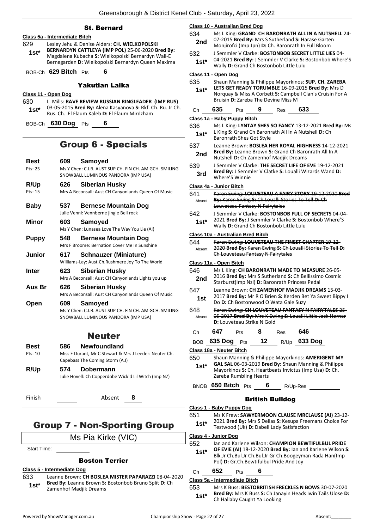# St. Bernard

# **Class 5a - Intermediate Bitch**

629 Lesley Jehu & Denise Alders: **CH. WIELKOPOLSKI BERNARDYN CATTLEYA (IMP POL)** 25-06-2020 **Bred By:** Magdalena Kubacha **S:** Wielkopolski Bernardyn Wall-E Bernegarden **D:** Wielkopolski Bernardyn Queen Maxima **1st\***

BOB-Ch **629 Bitch** Pts **6**

#### Yakutian Laika

#### **Class 11 - Open Dog**

630 L. Mills: **RAVE REVIEW RUSSIAN RINGLEADER (IMP RUS)** 03-05-2015 **Bred By:** Alena Kasyanova **S:** Rkf. Ch. Ru. Jr Ch. Rus. Ch. El Flaum Kaleb **D:** El Flaum Mirdzham **1st\***

BOB-Ch **630 Dog** Pts **6**

# Group 6 - Specials

| Best<br>Pts: 25        | 609 | Samoyed<br>Ms Y Chen: C.I.B. AUST SUP CH. FIN CH. AM GCH. SMILING<br>SNOWBALL LUMINOUS PANDORA (IMP USA)        |
|------------------------|-----|-----------------------------------------------------------------------------------------------------------------|
| R/Up                   | 626 | <b>Siberian Husky</b>                                                                                           |
| $P$ <sup>ts</sup> : 15 |     | Mrs A Beconsall: Aust CH Canyonlands Queen Of Music                                                             |
| <b>Baby</b>            | 537 | <b>Bernese Mountain Dog</b><br>Julie Venni: Vennberne jingle Bell rock                                          |
| Minor                  | 603 | <b>Samoyed</b><br>Ms Y Chen: Lunasea Love The Way You Lie (AI)                                                  |
| <b>Puppy</b>           | 548 | <b>Bernese Mountain Dog</b><br>Mrs F Broome: Bernation Cover Me In Sunshine                                     |
| Junior                 | 617 | <b>Schnauzer (Miniature)</b><br>Williams-Lay: Aust.Ch.Rushmere Joy To The World                                 |
| Inter                  | 623 | Siberian Husky<br>Mrs A Beconsall: Aust CH Canyonlands Lights you up                                            |
| Aus Br                 | 626 | Siberian Husky<br>Mrs A Beconsall: Aust CH Canyonlands Queen Of Music                                           |
| Open                   | 609 | <b>Samoyed</b><br>Ms Y Chen: C.I.B. AUST SUP CH. FIN CH. AM GCH. SMILING<br>SNOWBALL LUMINOUS PANDORA (IMP USA) |
|                        |     | <b>Neuter</b>                                                                                                   |
| Best                   | 586 | Newfoundland                                                                                                    |
| $D + 0.10$             |     | Mice E Durant, Mr.C. Ctought R. Mrs. Hoodor: Noutar Ch                                                          |

| Pts: 10 | Miss E Durant, Mr C Stewart & Mrs J Leeder: Neuter Ch.<br>Capebass The Coming Storm (A.I) |
|---------|-------------------------------------------------------------------------------------------|
| R/Up    | Dobermann<br>574<br>Julie Hovell: Ch Copperdobe Wick'd Lil Witch (Imp NZ)                 |

Finish Absent **8**

# Group 7 - Non-Sporting Group

Ms Pia Kirke (VIC)

Start Time:

# Boston Terrier

#### **Class 5 - Intermediate Dog**

633 Leanne Brown: **CH BOSLEA MISTER PAPARAZZI** 08-04-2020 **Bred By:** Leanne Brown **S:** Bostonbob Bruno Split **D:** Ch **1st\*** Bred By: Leanne Brown S:<br>Zamenhof Madjik Dreams

#### **Class 10 - Australian Bred Dog**

- 634 Ms L King: **GRAND CH BARONRATH ALL IN A NUTSHELL** 24- 07-2015 **Bred By:** Mrs S Sutherland **S:** Harase Garten Monjirofci (Imp Jpn) **D:** Ch. Baronrath In Full Bloom **2nd**
- 632 J Semmler V Clarke: **BOSTONBOB SECRET LITTLE LIES** 04- 04-2021 **Bred By:** J Semmler V Clarke **S:** Bostonbob Where'S **1st**\* 04-2021 Bred By: J Semmier V Clarke S: 1<br>Wally D: Grand Ch Bostonbob Little Lulu

#### **Class 11 - Open Dog**

| <u> Class 11 - Open Dog</u> |                                                                                                                                                       |                                                                                                                                                                                                               |                        |      |                                                                                                                                                                     |  |
|-----------------------------|-------------------------------------------------------------------------------------------------------------------------------------------------------|---------------------------------------------------------------------------------------------------------------------------------------------------------------------------------------------------------------|------------------------|------|---------------------------------------------------------------------------------------------------------------------------------------------------------------------|--|
| 635<br>$1st*$               |                                                                                                                                                       | Shaun Manning & Philippe Mayorkinos: SUP. CH. ZAREBA<br>LETS GET READY TORUMBLE 16-09-2015 Bred By: Mrs D<br>Norquay & Miss A Corbett S: Campbell Clan's Cruisin For A<br>Bruisin D: Zareba The Devine Miss M |                        |      |                                                                                                                                                                     |  |
|                             |                                                                                                                                                       |                                                                                                                                                                                                               |                        |      |                                                                                                                                                                     |  |
| Сh                          | 635                                                                                                                                                   | Pts                                                                                                                                                                                                           | 9                      | Res  | 633                                                                                                                                                                 |  |
|                             |                                                                                                                                                       | Class 1a - Baby Puppy Bitch                                                                                                                                                                                   |                        |      |                                                                                                                                                                     |  |
| 636<br>1st*                 |                                                                                                                                                       | <b>Baronrath Shes Got Style</b>                                                                                                                                                                               |                        |      | Ms L King: LYNTAY SHES SO FANCY 13-12-2021 Bred By: Ms<br>L King S: Grand Ch Baronrath All In A Nutshell D: Ch                                                      |  |
| 637<br>2nd                  | Leanne Brown: BOSLEA HER ROYAL HIGHNESS 14-12-2021<br>Bred By: Leanne Brown S: Grand Ch Baronrath All In A<br>Nutshell D: Ch Zamenhof Madjik Dreams   |                                                                                                                                                                                                               |                        |      |                                                                                                                                                                     |  |
| 639<br>3rd                  |                                                                                                                                                       | J Semmler V Clarke: THE SECRET LIFE OF EVE 19-12-2021<br>Bred By: J Semmler V Clatke S: Loualli Wizards Wand D:<br>Where'S Winnie                                                                             |                        |      |                                                                                                                                                                     |  |
| Class 4a - Junior Bitch     |                                                                                                                                                       |                                                                                                                                                                                                               |                        |      |                                                                                                                                                                     |  |
| 641<br>Absent               |                                                                                                                                                       | Louveteau Fantasy N Fairytales                                                                                                                                                                                |                        |      | Karen Ewing: LOUVETEAU A FAIRY STORY 19-12-2020 Bred<br>By: Karen Ewing S: Ch Loualli Stories To Tell D: Ch                                                         |  |
| 642<br>$1st*$               |                                                                                                                                                       | Wally D: Grand Ch Bostonbob Little Lulu                                                                                                                                                                       |                        |      | J Semmler V Clarke: BOSTONBOB FULL OF SECRETS 04-04-<br>2021 Bred By: J Semmler V Clarke S: Bostonbob Where'S                                                       |  |
|                             |                                                                                                                                                       | Class 10a - Australian Bred Bitch                                                                                                                                                                             |                        |      |                                                                                                                                                                     |  |
| 644<br>Absent               |                                                                                                                                                       | Karen Ewing: LOUVETEAU THE FINEST CHAPTER 19-12-<br>2020 Bred By: Karen Ewing S: Ch Loualli Stories To Tell D:<br>Ch Louveteau Fantasy N Fairytales                                                           |                        |      |                                                                                                                                                                     |  |
| Class 11a - Open Bitch      |                                                                                                                                                       |                                                                                                                                                                                                               |                        |      |                                                                                                                                                                     |  |
| 646<br>2nd                  |                                                                                                                                                       | Ms L King: CH BARONRATH MADE TO MEASURE 26-05-<br>2016 Bred By: Mrs S Sutherland S: Ch Bellissimo Cosmic<br>Starburst(Imp Nzl) D: Baronrath Princess Pedal                                                    |                        |      |                                                                                                                                                                     |  |
| 647<br>1st                  |                                                                                                                                                       | Do D: Ch Bostonwood O Wata Gale Suzy                                                                                                                                                                          |                        |      | Leanne Brown: CH ZAMENHOF MADJIK DREAMS 15-03-<br>2017 Bred By: Mr R O'Brien S: Kerden Bet Ya Sweet Bippy I                                                         |  |
| 648<br>Absent               | Karen Ewing: CH LOUVETEAU FANTASY N FAIRYTALES 25-<br>05-2017 Bred By: Mrs K Ewing S: Loualli Little Jack Horner<br><b>D: Louveteau Strike N Gold</b> |                                                                                                                                                                                                               |                        |      |                                                                                                                                                                     |  |
| Сh                          | 647                                                                                                                                                   | Pts                                                                                                                                                                                                           | 8                      | Res  | 646                                                                                                                                                                 |  |
| <b>BOB</b>                  | 635 Dog                                                                                                                                               | <b>Pts</b>                                                                                                                                                                                                    | 12                     | R/Up | 633 Dog                                                                                                                                                             |  |
| Class 18a - Neuter Bitch    |                                                                                                                                                       |                                                                                                                                                                                                               |                        |      |                                                                                                                                                                     |  |
| 650<br>1st*                 |                                                                                                                                                       | Zareba Rumbling Hearts                                                                                                                                                                                        |                        |      | Shaun Manning & Philippe Mayorkinos: AMERIGENT MY<br>GAL SAL 06-03-2019 Bred By: Shaun Manning & Philippe<br>Mayorkinos S: Ch. Heartbeats Invictus (Imp Usa) D: Ch. |  |
|                             |                                                                                                                                                       | BNOB $650$ Bitch $P$ ts                                                                                                                                                                                       |                        |      | 6 R/Up-Res                                                                                                                                                          |  |
|                             |                                                                                                                                                       |                                                                                                                                                                                                               | <b>British Bulldog</b> |      |                                                                                                                                                                     |  |
|                             |                                                                                                                                                       | Class 1 - Baby Puppy Dog                                                                                                                                                                                      |                        |      |                                                                                                                                                                     |  |
| 651                         |                                                                                                                                                       |                                                                                                                                                                                                               |                        |      | Ms K Frew: SAWYERMOON CLAUSE MRCLAUSE (AI) 23-12-                                                                                                                   |  |
| $1st*$                      |                                                                                                                                                       | Testwood (Uk) D: Dabell Lady Satisfaction                                                                                                                                                                     |                        |      | 2021 Bred By: Mrs S Dellas S: Kesupa Freemans Choice For                                                                                                            |  |

#### **Class 4 - Junior Dog**

652 Ian and Karlene Wilson: **CHAMPION BEWTIFULBUL PRIDE OF EVIE (AI)** 18-12-2020 **Bred By:** Ian and Karlene Wilson **S:**  Blk.Jr Ch.Bul.Jr Ch.Bul.Jr Gr Ch.Boogeyman Rada Han(Imp Pol) **D:** Gr.Ch.Bewtifulbul Pride And Joy **1st\***

# Ch **652** Pts **6**

# **Class 5a - Intermediate Bitch**

653 Mrs K Buss: **BESTOBRITISH FRECKLES N BOWS** 30-07-2020 **Bred By:** Mrs K Buss **S:** Ch Janayin Heads Iwin Tails Ulose **D: 1st\*** Bred By: Mrs K Buss S: Ch Jana<br>Ch Hallaby Caught Ya Looking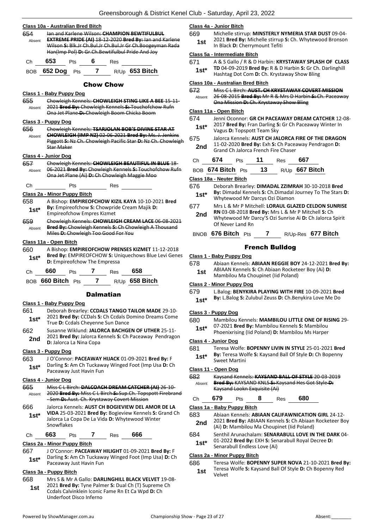| 654<br>Absent | Class 10a - Australian Bred Bitch<br>lan and Karlene Wilson: CHAMPION BEWTIFULBUL<br><b>EXTREME PRIDE (AI) 18-12-2020 Bred By: lan and Karlene</b><br>Wilson S: Blk.Jr Ch.Bul.Jr Ch.Bul.Jr Gr Ch.Boogeyman Rada<br>Han(Imp Pol) D: Gr. Ch. Bewtifulbul Pride And Joy |
|---------------|----------------------------------------------------------------------------------------------------------------------------------------------------------------------------------------------------------------------------------------------------------------------|
| Ch            | 653<br>Pts 6<br>Res                                                                                                                                                                                                                                                  |
|               | BOB 652 Dog Pts 7 R/Up 653 Bitch                                                                                                                                                                                                                                     |
|               | Chow Chow                                                                                                                                                                                                                                                            |
|               | Class 1 - Baby Puppy Dog                                                                                                                                                                                                                                             |
| 655<br>Absent | Chowleigh Kennels: CHOWLEIGH STING LIKE A BEE 15 11<br>2021 Bred By: Chowleigh Kennels S: Touchofchow Rufn<br>Ona Jet Plane D: Chowleigh Boom Chicka Boom                                                                                                            |
|               | Class 3 - Puppy Dog                                                                                                                                                                                                                                                  |
| 656<br>Absent | Chowleigh Kennels: TSARJOLAN BOB'S DIVINE STAR AT<br>CHOWLEIGH (IMP NZ) 02 06 2021 Bred By: Ms. J. Jenkins<br>Piggott S: Nz Ch. Chowleigh Pacific Star D: Nz Ch. Chowleigh<br><b>Star Maker</b>                                                                      |
|               | Class 4 - Junior Dog                                                                                                                                                                                                                                                 |
| 657<br>Absent | Chowleigh Kennels: CHOWLEIGH BEAUTIFUL IN BLUE 18-<br>06-2021 Bred By: Chowleigh Kennels S: Touchofchow Rufn<br>Ona Jet Plane (Ai) D: Ch Chowleigh Maggie Moo                                                                                                        |
| Сh            | Pts<br>$\equiv$ Res                                                                                                                                                                                                                                                  |
|               | Class 2a - Minor Puppy Bitch                                                                                                                                                                                                                                         |
| 658<br>1st*   | A Bishop: EMPIREOFCHOW KIZIL KAYA 10-10-2021 Bred<br>By: Empireofchow S: Chowpride Cream Majik D:<br><b>Empireofchow Empres Kizmet</b>                                                                                                                               |
| 659<br>Absent | Chowleigh Kennels: CHOWLEIGH CREAM LACE 06-08-2021<br>Bred By: Chowleigh Kennels S: Ch Chowleigh A Thousand<br>Miles-D:-Chowleigh Too Good For You                                                                                                                   |
|               | Class 11a - Open Bitch                                                                                                                                                                                                                                               |
| 660<br>$1st*$ | A Bishop: EMPIREOFCHOW PRENSES KIZMET 11-12-2018<br>Bred By: EMPIREOFCHOW S: Uniquechows Blue Levi Genes<br>D: Empireofchow The Empressa                                                                                                                             |
| Сh            | 7 Res 658<br>660<br><b>Pts</b>                                                                                                                                                                                                                                       |
|               | BOB 660 Bitch Pts 7 R/Up 658 Bitch                                                                                                                                                                                                                                   |
|               | <b>Dalmatian</b>                                                                                                                                                                                                                                                     |
|               | Class 1 - Baby Puppy Dog                                                                                                                                                                                                                                             |

- 661 Deborah Brearley: **CCDALS TANGO TAILOR MADE** 29-10- 2021 **Bred By:** CCDals **S:** Ch Ccdals Domino Dreams Come **1st**\* *QUALA* Brea By: CCDals S: Cn Ccdals D<br>True D: Ccdals Cheyenne Sun Dance
- 662 Susanne Wiklund: **JALORCA BACHGEN OF UTHER** 25-11- 2021 **Bred By:** Jalorca Kennels **S:** Ch Paceaway Pendragon **2nd** <sup>2021</sup> Brea By: Jalorca K.<br>**D:** Jalorca La Nina Copa

#### **Class 3 - Puppy Dog**

663 J O'Connor: **PACEAWAY HIJACK** 01-09-2021 **Bred By:** F Darling **S:** Am Ch Tuckaway Winged Foot (Imp Usa **D:** Ch **1st**\* Darling **5:** Am Ch Tuckawa<br>Paceaway Just Havin Fun

#### **Class 4 - Junior Dog**

- 665 Miss C L Birch: **DALCOACH DREAM CATCHER (AI)** 26-10- 2020 **Bred By:** Miss C L Birch **S:** Sup.Ch. Topspott Firebrand - Sem **D:** Aust. Ch. Krystaway Covert Mission Absent 666 Jalorca Kennels: **AUST CH BOGIEVIEW DEL AMOR DE LA**
- **VIDA** 25-03-2021 **Bred By:** Bogieview Kennels **S:** Grand Ch Jalorca La Copa De La Vida **D:** Whytewood Winter Snowflakes **1st\***

# Ch **663** Pts **7** Res **666**

# **Class 2a - Minor Puppy Bitch**

667 J O'Connor: **PACEAWAY HILIGHT** 01-09-2021 **Bred By:** F Darling **S:** Am Ch Tuckaway Winged Foot (Imp Usa) **D:** Ch **1st**\* Darling **5:** Am Ch Tuckawa<br>Paceaway Just Havin Fun

# **Class 3a - Puppy Bitch**

668 Mrs S & Mr A Gallo: **DARLINGHILL BLACK VELVET** 19-08- 2021 **Bred By:** Tyne Palmer **S:** Dual Ch (T) Supreme Ch Ccdals Calvinklein Iconic Fame Rn Et Ca Wpd **D:** Ch Underfoot Disco Inferno **1st**

#### **Class 4a - Junior Bitch**

669 Michelle stirrup: **MINSTERLY NYMERIA STAR DUST** 09-04- 2021 **Bred By:** Michelle stirrup **S:** Ch. Whytewood Bronson **1st Digital Black D:** Cherrymount Tefiti

#### **Class 5a - Intermediate Bitch**

671 A & S Gallo / R & D Harbin: **KRYSTAWAY SPLASH OF CLASS TD** 04-09-2019 **Bred By:** R & D Harbin **S:** Gr Ch. Darlinghill Hashtag Dot Com **D:** Ch. Krystaway Show Bling **1st\***

#### **Class 10a - Australian Bred Bitch**

| 672    | Miss C L Birch: AUST. CH KRYSTAWAY COVERT MISSION       |
|--------|---------------------------------------------------------|
| Absent | 26-08-2015 Bred By: Mr R & Mrs D Harbin-S: Ch. Paceaway |
|        | Ona Mission D: Ch. Krystaway Show Bling                 |

#### **Class 11a - Open Bitch**

| 674    | Jenni Oconnor: GR CH PACEAWAY DREAM CATCHER 12-08-     |
|--------|--------------------------------------------------------|
| $1st*$ | 2017 Bred By: Fran Darling S: Gr Ch Paceaway Winter In |
|        | Vagus <b>D:</b> Topspott Team Sky                      |

- 675 Jalorca Kennels: **AUST CH JALORCA FIRE OF THE DRAGON**
	- 11-02-2020 **Bred By:** Exh **S:** Ch Paceaway Pendragon **D: 2nd** II-02-2020 **Bred By:** Exh S: Ch Pacea<br>Grand Ch Jalorca French Fire Chaser

| Ch | 674               | Pts | - 11 | Res | 667              |
|----|-------------------|-----|------|-----|------------------|
|    | BOB 674 Bitch Pts |     | 13   |     | $R/Up$ 667 Bitch |

#### **Class 18a - Neuter Bitch**

- 676 Deborah Brearley: **DIMADAL ZZIMRAH** 30-10-2018 **Bred By:** Dimadal Kennels **S:** Ch.Dimadal Journey To The Stars **D:**  Whytewood Mr Darcys Ozi Diamon **1st\***
- 677 Mrs L & Mr P Mitchell: **LORAUL GLAZED CELDON SUNRISE RN** 03-08-2018 **Bred By:** Mrs L & Mr P Mitchell **S:** Ch Whytewood Mr Darcy'S Ozi Sunrise Ai **D:** Ch Jalorca Spirit Of Never Land Rn **2nd**

#### BNOB **676 Bitch** Pts **7** R/Up-Res **677 Bitch**

# French Bulldog

- **Class 1 - Baby Puppy Dog**
- 678 Abiaan Kennels: **ABIAAN REGGIE BOY** 24-12-2021 **Bred By:**
- ABIAAN Kennels **S:** Ch Abiaan Rocketeer Boy (Ai) **D: 1st** ABIAAN Kennels S: Ch Abiaan Rockett<br>Mambilou Ma Choupinet (Iid Poland)

#### **Class 2 - Minor Puppy Dog**

- 679 L.Balog: **BENYKIRA PLAYING WITH FIRE** 10-09-2021 **Bred**
- **By:** L.Balog **S:** Zulubul Zeuss **D:** Ch.Benykira Love Me Do **1st\***

#### **Class 3 - Puppy Dog**

- 680 Mambilou Kennels: **MAMBILOU LITTLE ONE OF RISING** 29-
	- 07-2021 **Bred By:** Mambilou Kennels **S:** Mambilou Phoenixrising (Iid Poland) **D:** Mambilou Ms Harper **1st\***

#### **Class 4 - Junior Dog**

- 681 Teresa Wolfe: **BOPENNY LIVIN IN STYLE** 25-01-2021 **Bred** 
	- **By:** Teresa Wolfe **S:** Kaysand Ball Of Style **D:** Ch Bopenny **1st\* Dy:** Leresa wd<br>Sweet Martini

#### **Class 11 - Open Dog**

| 682    | Kaysand Kennels: KAYSAND BALL OF STYLE 20-03-2019 |
|--------|---------------------------------------------------|
| Absent | Bred By: KAYSAND KNLS S: Kaysand Hes Got Style D: |
|        | Kaysand Lookn Exquisite (Ai)                      |

| Ĵh | 679 | ⊃ts | о<br>О | Res | 680 |
|----|-----|-----|--------|-----|-----|
|    |     |     |        |     |     |

#### **Class 1a - Baby Puppy Bitch**

| 683 | Abiaan Kennels: ABIAAN CALIFAWNICATION GIRL 24-12- |
|-----|----------------------------------------------------|
|-----|----------------------------------------------------|

- 2021 **Bred By:** ABIAAN Kennels **S:** Ch Abiaan Rocketeer Boy **2nd** <sup>2021</sup> Brea By: ABIAAN Kennels 5: Ch Abiaan<br>(Ai) D: Mambilou Ma Choupinet (Iid Poland)
- 684 Senthil Arunachalam: **SENARABULL LOVE IN THE DARK** 04-
	- 01-2022 **Bred By:** EXH **S:** Senarabull Royal Decree **D:**
- **1st**\* UI-2022 **Bred By:** EXH S: Senarabull Endless Love (Ai)

#### **Class 2a - Minor Puppy Bitch**

686 Teresa Wolfe: **BOPENNY SUPER NOVA** 21-10-2021 **Bred By:**

Teresa Wolfe **S:** Kaysand Ball Of Style **D:** Ch Bopenny Red Velvet **1st**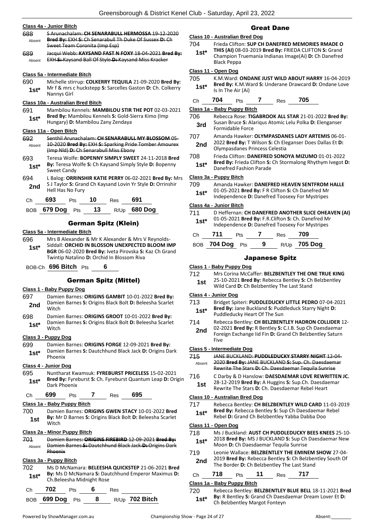|  | Class 4a - Junior Bitch |  |
|--|-------------------------|--|
|  |                         |  |

| S Arunachalam: CH SENARABULL HERMOSSA 19 12 2020      |
|-------------------------------------------------------|
| Bred By: EXH S: Ch Senarabull Th Duke Of Sussex D: Ch |
| Sweet Team Coronita (Imp Esp)                         |
| Jacqui Webb: KAYSAND FAST N FOXY 18-04-2021 Bred By:  |
| EXH-S:-Kaysand Ball Of Style-D:-Kaysand Miss Kracker  |
|                                                       |
|                                                       |

#### **Class 5a - Intermediate Bitch**

| 690    | Michelle stirrup: COLKERRY TEQUILA 21-09-2020 Bred By:     |
|--------|------------------------------------------------------------|
| $1st*$ | Mr f & mrs c huckstepp S: Sarcelles Gaston D: Ch. Colkerry |
|        | Nannys Girl                                                |

#### **Class 10a - Australian Bred Bitch**

- 691 Mambilou Kennels: **MAMBILOU STIR THE POT** 02-03-2021 **Bred By:** Mambilou Kennels **S:** Gold-Sierra Kimo (Imp
- Hungary) **D:** Mambilou Zany Zendaya **1st\***

# **Class 11a - Open Bitch**

- 692 Senthil Arunachalam: **CH SENARABULL MY BLOSSOM** 05- 10-2020 **Bred By:** EXH **S:** Sparking Pride Tomber Amourex (Imp Nld) **D:** Ch Senarabull Miss Ebony Absent
- 693 Teresa Wolfe: **BOPENNY SIMPLY SWEET** 24-11-2018 **Bred By:** Teresa Wolfe **S:** Ch Kaysand Simply Style **D:** Bopenny Sweet Candy **1st\***
- 694 L Balog: **ORRINSHIR KATIE PERRY** 06-02-2021 **Bred By:** Mrs S J Taylor **S:** Grand Ch Kaysand Lovin Yr Style **D:** Orrinshir **2nd Digital Assemblance** Strategy

| (∷h | 693 | Pts | 10  | Rac | 691 |
|-----|-----|-----|-----|-----|-----|
|     | --- |     | . . |     | --- |

| BOB 679 Dog Pts 13 |  | R/Up 680 Dog |
|--------------------|--|--------------|
|                    |  |              |

# German Spitz (Klein)

# **Class 5a - Intermediate Bitch**

- 696 Mrs B Alexander & Mr K Alexander & Mrs V Reynolds-Siddall: **ORCHID IN BLOSSON UNEXPECTED BLOOM IMP BGR** 06-02-2020 **Bred By:** Iveta Pirovska **S:** Kaz Ch Grand Twintip Natalino **D:** Orchid In Blossom Riva **1st\***
- BOB-Ch **696 Bitch** Pts **6**

# German Spitz (Mittel)

#### **Class 1 - Baby Puppy Dog**

- 697 Damien Barnes: **ORIGINS GAMBIT** 10-01-2022 **Bred By:** Damien Barnes **S:** Origins Black Bolt **D:** Beleesha Scarlet **2nd Damie**
- 698 Damien Barnes: **ORIGINS GROOT** 10-01-2022 **Bred By:** Damien Barnes **S:** Origins Black Bolt **D:** Beleesha Scarlet 1st<sup>\*</sup> <sup>Damie</sup><br>Witch

#### **Class 3 - Puppy Dog**

699 Damien Barnes: **ORIGINS FORGE** 12-09-2021 **Bred By:** Damien Barnes **S:** Dautchhund Black Jack **D:** Origins Dark 1st<sup>\*</sup> <sup>Damien</sup><br>
<sup>Phoenix</sup>

#### **Class 4 - Junior Dog**

- 695 Nuntharat Kwamsuk: **FYREBURST PRICELESS** 15-02-2021 **Bred By:** Fyreburst **S:** Ch. Fyreburst Quantum Leap **D:** Origin
- **1st\* Bred By:** Fyre<br>Dark Phoenix

| `h | 699 | เร | ĸes | 695 |
|----|-----|----|-----|-----|
|    |     |    |     |     |

# **Class 1a - Baby Puppy Bitch**

700 Damien Barnes: **ORIGINS GWEN STACY** 10-01-2022 **Bred By:** Mr D Barnes **S:** Origins Black Bolt **D:** Beleesha Scarlet 1st by: Witch

#### **Class 2a - Minor Puppy Bitch**

701 Damien Barnes: **ORIGINS FIREBIRD** 12-09-2021 **Bred By:** Damien Barnes **S:** Dautchhund Black Jack **D:** Origins Dark Phoenix Absent

#### **Class 3a - Puppy Bitch**

702 Ms D McNamara: **BELEESHA QUICKSTEP** 21-06-2021 **Bred By:** Ms D McNamara **S:** Dautchhund Emperor Maximus **D: 1st\*** By: Ms D McNamara S: Dau<br>Ch.Beleesha Midnight Rose

| Ch <b>702</b> | Pts 6 | <b>Res</b> |                                  |
|---------------|-------|------------|----------------------------------|
|               |       |            | BOB 699 Dog Pts 8 R/Up 702 Bitch |

# Great Dane

#### **Class 10 - Australian Bred Dog**

704 Frieda Clifton: **SUP CH DANEFRED MEMORIES RMADE O THIS (AI)** 08-03-2019 **Bred By:** FRIEDA CLIFTON **S:** Grand Champion Truemania Indianas Image(Ai) **D:** Ch Danefred Black Peppa **1st\***

#### **Class 11 - Open Dog**

- 705 K.M.Ward: **ONDANE JUST WILD ABOUT HARRY** 16-04-2019 **Bred By:** K.M.Ward **S:** Underane Drawcard **D:** Ondane Love **1st\* Bred By:** K.M.W<br>Is In The Air (Ai)
- Ch **704** Pts **7** Res **705**

#### **Class 1a - Baby Puppy Bitch**

- 706 Rebecca Rose: **TIGABROOK ALL STAR** 21-01-2022 **Bred By:** Susan Bruce **S:** Alariqus Atomic Lelu Polka **D:** Elenganser **3rd** Susan Bruce **3:** All
- 707 Amanda Hawker: **OLYMPASDANES LADY ARTEMIS** 06-01-
- 2022 **Bred By:** T Wilson **S:** Ch Eleganser Does Dallas Et **D: 2nd** <sup>2022</sup> **Brea By:** I Wilson S: Ch Ele<br>
Olympasdanes Princess Celestia
- 708 Frieda Clifton: **DANEFRED SONOYA MIZUMO** 01-01-2022 **Bred By:** Frieda Clifton **S:** Ch Stormalong Rhythym Ivegot **D: 1st\*** Bred By: Frieda Clifton S:<br>Danefred Fashion Parade

#### **Class 3a - Puppy Bitch**

#### 709 Amanda Hawker: **DANEFRED HEAVEN SENTFROM HALLE**

01-05-2021 **Bred By:** F R Clifton **S:** Ch Danefred Mr Independence **D:** Danefred Toosexy For Mystripes **1st\***

#### **Class 4a - Junior Bitch**

- 711 D Heffernan: **CH DANEFRED ANOTHER SLICE OHEAVEN (AI)**
	- 01-05-2021 **Bred By:** F.R.Clifton **S:** Ch. Danefred Mr **1st**\* UI-US-2021 Brea By: F.R.Clifton S: Cn. Danefred M<br>Independence D: Danefred Toosexy For Mystripes

| Ch – | 711             | <b>Pts</b> | <sub>Res</sub> 709 |              |
|------|-----------------|------------|--------------------|--------------|
|      | BOB 704 Dog Pts |            |                    | R/Up 705 Dog |

# Japanese Spitz

#### **Class 1 - Baby Puppy Dog**

712 Mrs Corina McCaffer: **BELZBENTLEY THE ONE TRUE KING** 25-10-2021 **Bred By:** Rebecca Bentley **S:** Ch Belzbentley **1st** 25-10-2021 **Bred By:** Rebecca Bentley S: Ch Wild Card **D**: Ch Belzbentley The Last Stand

#### **Class 4 - Junior Dog**

- 713 Bridget Spiteri: **PUDDLEDUCKY LITTLE PEDRO** 07-04-2021 **Bred By:** Jane Buckland **S:** Puddleduck Starry Night **D: 1st\*** Bred By: Jane Buckland S: Puddeducky Heart Of The Sun
- 714 Rebecca Bentley: **CH BELZBENTLEY HADRON COLLIDER** 12-
- 02-2021 **Bred By:** R Bentley **S:** C.I.B. Sup Ch Daesdaemar **2nd**
- Foreign Exchange Iid Fin **D:** Grand Ch Belzbentley Saturn Five

#### **Class 5 - Intermediate Dog**

- 715 JANE BUCKLAND: **PUDDLEDUCKY STARRY NIGHT** 12-04- 2020 **Bred By:** JANE BUCKLAND **S:** Sup. Ch. Daesdaemar Absent
- Rewrite The Stars **D:** Ch. Daesdaemar Tequila Sunrise
- 28-12-2019 **Bred By:** A Huggins **S:** Sup.Ch. Daesdaemar

#### **Class 10 - Australian Bred Dog**

717 Rebecca Bentley: **CH BELZBENTLEY WILD CARD** 11-03-2019 **Bred By:** Rebecca Bentley **S:** Sup Ch Daesdaemar Rebel **1st\*** Bred By: Rebecca Bentley S: Sup Ch Daesdaemar<br>Rebel D: Grand Ch Belzbentley Yabba Dabba Doo

# **Class 11 - Open Dog**

- 718 Ms J Buckland: **AUST CH PUDDLEDUCKY BEES KNEES** 25-10-
- 2018 **Bred By:** MS J BUCKLAND **S:** Sup Ch Daesdaemar New **1st**\* 2018 **Bred By:** MS J BUCKLAND **S:** Sup Cn<br>Moon **D:** Ch Daesdaemar Tequila Sunrise
- 719 Leonie Wallace: **BELZBENTLEY THE EMINEM SHOW** 27-04- 2019 **Bred By:** Rebecca Bentley **S:** Ch Belzbentley South Of **2nd** <sup>2019</sup> Bred By: Rebecca Bentley S: Un Belzbentley The Last Stand

|  | Ch | '18 | 'ts |  | Res |  |  |
|--|----|-----|-----|--|-----|--|--|
|--|----|-----|-----|--|-----|--|--|

#### **Class 1a - Baby Puppy Bitch**

720 Rebecca Bentley: **BELZBENTLEY BLUE BELL** 18-11-2021 **Bred By:** R Bentley **S:** Grand Ch Daesdaemar Dream Lover Et **D: 1st\*** By: R Bentley S: Grand Ch Daesd<br>Ch Belzbentley Margot Fonteyn

- 716 C Darby & D Hanslow: **DAESDAEMAR LOVE REWRITTEN JC.**
- **1st** 28-12-2019 **Bred By:** A Huggins **S:** Sup.Cn. Daesda<br>Rewrite The Stars **D:** Ch. Daesdaemar Rebel Heart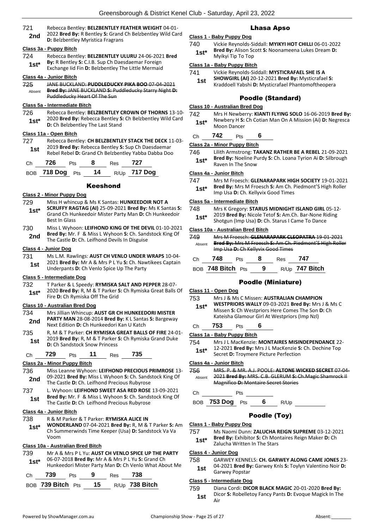- 721 Rebecca Bentley: **BELZBENTLEY FEATHER WEIGHT** 04-01-
	- 2022 **Bred By:** R Bentley **S:** Grand Ch Belzbentley Wild Card **2nd** <sup>2022</sup> Brea by: R Bentley S: Grand<br>**D:** Belzbentley Myristica Fragrans

# **Class 3a - Puppy Bitch**

724 Rebecca Bentley: **BELZBENTLEY ULURU** 24-06-2021 **Bred By:** R Bentley **S:** C.I.B. Sup Ch Daesdaemar Foreign Exchange Iid Fin **D:** Belzbentley The Little Mermaid **1st\***

#### **Class 4a - Junior Bitch**

725 JANE BUCKLAND: **PUDDLEDUCKY PIKA BOO** 07-04-2021 **Bred By:** JANE BUCKLAND **S:** Puddleducky Starry Night **D:**  Puddleducky Heart Of The Sun Absent

#### **Class 5a - Intermediate Bitch**

- 726 Rebecca Bentley: **BELZBENTLEY CROWN OF THORNS** 13-10- 2020 **Bred By:** Rebecca Bentley **S:** Ch Belzbentley Wild Card
	- **1st**\* 2020 Brea By: Repecca Bentley S<br>D: Ch Belzbentley The Last Stand

#### **Class 11a - Open Bitch**

727 Rebecca Bentley: **CH BELZBENTLEY STACK THE DECK** 11-03- 2019 **Bred By:** Rebecca Bentley **S:** Sup Ch Daesdaemar **1st** 2019 **Brea By:** Rebecca Bentley S: Sup Ch Daesdaemar<br>Rebel Rebel D: Grand Ch Belzbentley Yabba Dabba Doo

| Ch | 726 | <b>Pts</b> | 8 | Res <b>727</b> |                                 |
|----|-----|------------|---|----------------|---------------------------------|
|    |     |            |   |                | BOB 718 Dog Pts 14 R/Up 717 Dog |

#### Keeshond

#### **Class 2 - Minor Puppy Dog**

- 729 Miss H whincup & Ms K Santas: **HUNKEEDOIR NOT A**
- **SCRUFFY RAGTAG (AI)** 25-09-2021 **Bred By:** Ms K Santas **S:**  Grand Ch Hunkeedoir Mister Party Man **D:** Ch Hunkeedoir Best In Glass **1st\***
- 730 Miss L Wyhoon: **LEIFHOND KING OF THE DEVIL** 01-10-2021 **Bred By:** Mr. F & Miss L Wyhoon **S:** Ch. Sandstock King Of **2nd** Brea By: Mr. F & Miss L wynoon **5:** Cn. Sand<br>The Castle **D:** Ch. Leifhond Devils In Disguise

#### **Class 4 - Junior Dog**

731 Ms L.M. Rawlings: **AUST CH VENLO UNDER WRAPS** 10-04- 2021 **Bred By:** Mr A & Mrs P L Yu **S:** Ch. Nawtikees Captain **1st** <br>
Underpants **D**: Ch Venlo Spice Up The Party

#### **Class 5 - Intermediate Dog**

- 732 T Parker & L Speedy: **RYMISKA SALT AND PEPPER** 28-07-
- 2020 **Bred By:** R, M & T Parker **S:** Ch Rymiska Great Balls Of **1st**\* **1920 Brea By:** R, M & T Parker S<br>Fire D: Ch Rymiska Off The Grid

#### **Class 10 - Australian Bred Dog**

- 734 Mrs Jillian Whincup: **AUST GR CH HUNKEEDORI MISTER PARTY MAN** 28-08-2014 **Bred By:** K L Santas **S:** Bargeway **2nd** PARTY WAN 28-08-2014 **Brea by:** NEXT Next Edition **D:** Ch Hunkeedori Kan U Katch
- 735 R, M & T Parker: **CH RYMISKA GREAT BALLS OF FIRE** 24-01- 2019 **Bred By:** R, M & T Parker **S:** Ch Rymiska Grand Duke **1st D:** Ch Sandstock Snow Princess

# Ch **729** Pts **11** Res **735**

#### **Class 2a - Minor Puppy Bitch**

- 736 Miss Leanne Wyhoon: **LEIFHOND PRECIOUS PRIMROSE** 13- 09-2021 **Bred By:** Miss L Wyhoon **S:** Ch. Sandstock King Of **2nd** D9-2021 **Brea By:** MISS L Wynoon **S:** Ch. Sand:<br>The Castle **D:** Ch. Leifhond Precious Rubyrose
- 737 L. Wyhoon: **LEIFHOND SWEET ASA RED ROSE** 13-09-2021 **Bred By:** Mr. F & Miss L Wyhoon **S:** Ch. Sandstock King Of **1st Died by:** MILE & MISS L WYNOON **5:** CH. Sands<br>The Castle **D:** Ch Leifhond Precious Rubyrose

#### **Class 4a - Junior Bitch**

- 738 R & M Parker & T Parker: **RYMISKA ALICE IN**
- **WONDERLAND** 07-04-2021 **Bred By:** R, M & T Parker **S:** Am Ch Summerwinds Time Keeper (Usa) **D:** Sandstock Va Va Voom **1st\***

#### **Class 10a - Australian Bred Bitch**

- 739 Mr A & Mrs P L Yu: **AUST CH VENLO SPICE UP THE PARTY** 06-07-2018 **Bred By:** Mr A & Mrs P L Yu **S:** Grand Ch
	- Hunkeedori Mister Party Man **D:** Ch Venlo What About Me **1st\***

| -39        | is | ₩   | 'es | -38          |
|------------|----|-----|-----|--------------|
| --<br>---- |    | --- |     | - - -<br>--- |

| BOB 739 Bitch Pts | 15 | $R/Up$ 738 Bitch |
|-------------------|----|------------------|
|                   |    |                  |

# Lhasa Apso

#### **Class 1 - Baby Puppy Dog**

740 Vickie Reynolds-Siddall: **MYIKYI HOT CHILLI** 06-01-2022 **Bred By:** Alison Scott **S:** Noonameena Lukes Dream **D: 1st\*** Bred By: Alison Sc<br>Myikyi Tip To Top

### **Class 1a - Baby Puppy Bitch**

- 741 Vickie Reynolds-Siddall: **MYSTICRAFAEL SHE IS A** 
	- **SHOWGIRL (AI)** 20-12-2021 **Bred By:** Mysticrafael **S: 1st SHOWGIRL (AI)** 20-12-2021 **Bred By:** Mysticrafael S:<br>**1st Billy Republished Phantomoftheopera 1st** Billy National Phantomoftheopera

# Poodle (Standard)

#### **Class 10 - Australian Bred Dog**

742 Mrs H Newberry: **KIANTI FLYING SOLO** 16-06-2019 **Bred By:** Newbery H **S:** Ch Cotian Man On A Mission (Ai) **D:** Negresca **1st**\* Newbery H S:<br>Moon Dancer

# Ch **742** Pts **6**

### **Class 2a - Minor Puppy Bitch**

746 Lilith Armstrong: **TAKANZ RATHER BE A REBEL** 21-09-2021 **Bred By:** Noeline Purdy **S:** Ch. Loana Tyrion Ai **D:** Silbrough **1st<sup>\*</sup> Bred By:** Noeline P

#### **Class 4a - Junior Bitch**

747 Mrs M Froesch: **GLENARAPARK HIGH SOCIETY** 19-01-2021 **Bred By:** Mrs M Froesch **S:** Am Ch. Piedmont'S High Roller **1st\* Bred By:** Mrs M Froesch S: Am Ch. Fragger St. Am Ch. Fragger St. Ch. Ch. Ch. Ch. Fragger St. Am Ch. Fragger St. Am Ch. Fragger St. Am Ch. Fragger St. Am Ch. Fragger St. Am Ch. Fragger St. Am Ch. Fragger St. Am Ch.

# **Class 5a - Intermediate Bitch**

748 Mrs K Gregory: **STARUS MIDNIGHT ISLAND GIRL** 05-12- 2019 **Bred By:** Nicole Tetof **S:** Am.Ch. Bar-None Riding **1st**\* 2019 **Bred By:** NICOIE Tetor **5:** Am.Cn. Bar-None Rishbotgun (Imp Usa) **D:** Ch. Starus I Came To Dance

#### **Class 10a - Australian Bred Bitch**

| 749<br>Absent | Mrs M Froesch: GLENARAPARK CLEOPATRA 19-01-2021<br><b>Bred By:</b> Mrs M Froesch S: Am Ch. Piedmont'S High Roller<br>Imp Usa D: Ch Kellyvix Good Times |            |  |     |     |  |
|---------------|--------------------------------------------------------------------------------------------------------------------------------------------------------|------------|--|-----|-----|--|
| Сh            | 748                                                                                                                                                    | <b>Pts</b> |  | Res | 747 |  |

BOB **748 Bitch** Pts **9** R/Up **747 Bitch**

# Poodle (Miniature)

#### **Class 11 - Open Dog**

753 Mrs J & Ms C Missen: **AUSTRALIAN CHAMPION** 

- **WESTPRIORS WALLY** 09-03-2021 **Bred By:** Mrs J & Ms C Missen **S:** Ch Westpriors Here Comes The Son **D:** Ch Kateisha Glamour Girl At Westpriors (Imp Nzl) **1st\***
- Ch **753** Pts **6**

#### **Class 1a - Baby Puppy Bitch**

- 754 Mrs J L MacKenzie: **MONTAIRES MISINDEPENDANCE** 22-
- 12-2021 **Bred By:** Mrs J L MacKenzie **S:** Ch. Dechine Top
- Secret **D:** Troymere Picture Perfection **1st\***

**Class 4a - Junior Bitch**

756 MRS. P. & MR. A.J. POOLE: **ALTONE WICKED SECRET** 07-04- 2021 **Bred By:** MRS. C.B. GLERUM **S:** Ch.Magic Shamrock Il Magnifico **D:** Montaire Secret Stories Absent

# Ch Pts

BOB **753 Dog** Pts **6** R/Up

# Poodle (Toy)

**Class 1 - Baby Puppy Dog**

757 Ms Naomi Dunn: **ZALUCHA REIGN SUPREME** 03-12-2021 **Bred By:** Exhibitor **S:** Ch Montaires Reign Maker **D:** Ch

**1st\* Bred By:** Exhibitor **5:** Ch Mon<br>Zalucha Written In The Stars

#### **Class 4 - Junior Dog**

# 758 GARWEY KENNELS: **CH. GARWEY ALONG CAME JONES** 23-

04-2021 **Bred By:** Garwey Knls **S:** Toylyn Valentino Noir **D:**  Garwey Popstar **1st**

#### **Class 5 - Intermediate Dog**

759 Diana Cordi: **DICOR BLACK MAGIC** 20-01-2020 **Bred By:** Dicor **S:** Robelletoy Fancy Pants **D:** Evoque Magick In The **1st**  $\frac{DIC}{Air}$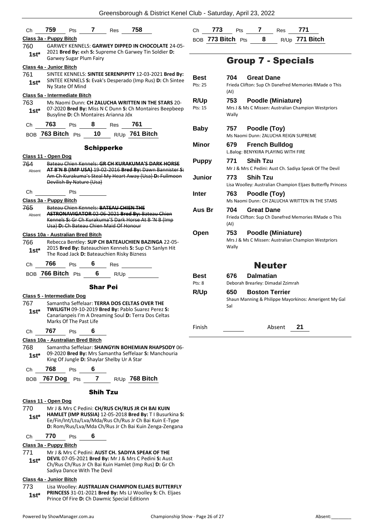| Сh                                                       | 759                               | Pts                         |                   | <b>7</b> Res 758                           |                                                                                                                     | С  |
|----------------------------------------------------------|-----------------------------------|-----------------------------|-------------------|--------------------------------------------|---------------------------------------------------------------------------------------------------------------------|----|
|                                                          | Class 3a - Puppy Bitch            |                             |                   |                                            |                                                                                                                     | B  |
| GARWEY KENNELS: GARWEY DIPPED IN CHOCOLATE 24-05-<br>760 |                                   |                             |                   |                                            |                                                                                                                     |    |
| $1st^*$                                                  |                                   |                             |                   |                                            | 2021 Bred By: exh S: Supreme Ch Garwey Tin Soldier D:                                                               |    |
|                                                          |                                   | Garwey Sugar Plum Fairy     |                   |                                            |                                                                                                                     |    |
|                                                          | Class 4a - Junior Bitch           |                             |                   |                                            |                                                                                                                     |    |
| 761                                                      |                                   |                             |                   |                                            | SINTEE KENNELS: SINTEE SERENPIPITY 12-03-2021 Bred By:<br>SINTEE KENNELS S: Evak's Desperado (Imp Rus) D: Ch Sintee | В  |
| $1st*$                                                   |                                   | Ny State Of Mind            |                   |                                            |                                                                                                                     | P  |
|                                                          | Class 5a - Intermediate Bitch     |                             |                   |                                            |                                                                                                                     |    |
| 763                                                      |                                   |                             |                   |                                            | Ms Naomi Dunn: CH ZALUCHA WRITTEN IN THE STARS 20-                                                                  | R  |
| $1st*$                                                   |                                   |                             |                   |                                            | 07-2020 Bred By: Miss N C Dunn S: Ch Montaires Beepbeep                                                             | P  |
|                                                          |                                   |                             |                   | Busyline D: Ch Montaires Arianna Jdx       |                                                                                                                     |    |
| Сh                                                       | 763                               | Pts                         |                   | 8 Res 761                                  |                                                                                                                     | В  |
|                                                          |                                   |                             |                   |                                            | BOB 763 Bitch Pts 10 R/Up 761 Bitch                                                                                 |    |
|                                                          |                                   |                             | <b>Schipperke</b> |                                            |                                                                                                                     | N  |
|                                                          | Class 11 - Open Dog               |                             |                   |                                            |                                                                                                                     |    |
| 764                                                      |                                   |                             |                   |                                            | Bateau Chien Kennels: GR CH KURAKUMA'S DARK HORSE                                                                   | Ρ  |
| Absent                                                   |                                   |                             |                   |                                            | AT B'N B (IMP USA) 19-02-2016 Bred By: Dawn Bannister S:                                                            |    |
|                                                          |                                   |                             |                   |                                            | Am Ch Kurakuma's Steal My Heart Away (Usa) D: Fullmoon                                                              | J  |
|                                                          |                                   | Devilish By Nature (Usa)    |                   |                                            |                                                                                                                     |    |
| Сh                                                       |                                   | Pts                         |                   |                                            |                                                                                                                     | Ir |
|                                                          | Class 3a - Puppy Bitch            |                             |                   |                                            |                                                                                                                     |    |
| 765                                                      |                                   |                             |                   | Bateau Chien Kennels: BATEAU CHIEN THE     |                                                                                                                     | Α  |
| Absent                                                   |                                   |                             |                   |                                            | <b>ASTRONAVIGATOR 02 06 2021 Bred By: Bateau Chien</b>                                                              |    |
|                                                          |                                   |                             |                   | Usa) D: Ch Bateau Chien Maid Of Honour     | Kennels S: Gr Ch Kurakuma'S Dark Horse At B 'N B (Imp                                                               |    |
|                                                          |                                   |                             |                   |                                            |                                                                                                                     | C  |
|                                                          | Class 10a - Australian Bred Bitch |                             |                   |                                            |                                                                                                                     |    |
| 766                                                      |                                   |                             |                   |                                            | Rebecca Bentley: SUP CH BATEAUCHIEN BAZINGA 22-05-<br>2015 Bred By: Bateauchien Kennels S: Sup Ch Sanlyn Hit        |    |
| $1st*$                                                   |                                   |                             |                   | The Road Jack D: Bateauchien Risky Bizness |                                                                                                                     |    |
| Ch                                                       | 766                               |                             |                   | Pts 6 Res                                  |                                                                                                                     |    |
|                                                          | BOB 766 Bitch Pts 6 R/Up          |                             |                   |                                            |                                                                                                                     | В  |
|                                                          |                                   |                             |                   |                                            |                                                                                                                     | P  |
|                                                          |                                   |                             | <b>Shar Pei</b>   |                                            |                                                                                                                     | R  |
|                                                          | Class 5 - Intermediate Dog        |                             |                   |                                            |                                                                                                                     |    |
| 767                                                      |                                   |                             |                   |                                            | Samantha Seffelaar: TERRA DOS CELTAS OVER THE                                                                       |    |
| 1st*                                                     |                                   |                             |                   |                                            | TWILIGTH 09-10-2019 Bred By: Pablo Suarez Perez S:<br>Canarianpeis I'm A Dreaming Soul D: Terra Dos Celtas          |    |
|                                                          |                                   | Marks Of The Past Life      |                   |                                            |                                                                                                                     |    |
| Ch                                                       | 767                               | <b>Pts</b>                  | 6                 |                                            |                                                                                                                     | Fi |
|                                                          |                                   |                             |                   |                                            |                                                                                                                     |    |
|                                                          | Class 10a - Australian Bred Bitch |                             |                   |                                            |                                                                                                                     |    |
| 768                                                      |                                   |                             |                   |                                            | Samantha Seffelaar: SHANGYIN BOHEMIAN RHAPSODY 06-<br>09-2020 Bred By: Mrs Samantha Seffelaar S: Manchouria         |    |
| $1st*$                                                   |                                   |                             |                   | King Of Jungle D: Shaylar Shelby Ur A Star |                                                                                                                     |    |
| Ch                                                       | 768                               | Pts                         | 6                 |                                            |                                                                                                                     |    |
|                                                          |                                   |                             | $\overline{7}$    |                                            |                                                                                                                     |    |
| BOB                                                      | 767 Dog                           | Pts                         |                   |                                            | R/Up 768 Bitch                                                                                                      |    |
|                                                          |                                   |                             | <b>Shih Tzu</b>   |                                            |                                                                                                                     |    |
|                                                          | <u>Class 11 - Open Dog</u>        |                             |                   |                                            |                                                                                                                     |    |
| 770                                                      |                                   |                             |                   |                                            | Mr J & Mrs C Pedini: CH/RUS CH/RUS JR CH BAI KUIN                                                                   |    |
| $1st^*$                                                  |                                   |                             |                   |                                            | HAMLET (IMP RUSSIA) 12-05-2018 Bred By: T I Busurkina S:<br>Ee/Fin/Int/Ltu/Lva/Mda/Rus Ch/Rus Jr Ch Bai Kuin E-Type |    |
|                                                          |                                   |                             |                   |                                            | D: Rom/Rus/Lva/Mda Ch/Rus Jr Ch Bai Kuin Zenga-Zengana                                                              |    |
|                                                          | 770                               |                             | 6                 |                                            |                                                                                                                     |    |
| Сh                                                       |                                   | Pts                         |                   |                                            |                                                                                                                     |    |
|                                                          | Class 3a - Puppy Bitch            |                             |                   |                                            |                                                                                                                     |    |
| 771                                                      |                                   |                             |                   |                                            | Mr J & Mrs C Pedini: AUST CH. SADIYA SPEAK OF THE<br>DEVIL 07-05-2021 Bred By: Mr J & Mrs C Pedini S: Aust          |    |
| $1st*$                                                   |                                   |                             |                   |                                            | Ch/Rus Ch/Rus Jr Ch Bai Kuin Hamlet (Imp Rus) D: Gr Ch                                                              |    |
|                                                          |                                   | Sadiya Dance With The Devil |                   |                                            |                                                                                                                     |    |
|                                                          | Class 4a - Junior Bitch           |                             |                   |                                            |                                                                                                                     |    |
| 773                                                      |                                   |                             |                   |                                            | Lisa Woolley: AUSTRALIAN CHAMPION ELJAES BUTTERFLY                                                                  |    |
|                                                          |                                   |                             |                   |                                            | PRINCESS 31-01-2021 Bred By: Ms LJ Woolley S: Ch. Eljaes                                                            |    |
| $1st*$                                                   |                                   |                             |                   |                                            | Prince Of Fire D: Ch Dawmic Special Editionn                                                                        |    |

| Ch | 773               | Pts | <b>Res</b> |                       |  |
|----|-------------------|-----|------------|-----------------------|--|
|    | BOB 773 Bitch Pts |     |            | R/Up <b>771 Bitch</b> |  |

# Group 7 - Specials

| Best<br>Pts: 25        | 704<br>(AI)  | <b>Great Dane</b><br>Frieda Clifton: Sup Ch Danefred Memories RMade o This     |
|------------------------|--------------|--------------------------------------------------------------------------------|
| <b>R/Up</b><br>Pts: 15 | 753<br>Wally | Poodle (Miniature)<br>Mrs J & Ms C Missen: Australian Champion Westpriors      |
| Baby                   | 757          | Poodle (Toy)<br>Ms Naomi Dunn: ZALUCHA REIGN SUPREME                           |
| Minor                  | 679          | <b>French Bulldog</b><br>L.Balog: BENYKIRA PLAYING WITH FIRE                   |
| <b>Puppy</b>           | 771          | <b>Shih Tzu</b><br>Mr J & Mrs C Pedini: Aust Ch. Sadiya Speak Of The Devil     |
| Junior                 | 773          | <b>Shih Tzu</b><br>Lisa Woolley: Australian Champion Eljaes Butterfly Princess |
| Inter                  | 763          | Poodle (Toy)<br>Ms Naomi Dunn: CH ZALUCHA WRITTEN IN THE STARS                 |
| Aus Br                 | 704<br>(AI)  | <b>Great Dane</b><br>Frieda Clifton: Sup Ch Danefred Memories RMade o This     |
| Open                   | 753<br>Wally | Poodle (Miniature)<br>Mrs J & Ms C Missen: Australian Champion Westpriors      |
|                        |              | <b>Neuter</b>                                                                  |
| Best<br>Pts: 8         | 676          | <b>Dalmatian</b><br>Deborah Brearley: Dimadal Zzimrah                          |
| R/Up                   | 650<br>Sal   | <b>Boston Terrier</b><br>Shaun Manning & Philippe Mayorkinos: Amerigent My Gal |

Finish **Absent** 21